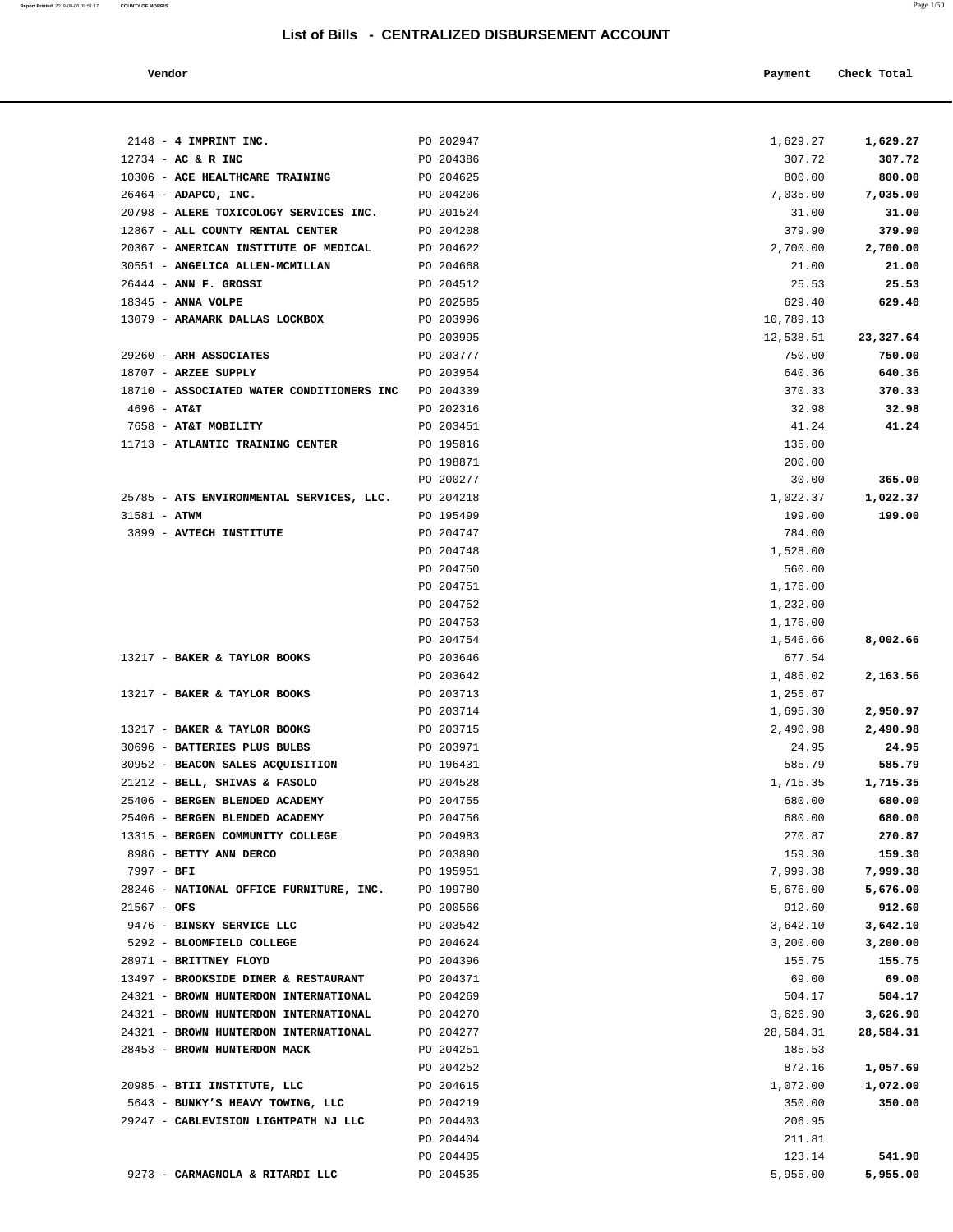| Vendor | Payment | Check Total |
|--------|---------|-------------|
|        |         | .           |

| $2148 - 4$ IMPRINT INC.                   | PO 202947              | 1,629.27             | 1,629.27  |
|-------------------------------------------|------------------------|----------------------|-----------|
| $12734$ - AC & R INC                      | PO 204386              | 307.72               | 307.72    |
| 10306 - ACE HEALTHCARE TRAINING           | PO 204625              | 800.00               | 800.00    |
| 26464 - ADAPCO, INC.                      | PO 204206              | 7,035.00             | 7,035.00  |
| 20798 - ALERE TOXICOLOGY SERVICES INC.    | PO 201524              | 31.00                | 31.00     |
| 12867 - ALL COUNTY RENTAL CENTER          | PO 204208              | 379.90               | 379.90    |
| 20367 - AMERICAN INSTITUTE OF MEDICAL     | PO 204622              | 2,700.00             | 2,700.00  |
| 30551 - ANGELICA ALLEN-MCMILLAN           | PO 204668              | 21.00                | 21.00     |
| 26444 - ANN F. GROSSI                     | PO 204512              | 25.53                | 25.53     |
| 18345 - ANNA VOLPE                        | PO 202585              | 629.40               | 629.40    |
| 13079 - ARAMARK DALLAS LOCKBOX            | PO 203996              | 10,789.13            |           |
|                                           | PO 203995              | 12,538.51            | 23,327.64 |
| 29260 - ARH ASSOCIATES                    | PO 203777              | 750.00               | 750.00    |
| 18707 - ARZEE SUPPLY                      | PO 203954              | 640.36               | 640.36    |
| 18710 - ASSOCIATED WATER CONDITIONERS INC | PO 204339              | 370.33               | 370.33    |
| $4696$ - AT&T                             | PO 202316              | 32.98                | 32.98     |
| 7658 - AT&T MOBILITY                      | PO 203451              | 41.24                | 41.24     |
| 11713 - ATLANTIC TRAINING CENTER          | PO 195816              | 135.00               |           |
|                                           | PO 198871              | 200.00               |           |
|                                           | PO 200277              | 30.00                | 365.00    |
| 25785 - ATS ENVIRONMENTAL SERVICES, LLC.  | PO 204218              | 1,022.37             | 1,022.37  |
| $31581 - ATWM$                            | PO 195499              | 199.00               | 199.00    |
| 3899 - AVTECH INSTITUTE                   | PO 204747              | 784.00               |           |
|                                           | PO 204748              | 1,528.00             |           |
|                                           | PO 204750              | 560.00               |           |
|                                           | PO 204751              | 1,176.00             |           |
|                                           | PO 204752              | 1,232.00             |           |
|                                           | PO 204753              | 1,176.00             |           |
|                                           | PO 204754              | 1,546.66             | 8,002.66  |
| 13217 - BAKER & TAYLOR BOOKS              | PO 203646              | 677.54               |           |
| 13217 - BAKER & TAYLOR BOOKS              | PO 203642              | 1,486.02             | 2,163.56  |
|                                           | PO 203713<br>PO 203714 | 1,255.67             | 2,950.97  |
| 13217 - BAKER & TAYLOR BOOKS              | PO 203715              | 1,695.30<br>2,490.98 | 2,490.98  |
| 30696 - BATTERIES PLUS BULBS              | PO 203971              | 24.95                | 24.95     |
| 30952 - BEACON SALES ACQUISITION          | PO 196431              | 585.79               | 585.79    |
| 21212 - BELL, SHIVAS & FASOLO             | PO 204528              | 1,715.35             | 1,715.35  |
| 25406 - BERGEN BLENDED ACADEMY            | PO 204755              | 680.00               | 680.00    |
| 25406 - BERGEN BLENDED ACADEMY            | PO 204756              | 680.00               | 680.00    |
| 13315 - BERGEN COMMUNITY COLLEGE          | PO 204983              | 270.87               | 270.87    |
| 8986 - BETTY ANN DERCO                    | PO 203890              | 159.30               | 159.30    |
| 7997 - BFI                                | PO 195951              | 7,999.38             | 7,999.38  |
| 28246 - NATIONAL OFFICE FURNITURE, INC.   | PO 199780              | 5,676.00             | 5,676.00  |
| $21567 - OFS$                             | PO 200566              | 912.60               | 912.60    |
| 9476 - BINSKY SERVICE LLC                 | PO 203542              | 3,642.10             | 3,642.10  |
| 5292 - BLOOMFIELD COLLEGE                 | PO 204624              | 3,200.00             | 3,200.00  |
| 28971 - BRITTNEY FLOYD                    | PO 204396              | 155.75               | 155.75    |
| 13497 - BROOKSIDE DINER & RESTAURANT      | PO 204371              | 69.00                | 69.00     |
| 24321 - BROWN HUNTERDON INTERNATIONAL     | PO 204269              | 504.17               | 504.17    |
| 24321 - BROWN HUNTERDON INTERNATIONAL     | PO 204270              | 3,626.90             | 3,626.90  |
| 24321 - BROWN HUNTERDON INTERNATIONAL     | PO 204277              | 28,584.31            | 28,584.31 |
| 28453 - BROWN HUNTERDON MACK              | PO 204251              | 185.53               |           |
|                                           | PO 204252              | 872.16               | 1,057.69  |
| 20985 - BTII INSTITUTE, LLC               | PO 204615              | 1,072.00             | 1,072.00  |
| 5643 - BUNKY'S HEAVY TOWING, LLC          | PO 204219              | 350.00               | 350.00    |
| 29247 - CABLEVISION LIGHTPATH NJ LLC      | PO 204403              | 206.95               |           |
|                                           | PO 204404              | 211.81               |           |
|                                           | PO 204405              | 123.14               | 541.90    |
| 9273 - CARMAGNOLA & RITARDI LLC           | PO 204535              | 5,955.00             | 5,955.00  |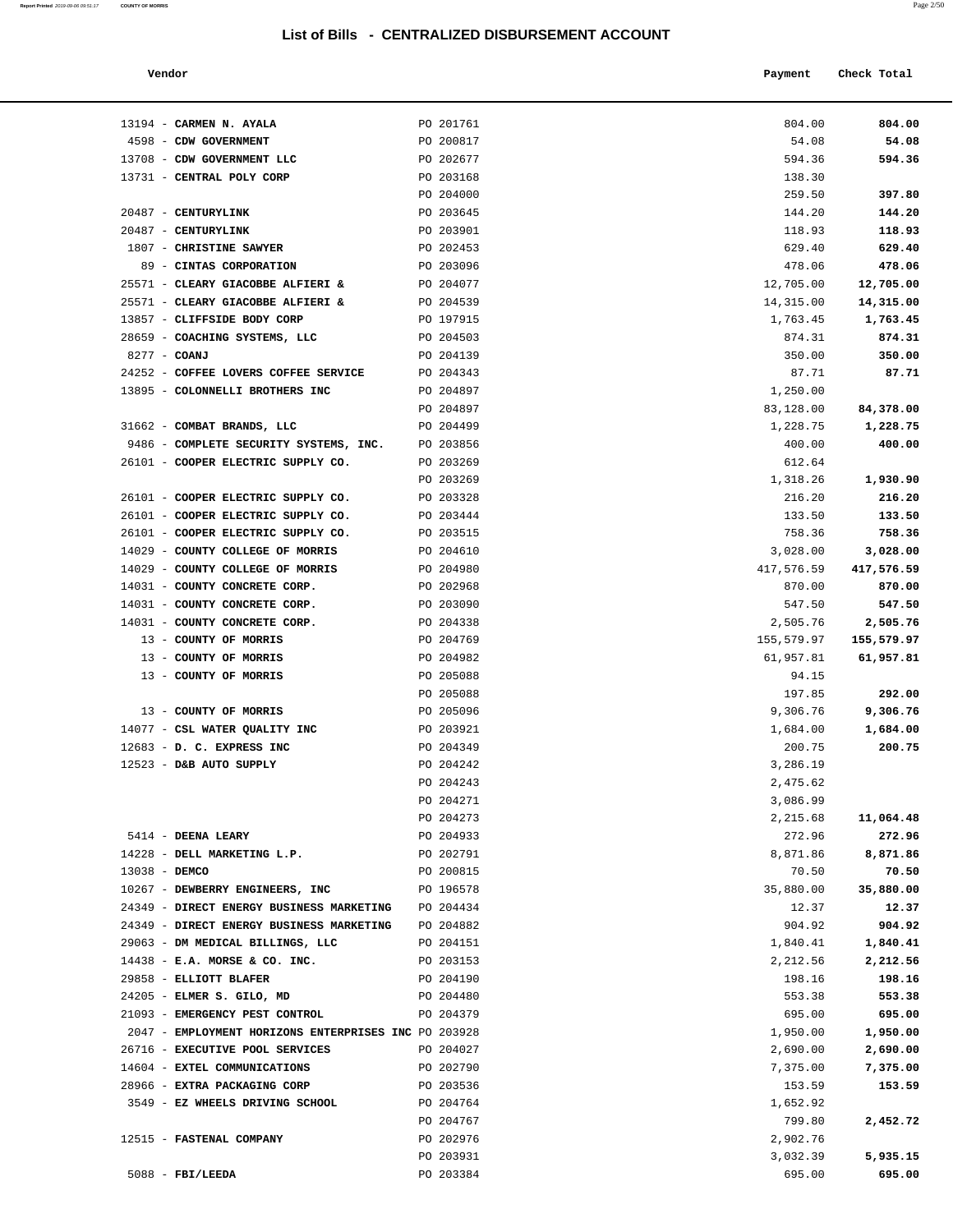| Report Printed 2019-09-06 09:51:17 | <b>COUNTY OF MORRIS</b> | Page 2/50 |
|------------------------------------|-------------------------|-----------|
|                                    |                         |           |

|        | Payment | Check Total |
|--------|---------|-------------|
| Vendor |         | .           |
| .      |         | .           |
|        |         |             |

| 13194 - CARMEN N. AYALA                              | PO 201761              | 804.00                | 804.00                |
|------------------------------------------------------|------------------------|-----------------------|-----------------------|
| 4598 - CDW GOVERNMENT                                | PO 200817              | 54.08                 | 54.08                 |
| 13708 - CDW GOVERNMENT LLC                           | PO 202677              | 594.36                | 594.36                |
| 13731 - CENTRAL POLY CORP                            | PO 203168              | 138.30                |                       |
|                                                      | PO 204000              | 259.50                | 397.80                |
| 20487 - CENTURYLINK                                  | PO 203645              | 144.20                | 144.20                |
| 20487 - CENTURYLINK                                  | PO 203901              | 118.93                | 118.93                |
| 1807 - CHRISTINE SAWYER                              | PO 202453              | 629.40                | 629.40                |
| 89 - CINTAS CORPORATION                              | PO 203096              | 478.06                | 478.06                |
| 25571 - CLEARY GIACOBBE ALFIERI &                    | PO 204077              | 12,705.00             | 12,705.00             |
| 25571 - CLEARY GIACOBBE ALFIERI &                    | PO 204539              | 14,315.00             | 14,315.00             |
| 13857 - CLIFFSIDE BODY CORP                          | PO 197915              | 1,763.45              | 1,763.45              |
| 28659 - COACHING SYSTEMS, LLC                        | PO 204503              | 874.31                | 874.31                |
| 8277 - COANJ                                         | PO 204139              | 350.00                | 350.00                |
| 24252 - COFFEE LOVERS COFFEE SERVICE                 | PO 204343              | 87.71                 | 87.71                 |
| 13895 - COLONNELLI BROTHERS INC                      | PO 204897              | 1,250.00<br>83,128.00 |                       |
| 31662 - COMBAT BRANDS, LLC                           | PO 204897<br>PO 204499 | 1,228.75              | 84,378.00<br>1,228.75 |
| 9486 - COMPLETE SECURITY SYSTEMS, INC.               | PO 203856              | 400.00                | 400.00                |
| 26101 - COOPER ELECTRIC SUPPLY CO.                   | PO 203269              | 612.64                |                       |
|                                                      | PO 203269              | 1,318.26              | 1,930.90              |
| 26101 - COOPER ELECTRIC SUPPLY CO.                   | PO 203328              | 216.20                | 216.20                |
| 26101 - COOPER ELECTRIC SUPPLY CO.                   | PO 203444              | 133.50                | 133.50                |
| 26101 - COOPER ELECTRIC SUPPLY CO.                   | PO 203515              | 758.36                | 758.36                |
| 14029 - COUNTY COLLEGE OF MORRIS                     | PO 204610              | 3,028.00              | 3,028.00              |
| 14029 - COUNTY COLLEGE OF MORRIS                     | PO 204980              | 417,576.59            | 417,576.59            |
| 14031 - COUNTY CONCRETE CORP.                        | PO 202968              | 870.00                | 870.00                |
| 14031 - COUNTY CONCRETE CORP.                        | PO 203090              | 547.50                | 547.50                |
| 14031 - COUNTY CONCRETE CORP.                        | PO 204338              | 2,505.76              | 2,505.76              |
| 13 - COUNTY OF MORRIS                                | PO 204769              | 155,579.97            | 155,579.97            |
| 13 - COUNTY OF MORRIS                                | PO 204982              | 61,957.81             | 61,957.81             |
| 13 - COUNTY OF MORRIS                                | PO 205088              | 94.15                 |                       |
|                                                      | PO 205088              | 197.85                | 292.00                |
| 13 - COUNTY OF MORRIS                                | PO 205096              | 9,306.76              | 9,306.76              |
| 14077 - CSL WATER QUALITY INC                        | PO 203921              | 1,684.00              | 1,684.00              |
| 12683 - D. C. EXPRESS INC                            | PO 204349              | 200.75                | 200.75                |
| 12523 - D&B AUTO SUPPLY                              | PO 204242              | 3,286.19              |                       |
|                                                      | PO 204243              | 2,475.62              |                       |
|                                                      | PO 204271              | 3,086.99              |                       |
|                                                      | PO 204273              | 2,215.68              | 11,064.48             |
| 5414 - DEENA LEARY                                   | PO 204933              | 272.96                | 272.96                |
| 14228 - DELL MARKETING L.P.                          | PO 202791              | 8,871.86              | 8,871.86              |
| 13038 - DEMCO                                        | PO 200815              | 70.50                 | 70.50                 |
| 10267 - DEWBERRY ENGINEERS, INC                      | PO 196578              | 35,880.00             | 35,880.00             |
| 24349 - DIRECT ENERGY BUSINESS MARKETING             | PO 204434              | 12.37                 | 12.37                 |
| 24349 - DIRECT ENERGY BUSINESS MARKETING             | PO 204882              | 904.92                | 904.92                |
| 29063 - DM MEDICAL BILLINGS, LLC                     | PO 204151              | 1,840.41              | 1,840.41              |
| $14438$ - E.A. MORSE & CO. INC.                      | PO 203153              | 2,212.56              | 2,212.56              |
| 29858 - ELLIOTT BLAFER                               | PO 204190              | 198.16                | 198.16                |
| 24205 - ELMER S. GILO, MD                            | PO 204480              | 553.38                | 553.38                |
| 21093 - EMERGENCY PEST CONTROL                       | PO 204379              | 695.00                | 695.00                |
| 2047 - EMPLOYMENT HORIZONS ENTERPRISES INC PO 203928 |                        | 1,950.00              | 1,950.00              |
| 26716 - EXECUTIVE POOL SERVICES                      | PO 204027              | 2,690.00              | 2,690.00              |
| 14604 - EXTEL COMMUNICATIONS                         | PO 202790              | 7,375.00              | 7,375.00              |
| 28966 - EXTRA PACKAGING CORP                         | PO 203536              | 153.59                | 153.59                |
| 3549 - EZ WHEELS DRIVING SCHOOL                      | PO 204764              | 1,652.92              |                       |
|                                                      | PO 204767              | 799.80                | 2,452.72              |
| 12515 - FASTENAL COMPANY                             | PO 202976              | 2,902.76              |                       |
|                                                      | PO 203931              | 3,032.39              | 5,935.15              |
| $5088$ - FBI/LEEDA                                   | PO 203384              | 695.00                | 695.00                |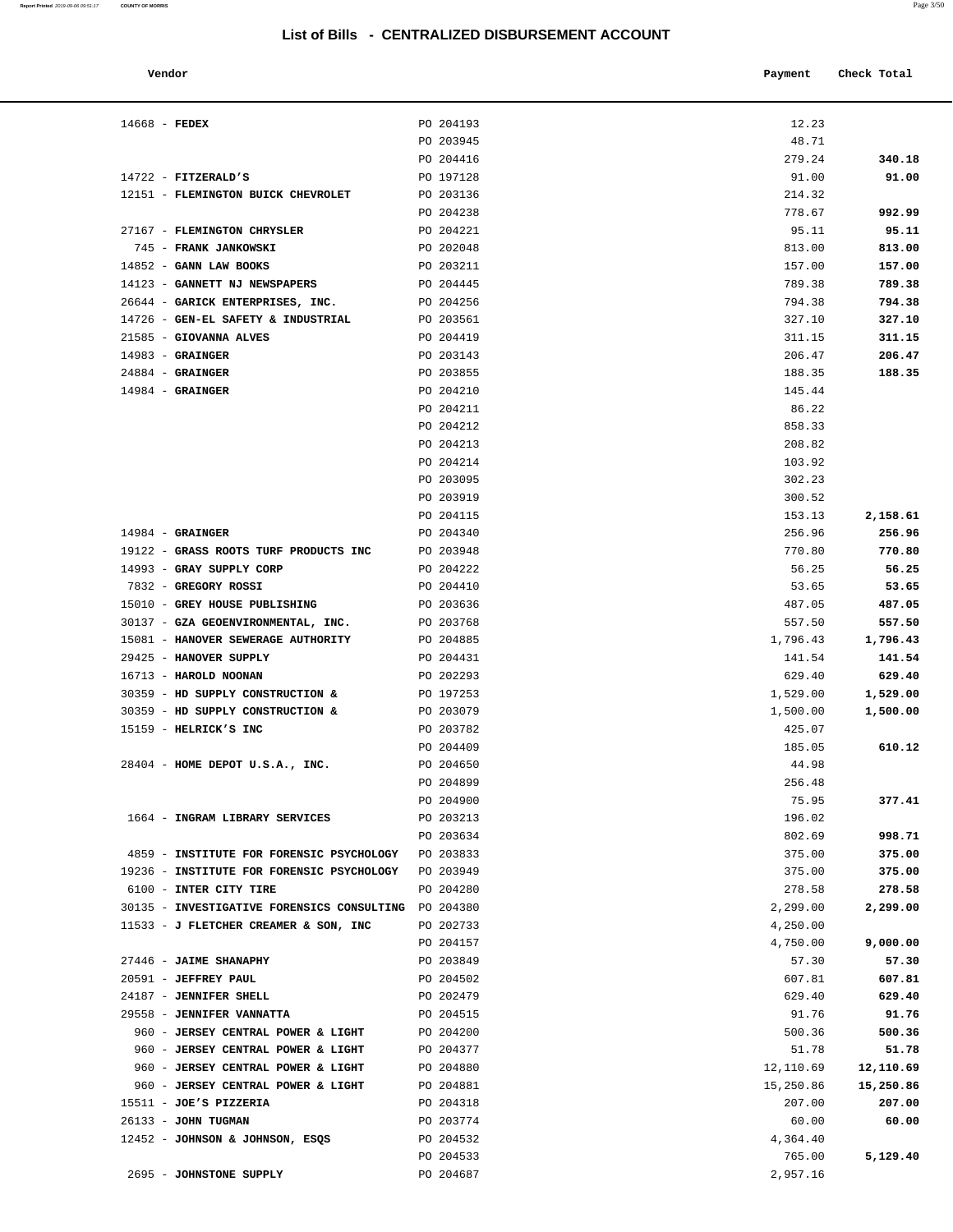| Vendor                                               |           | Payment   | Check Total |
|------------------------------------------------------|-----------|-----------|-------------|
| $14668$ - FEDEX                                      | PO 204193 | 12.23     |             |
|                                                      | PO 203945 | 48.71     |             |
|                                                      | PO 204416 | 279.24    | 340.18      |
| $14722$ - FITZERALD'S                                | PO 197128 | 91.00     | 91.00       |
| 12151 - FLEMINGTON BUICK CHEVROLET                   | PO 203136 | 214.32    |             |
|                                                      | PO 204238 | 778.67    | 992.99      |
| 27167 - FLEMINGTON CHRYSLER                          | PO 204221 | 95.11     | 95.11       |
| 745 - FRANK JANKOWSKI                                | PO 202048 | 813.00    | 813.00      |
| $14852$ - GANN LAW BOOKS                             | PO 203211 | 157.00    | 157.00      |
| 14123 - GANNETT NJ NEWSPAPERS                        | PO 204445 | 789.38    | 789.38      |
| 26644 - GARICK ENTERPRISES, INC.                     | PO 204256 | 794.38    | 794.38      |
| 14726 - GEN-EL SAFETY & INDUSTRIAL                   | PO 203561 | 327.10    | 327.10      |
| 21585 - GIOVANNA ALVES                               | PO 204419 | 311.15    | 311.15      |
| $14983$ - GRAINGER                                   | PO 203143 | 206.47    | 206.47      |
| $24884$ - GRAINGER                                   | PO 203855 | 188.35    | 188.35      |
| $14984$ - GRAINGER                                   | PO 204210 | 145.44    |             |
|                                                      | PO 204211 | 86.22     |             |
|                                                      | PO 204212 | 858.33    |             |
|                                                      | PO 204213 | 208.82    |             |
|                                                      | PO 204214 | 103.92    |             |
|                                                      | PO 203095 | 302.23    |             |
|                                                      | PO 203919 | 300.52    |             |
|                                                      | PO 204115 | 153.13    | 2,158.61    |
| $14984$ - GRAINGER                                   | PO 204340 | 256.96    | 256.96      |
| 19122 - GRASS ROOTS TURF PRODUCTS INC                | PO 203948 | 770.80    | 770.80      |
| 14993 - GRAY SUPPLY CORP                             | PO 204222 | 56.25     | 56.25       |
| 7832 - GREGORY ROSSI                                 | PO 204410 | 53.65     | 53.65       |
| 15010 - GREY HOUSE PUBLISHING                        | PO 203636 | 487.05    | 487.05      |
| 30137 - GZA GEOENVIRONMENTAL, INC.                   | PO 203768 | 557.50    | 557.50      |
| 15081 - HANOVER SEWERAGE AUTHORITY                   | PO 204885 | 1,796.43  | 1,796.43    |
| 29425 - HANOVER SUPPLY                               | PO 204431 | 141.54    | 141.54      |
| 16713 - HAROLD NOONAN                                | PO 202293 | 629.40    | 629.40      |
| 30359 - HD SUPPLY CONSTRUCTION &                     | PO 197253 | 1,529.00  | 1,529.00    |
| 30359 - HD SUPPLY CONSTRUCTION &                     | PO 203079 | 1,500.00  | 1,500.00    |
| 15159 - HELRICK'S INC                                | PO 203782 | 425.07    |             |
|                                                      | PO 204409 | 185.05    | 610.12      |
| $28404$ - HOME DEPOT U.S.A., INC.                    | PO 204650 | 44.98     |             |
|                                                      | PO 204899 | 256.48    |             |
|                                                      | PO 204900 | 75.95     | 377.41      |
| 1664 - INGRAM LIBRARY SERVICES                       | PO 203213 | 196.02    |             |
|                                                      | PO 203634 | 802.69    | 998.71      |
| 4859 - INSTITUTE FOR FORENSIC PSYCHOLOGY PO 203833   |           | 375.00    | 375.00      |
| 19236 - INSTITUTE FOR FORENSIC PSYCHOLOGY PO 203949  |           | 375.00    | 375.00      |
| 6100 - INTER CITY TIRE                               | PO 204280 | 278.58    | 278.58      |
| 30135 - INVESTIGATIVE FORENSICS CONSULTING PO 204380 |           | 2,299.00  | 2,299.00    |
| 11533 - J FLETCHER CREAMER & SON, INC                | PO 202733 | 4,250.00  |             |
|                                                      | PO 204157 | 4,750.00  | 9,000.00    |
| 27446 - JAIME SHANAPHY                               | PO 203849 | 57.30     | 57.30       |
| 20591 - JEFFREY PAUL                                 | PO 204502 | 607.81    | 607.81      |
| 24187 - JENNIFER SHELL                               | PO 202479 | 629.40    | 629.40      |
| 29558 - JENNIFER VANNATTA                            | PO 204515 | 91.76     | 91.76       |
| 960 - JERSEY CENTRAL POWER & LIGHT                   | PO 204200 | 500.36    | 500.36      |
| 960 - JERSEY CENTRAL POWER & LIGHT                   | PO 204377 | 51.78     | 51.78       |
| 960 - JERSEY CENTRAL POWER & LIGHT                   | PO 204880 | 12,110.69 | 12,110.69   |
| 960 - JERSEY CENTRAL POWER & LIGHT                   | PO 204881 | 15,250.86 | 15,250.86   |
| $15511 - JOE'S$ PIZZERIA                             | PO 204318 | 207.00    | 207.00      |
| 26133 - JOHN TUGMAN                                  | PO 203774 | 60.00     | 60.00       |
| 12452 - JOHNSON & JOHNSON, ESQS                      | PO 204532 | 4,364.40  |             |
|                                                      | PO 204533 | 765.00    | 5,129.40    |
| 2695 - JOHNSTONE SUPPLY                              | PO 204687 | 2,957.16  |             |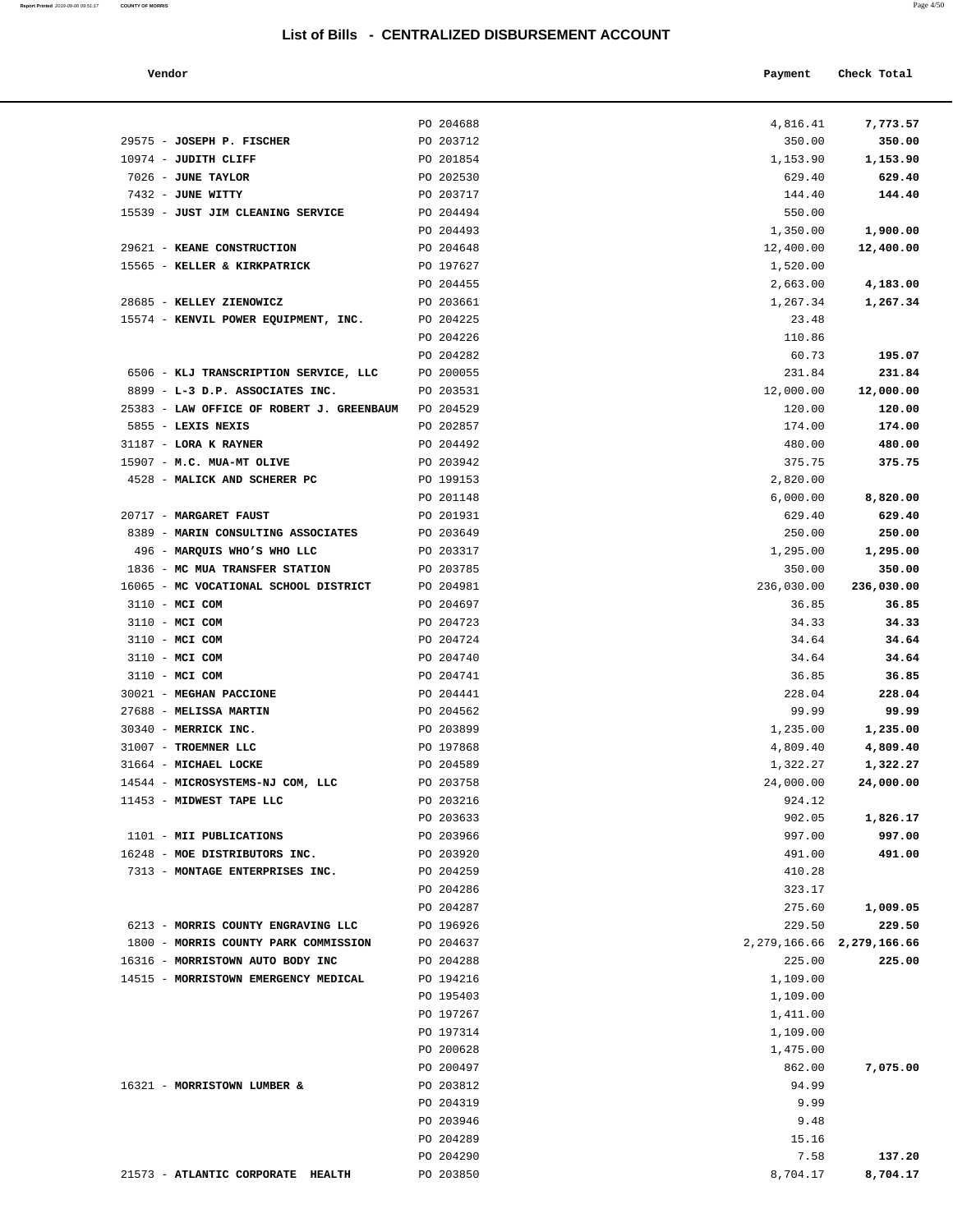| Report Printed 2019-09-06 09:51:17 COUNTY OF MORRIS | Page 4/50 |
|-----------------------------------------------------|-----------|
|                                                     |           |

| Vendor                                             |                        | Payment          | Check Total                     |
|----------------------------------------------------|------------------------|------------------|---------------------------------|
|                                                    | PO 204688              | 4,816.41         | 7,773.57                        |
| 29575 - JOSEPH P. FISCHER                          | PO 203712              | 350.00           | 350.00                          |
| 10974 - JUDITH CLIFF                               | PO 201854              | 1,153.90         | 1,153.90                        |
| 7026 - JUNE TAYLOR                                 | PO 202530              | 629.40           | 629.40                          |
| 7432 - JUNE WITTY                                  | PO 203717              | 144.40           | 144.40                          |
| 15539 - JUST JIM CLEANING SERVICE                  | PO 204494              | 550.00           |                                 |
|                                                    | PO 204493              | 1,350.00         | 1,900.00                        |
| 29621 - KEANE CONSTRUCTION                         | PO 204648              | 12,400.00        | 12,400.00                       |
| 15565 - KELLER & KIRKPATRICK                       | PO 197627              | 1,520.00         |                                 |
|                                                    | PO 204455              | 2,663.00         | 4,183.00                        |
| 28685 - KELLEY ZIENOWICZ                           | PO 203661              | 1,267.34         | 1,267.34                        |
| 15574 - KENVIL POWER EQUIPMENT, INC.               | PO 204225              | 23.48            |                                 |
|                                                    | PO 204226              | 110.86           |                                 |
|                                                    | PO 204282              | 60.73            | 195.07                          |
| 6506 - KLJ TRANSCRIPTION SERVICE, LLC              | PO 200055              | 231.84           | 231.84                          |
| 8899 - L-3 D.P. ASSOCIATES INC.                    | PO 203531              | 12,000.00        | 12,000.00                       |
| 25383 - LAW OFFICE OF ROBERT J. GREENBAUM          | PO 204529              | 120.00           | 120.00                          |
| 5855 - LEXIS NEXIS                                 | PO 202857              | 174.00           | 174.00                          |
| 31187 - LORA K RAYNER<br>15907 - M.C. MUA-MT OLIVE | PO 204492<br>PO 203942 | 480.00<br>375.75 | 480.00<br>375.75                |
| 4528 - MALICK AND SCHERER PC                       | PO 199153              | 2,820.00         |                                 |
|                                                    | PO 201148              | 6,000.00         | 8,820.00                        |
| 20717 - MARGARET FAUST                             | PO 201931              | 629.40           | 629.40                          |
| 8389 - MARIN CONSULTING ASSOCIATES                 | PO 203649              | 250.00           | 250.00                          |
| 496 - MARQUIS WHO'S WHO LLC                        | PO 203317              | 1,295.00         | 1,295.00                        |
| 1836 - MC MUA TRANSFER STATION                     | PO 203785              | 350.00           | 350.00                          |
| 16065 - MC VOCATIONAL SCHOOL DISTRICT              | PO 204981              | 236,030.00       | 236,030.00                      |
| 3110 - MCI COM                                     | PO 204697              | 36.85            | 36.85                           |
| 3110 - MCI COM                                     | PO 204723              | 34.33            | 34.33                           |
| 3110 - MCI COM                                     | PO 204724              | 34.64            | 34.64                           |
| 3110 - MCI COM                                     | PO 204740              | 34.64            | 34.64                           |
| 3110 - MCI COM                                     | PO 204741              | 36.85            | 36.85                           |
| 30021 - MEGHAN PACCIONE                            | PO 204441              | 228.04           | 228.04                          |
| 27688 - MELISSA MARTIN                             | PO 204562              | 99.99            | 99.99                           |
| 30340 - MERRICK INC.                               | PO 203899              | 1,235.00         | 1,235.00                        |
| 31007 - TROEMNER LLC                               | PO 197868              | 4,809.40         | 4,809.40                        |
| 31664 - MICHAEL LOCKE                              | PO 204589              | 1,322.27         | 1,322.27                        |
| 14544 - MICROSYSTEMS-NJ COM, LLC                   | PO 203758              | 24,000.00        | 24,000.00                       |
| 11453 - MIDWEST TAPE LLC                           | PO 203216              | 924.12           |                                 |
|                                                    | PO 203633              | 902.05           | 1,826.17                        |
| 1101 - MII PUBLICATIONS                            | PO 203966              | 997.00           | 997.00                          |
| 16248 - MOE DISTRIBUTORS INC.                      | PO 203920              | 491.00           | 491.00                          |
| 7313 - MONTAGE ENTERPRISES INC.                    | PO 204259              | 410.28           |                                 |
|                                                    | PO 204286              | 323.17           |                                 |
| 6213 - MORRIS COUNTY ENGRAVING LLC                 | PO 204287<br>PO 196926 | 275.60<br>229.50 | 1,009.05<br>229.50              |
| 1800 - MORRIS COUNTY PARK COMMISSION               | PO 204637              |                  | 2, 279, 166. 66 2, 279, 166. 66 |
| 16316 - MORRISTOWN AUTO BODY INC                   | PO 204288              | 225.00           | 225.00                          |
| 14515 - MORRISTOWN EMERGENCY MEDICAL               | PO 194216              | 1,109.00         |                                 |
|                                                    | PO 195403              | 1,109.00         |                                 |
|                                                    | PO 197267              | 1,411.00         |                                 |
|                                                    | PO 197314              | 1,109.00         |                                 |
|                                                    | PO 200628              | 1,475.00         |                                 |
|                                                    | PO 200497              | 862.00           | 7,075.00                        |
| 16321 - MORRISTOWN LUMBER &                        | PO 203812              | 94.99            |                                 |
|                                                    | PO 204319              | 9.99             |                                 |
|                                                    | PO 203946              | 9.48             |                                 |

|                                                     |  | PO 204688 | 4,816.41     | 7,773.57     |
|-----------------------------------------------------|--|-----------|--------------|--------------|
| 29575 - JOSEPH P. FISCHER                           |  | PO 203712 | 350.00       | 350.00       |
| 10974 - JUDITH CLIFF                                |  | PO 201854 | 1,153.90     | 1,153.90     |
| 7026 - JUNE TAYLOR                                  |  | PO 202530 | 629.40       | 629.40       |
| 7432 - JUNE WITTY                                   |  | PO 203717 | 144.40       | 144.40       |
| 15539 - JUST JIM CLEANING SERVICE                   |  | PO 204494 | 550.00       |              |
|                                                     |  | PO 204493 | 1,350.00     | 1,900.00     |
| 29621 - KEANE CONSTRUCTION                          |  | PO 204648 | 12,400.00    | 12,400.00    |
| 15565 - KELLER & KIRKPATRICK                        |  | PO 197627 | 1,520.00     |              |
|                                                     |  | PO 204455 | 2,663.00     | 4,183.00     |
| 28685 - KELLEY ZIENOWICZ                            |  | PO 203661 | 1,267.34     | 1,267.34     |
| 15574 - KENVIL POWER EQUIPMENT, INC.                |  | PO 204225 | 23.48        |              |
|                                                     |  | PO 204226 | 110.86       |              |
|                                                     |  | PO 204282 | 60.73        | 195.07       |
| 6506 - KLJ TRANSCRIPTION SERVICE, LLC               |  | PO 200055 | 231.84       | 231.84       |
|                                                     |  |           |              |              |
| 8899 - L-3 D.P. ASSOCIATES INC.                     |  | PO 203531 | 12,000.00    | 12,000.00    |
| 25383 - LAW OFFICE OF ROBERT J. GREENBAUM PO 204529 |  |           | 120.00       | 120.00       |
| 5855 - LEXIS NEXIS                                  |  | PO 202857 | 174.00       | 174.00       |
| 31187 - LORA K RAYNER                               |  | PO 204492 | 480.00       | 480.00       |
| 15907 - M.C. MUA-MT OLIVE                           |  | PO 203942 | 375.75       | 375.75       |
| 4528 - MALICK AND SCHERER PC                        |  | PO 199153 | 2,820.00     |              |
|                                                     |  | PO 201148 | 6,000.00     | 8,820.00     |
| 20717 - MARGARET FAUST                              |  | PO 201931 | 629.40       | 629.40       |
| 8389 - MARIN CONSULTING ASSOCIATES                  |  | PO 203649 | 250.00       | 250.00       |
| 496 - MARQUIS WHO'S WHO LLC                         |  | PO 203317 | 1,295.00     | 1,295.00     |
| 1836 - MC MUA TRANSFER STATION                      |  | PO 203785 | 350.00       | 350.00       |
| 16065 - MC VOCATIONAL SCHOOL DISTRICT               |  | PO 204981 | 236,030.00   | 236,030.00   |
| 3110 - MCI COM                                      |  | PO 204697 | 36.85        | 36.85        |
| 3110 - MCI COM                                      |  | PO 204723 | 34.33        | 34.33        |
| 3110 - MCI COM                                      |  | PO 204724 | 34.64        | 34.64        |
| 3110 - MCI COM                                      |  | PO 204740 | 34.64        | 34.64        |
| 3110 - MCI COM                                      |  | PO 204741 | 36.85        | 36.85        |
| 30021 - MEGHAN PACCIONE                             |  | PO 204441 | 228.04       | 228.04       |
| 27688 - MELISSA MARTIN                              |  | PO 204562 | 99.99        | 99.99        |
| 30340 - MERRICK INC.                                |  | PO 203899 | 1,235.00     | 1,235.00     |
| 31007 - TROEMNER LLC                                |  | PO 197868 | 4,809.40     | 4,809.40     |
| 31664 - MICHAEL LOCKE                               |  | PO 204589 | 1,322.27     | 1,322.27     |
| 14544 - MICROSYSTEMS-NJ COM, LLC                    |  | PO 203758 | 24,000.00    | 24,000.00    |
| 11453 - MIDWEST TAPE LLC                            |  | PO 203216 | 924.12       |              |
|                                                     |  | PO 203633 | 902.05       | 1,826.17     |
| 1101 - MII PUBLICATIONS                             |  | PO 203966 | 997.00       | 997.00       |
| 16248 - MOE DISTRIBUTORS INC.                       |  | PO 203920 | 491.00       | 491.00       |
| 7313 - MONTAGE ENTERPRISES INC.                     |  | PO 204259 | 410.28       |              |
|                                                     |  | PO 204286 | 323.17       |              |
|                                                     |  | PO 204287 | 275.60       | 1,009.05     |
| 6213 - MORRIS COUNTY ENGRAVING LLC                  |  | PO 196926 | 229.50       | 229.50       |
| 1800 - MORRIS COUNTY PARK COMMISSION                |  | PO 204637 | 2,279,166.66 | 2,279,166.66 |
| 16316 - MORRISTOWN AUTO BODY INC                    |  | PO 204288 | 225.00       | 225.00       |
| 14515 - MORRISTOWN EMERGENCY MEDICAL                |  | PO 194216 | 1,109.00     |              |
|                                                     |  | PO 195403 | 1,109.00     |              |
|                                                     |  | PO 197267 | 1,411.00     |              |
|                                                     |  | PO 197314 | 1,109.00     |              |
|                                                     |  | PO 200628 | 1,475.00     |              |
|                                                     |  | PO 200497 | 862.00       | 7,075.00     |
| 16321 - MORRISTOWN LUMBER &                         |  | PO 203812 | 94.99        |              |
|                                                     |  | PO 204319 | 9.99         |              |
|                                                     |  | PO 203946 | 9.48         |              |
|                                                     |  | PO 204289 | 15.16        |              |
|                                                     |  | PO 204290 | 7.58         | 137.20       |
|                                                     |  |           |              |              |

21573 - **ATLANTIC CORPORATE HEALTH** PO 203850 8,704.17 **8,704.17**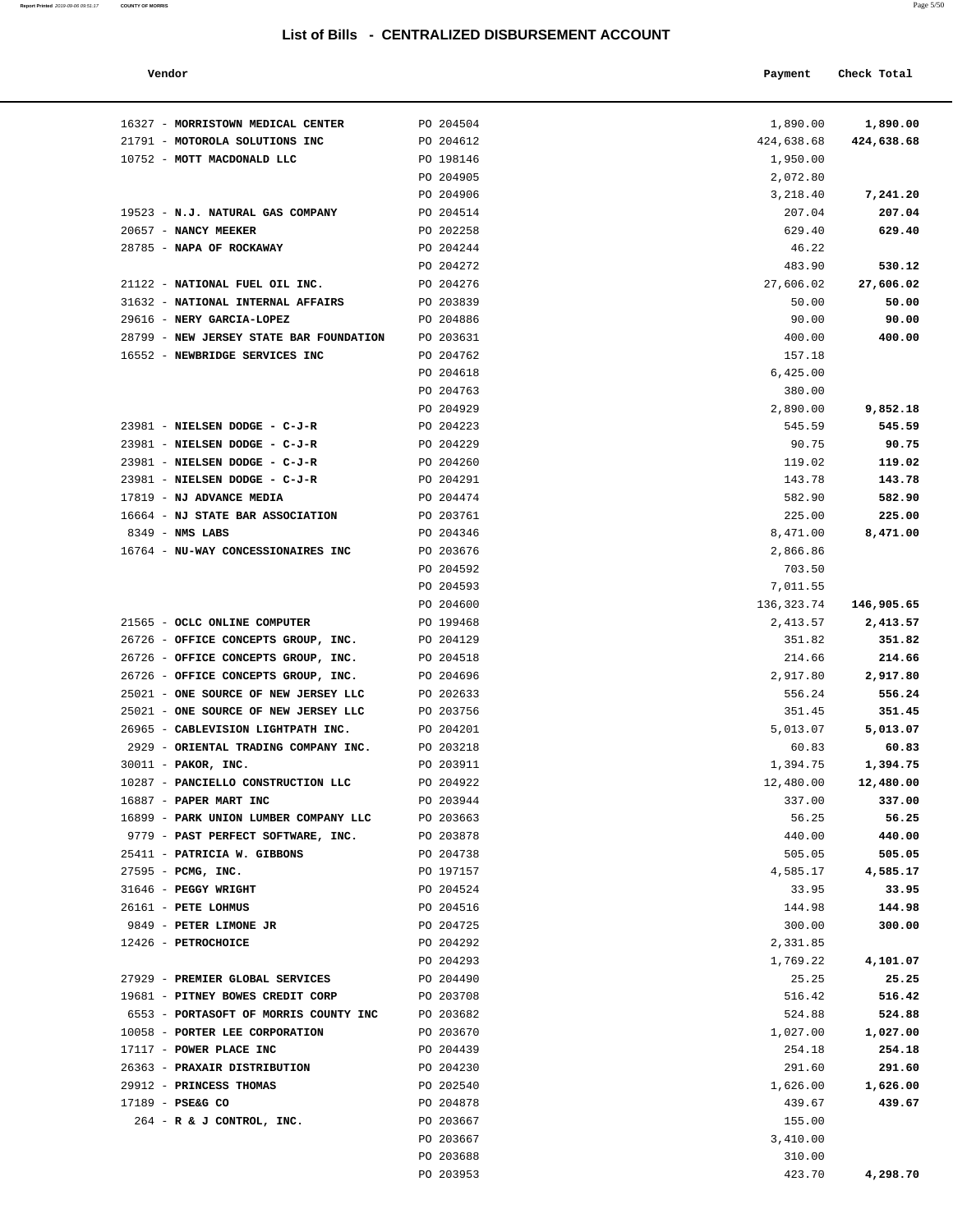| Vendor |  | Payment Check Total |
|--------|--|---------------------|
|--------|--|---------------------|

| 16327 - MORRISTOWN MEDICAL CENTER                                           | PO 204504              | 1,890.00           | 1,890.00           |
|-----------------------------------------------------------------------------|------------------------|--------------------|--------------------|
| 21791 - MOTOROLA SOLUTIONS INC                                              | PO 204612              | 424,638.68         | 424,638.68         |
| 10752 - MOTT MACDONALD LLC                                                  | PO 198146              | 1,950.00           |                    |
|                                                                             | PO 204905              | 2,072.80           |                    |
|                                                                             | PO 204906              | 3,218.40           | 7,241.20           |
| 19523 - N.J. NATURAL GAS COMPANY                                            | PO 204514              | 207.04             | 207.04             |
| 20657 - NANCY MEEKER                                                        | PO 202258              | 629.40             | 629.40             |
| 28785 - NAPA OF ROCKAWAY                                                    | PO 204244              | 46.22              |                    |
|                                                                             | PO 204272              | 483.90             | 530.12             |
| 21122 - NATIONAL FUEL OIL INC.                                              | PO 204276              | 27,606.02          | 27,606.02          |
| 31632 - NATIONAL INTERNAL AFFAIRS                                           | PO 203839              | 50.00              | 50.00              |
| 29616 - NERY GARCIA-LOPEZ                                                   | PO 204886              | 90.00              | 90.00              |
| 28799 - NEW JERSEY STATE BAR FOUNDATION                                     | PO 203631              | 400.00             | 400.00             |
| 16552 - NEWBRIDGE SERVICES INC                                              | PO 204762              | 157.18             |                    |
|                                                                             | PO 204618              | 6,425.00           |                    |
|                                                                             | PO 204763              | 380.00             |                    |
|                                                                             | PO 204929              | 2,890.00           | 9,852.18           |
| 23981 - NIELSEN DODGE - C-J-R                                               | PO 204223              | 545.59             | 545.59             |
| 23981 - NIELSEN DODGE - C-J-R                                               | PO 204229              | 90.75              | 90.75              |
| 23981 - NIELSEN DODGE - C-J-R                                               | PO 204260              | 119.02             | 119.02             |
| 23981 - NIELSEN DODGE - C-J-R                                               | PO 204291              | 143.78             | 143.78             |
| 17819 - NJ ADVANCE MEDIA                                                    | PO 204474              | 582.90             | 582.90             |
| 16664 - NJ STATE BAR ASSOCIATION                                            | PO 203761              | 225.00             | 225.00             |
| $8349$ - NMS LABS                                                           | PO 204346              | 8,471.00           | 8,471.00           |
| 16764 - NU-WAY CONCESSIONAIRES INC                                          | PO 203676              | 2,866.86           |                    |
|                                                                             | PO 204592              | 703.50             |                    |
|                                                                             | PO 204593              | 7,011.55           |                    |
|                                                                             | PO 204600              | 136,323.74         | 146,905.65         |
| 21565 - OCLC ONLINE COMPUTER                                                | PO 199468              | 2,413.57           | 2,413.57           |
| 26726 - OFFICE CONCEPTS GROUP, INC.                                         | PO 204129              | 351.82             | 351.82             |
| 26726 - OFFICE CONCEPTS GROUP, INC.                                         | PO 204518              | 214.66             | 214.66             |
| 26726 - OFFICE CONCEPTS GROUP, INC.<br>25021 - ONE SOURCE OF NEW JERSEY LLC | PO 204696<br>PO 202633 | 2,917.80<br>556.24 | 2,917.80<br>556.24 |
| 25021 - ONE SOURCE OF NEW JERSEY LLC                                        | PO 203756              | 351.45             | 351.45             |
| 26965 - CABLEVISION LIGHTPATH INC.                                          | PO 204201              | 5,013.07           | 5,013.07           |
| 2929 - ORIENTAL TRADING COMPANY INC.                                        | PO 203218              | 60.83              | 60.83              |
| 30011 - PAKOR, INC.                                                         | PO 203911              | 1,394.75           | 1,394.75           |
| 10287 - PANCIELLO CONSTRUCTION LLC                                          | PO 204922              | 12,480.00          | 12,480.00          |
| 16887 - PAPER MART INC                                                      | PO 203944              | 337.00             | 337.00             |
| 16899 - PARK UNION LUMBER COMPANY LLC                                       | PO 203663              | 56.25              | 56.25              |
| 9779 - PAST PERFECT SOFTWARE, INC.                                          | PO 203878              | 440.00             | 440.00             |
| 25411 - PATRICIA W. GIBBONS                                                 | PO 204738              | 505.05             | 505.05             |
| $27595$ - PCMG, INC.                                                        | PO 197157              | 4,585.17           | 4,585.17           |
| 31646 - PEGGY WRIGHT                                                        | PO 204524              | 33.95              | 33.95              |
| 26161 - PETE LOHMUS                                                         | PO 204516              | 144.98             | 144.98             |
| 9849 - PETER LIMONE JR                                                      | PO 204725              | 300.00             | 300.00             |
| 12426 - PETROCHOICE                                                         | PO 204292              | 2,331.85           |                    |
|                                                                             | PO 204293              | 1,769.22           | 4,101.07           |
| 27929 - PREMIER GLOBAL SERVICES                                             | PO 204490              | 25.25              | 25.25              |
| 19681 - PITNEY BOWES CREDIT CORP                                            | PO 203708              | 516.42             | 516.42             |
| 6553 - PORTASOFT OF MORRIS COUNTY INC                                       | PO 203682              | 524.88             | 524.88             |
| 10058 - PORTER LEE CORPORATION                                              | PO 203670              | 1,027.00           | 1,027.00           |
| 17117 - POWER PLACE INC                                                     | PO 204439              | 254.18             | 254.18             |
| 26363 - PRAXAIR DISTRIBUTION                                                | PO 204230              | 291.60             | 291.60             |
| 29912 - PRINCESS THOMAS                                                     | PO 202540              | 1,626.00           | 1,626.00           |
| $17189 - PSE&G CO$                                                          | PO 204878              | 439.67             | 439.67             |
| $264$ - R & J CONTROL, INC.                                                 | PO 203667              | 155.00             |                    |
|                                                                             | PO 203667              | 3,410.00           |                    |
|                                                                             | PO 203688              | 310.00             |                    |
|                                                                             | PO 203953              | 423.70             | 4,298.70           |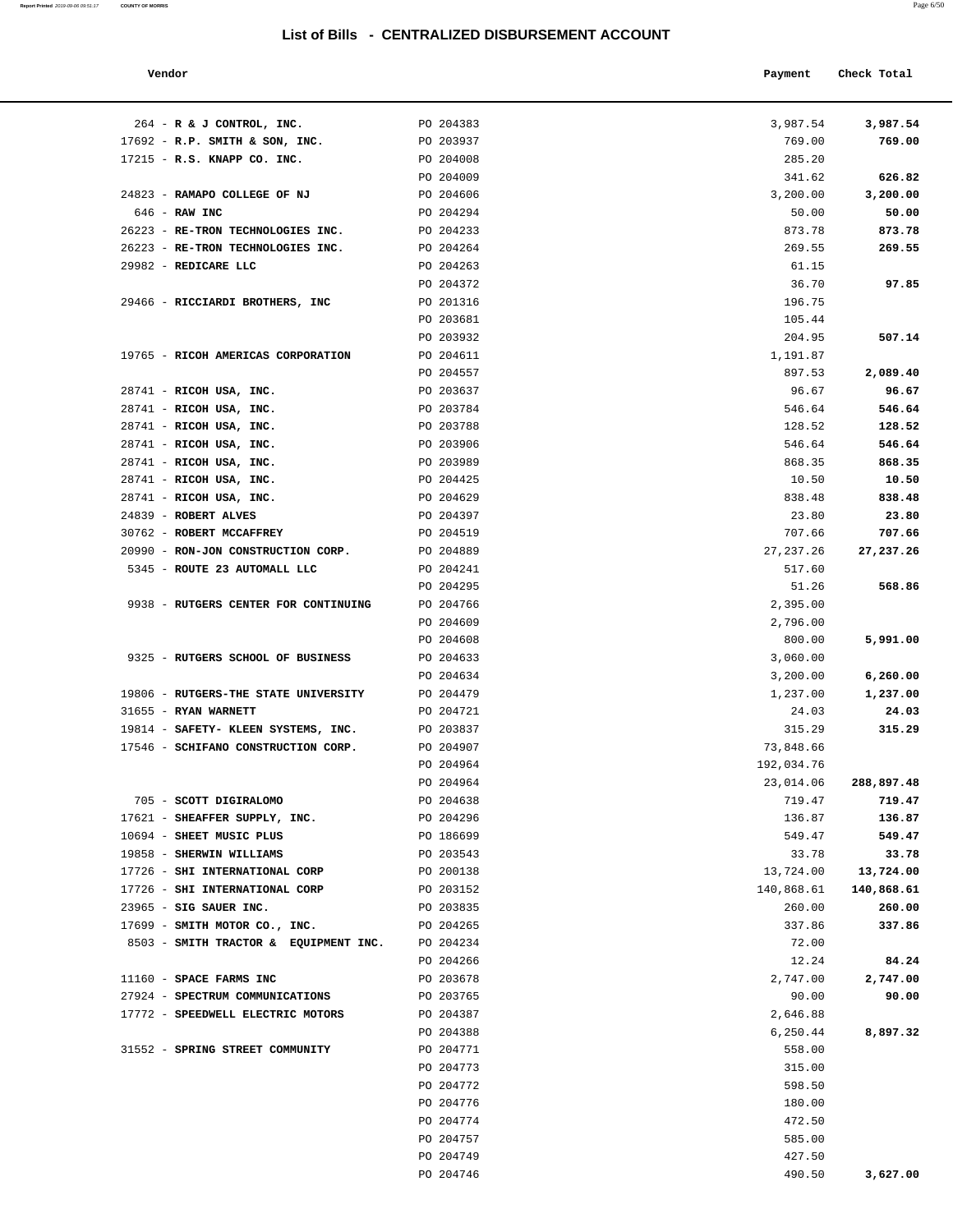| Vendor |  | Payment Check Total |
|--------|--|---------------------|
|--------|--|---------------------|

| $264$ - R & J CONTROL, INC.           | PO 204383              | 3,987.54         | 3,987.54   |
|---------------------------------------|------------------------|------------------|------------|
| $17692$ - R.P. SMITH & SON, INC.      | PO 203937              | 769.00           | 769.00     |
| 17215 - R.S. KNAPP CO. INC.           | PO 204008              | 285.20           |            |
|                                       | PO 204009              | 341.62           | 626.82     |
| 24823 - RAMAPO COLLEGE OF NJ          | PO 204606              | 3,200.00         | 3,200.00   |
| 646 - RAW INC                         | PO 204294              | 50.00            | 50.00      |
| 26223 - RE-TRON TECHNOLOGIES INC.     | PO 204233              | 873.78           | 873.78     |
| 26223 - RE-TRON TECHNOLOGIES INC.     | PO 204264              | 269.55           | 269.55     |
| 29982 - REDICARE LLC                  | PO 204263              | 61.15            |            |
|                                       | PO 204372              | 36.70            | 97.85      |
| 29466 - RICCIARDI BROTHERS, INC       | PO 201316              | 196.75           |            |
|                                       | PO 203681              | 105.44           |            |
|                                       | PO 203932              | 204.95           | 507.14     |
| 19765 - RICOH AMERICAS CORPORATION    | PO 204611              | 1,191.87         |            |
|                                       | PO 204557              | 897.53           | 2,089.40   |
| 28741 - RICOH USA, INC.               | PO 203637              | 96.67            | 96.67      |
| 28741 - RICOH USA, INC.               | PO 203784              | 546.64           | 546.64     |
| 28741 - RICOH USA, INC.               | PO 203788              | 128.52           | 128.52     |
| 28741 - RICOH USA, INC.               | PO 203906              | 546.64           | 546.64     |
| 28741 - RICOH USA, INC.               | PO 203989              | 868.35           | 868.35     |
| $28741$ - RICOH USA, INC.             | PO 204425              | 10.50            | 10.50      |
| 28741 - RICOH USA, INC.               | PO 204629              | 838.48           | 838.48     |
| 24839 - ROBERT ALVES                  | PO 204397              | 23.80            | 23.80      |
| 30762 - ROBERT MCCAFFREY              | PO 204519              | 707.66           | 707.66     |
| 20990 - RON-JON CONSTRUCTION CORP.    | PO 204889              | 27, 237. 26      | 27,237.26  |
| 5345 - ROUTE 23 AUTOMALL LLC          | PO 204241              | 517.60           |            |
|                                       | PO 204295              | 51.26            | 568.86     |
| 9938 - RUTGERS CENTER FOR CONTINUING  | PO 204766              | 2,395.00         |            |
|                                       | PO 204609              | 2,796.00         |            |
|                                       | PO 204608              | 800.00           | 5,991.00   |
| 9325 - RUTGERS SCHOOL OF BUSINESS     | PO 204633              | 3,060.00         |            |
|                                       | PO 204634              | 3,200.00         | 6,260.00   |
| 19806 - RUTGERS-THE STATE UNIVERSITY  | PO 204479              | 1,237.00         | 1,237.00   |
| 31655 - RYAN WARNETT                  | PO 204721              | 24.03            | 24.03      |
| 19814 - SAFETY- KLEEN SYSTEMS, INC.   | PO 203837              | 315.29           | 315.29     |
| 17546 - SCHIFANO CONSTRUCTION CORP.   | PO 204907              | 73,848.66        |            |
|                                       | PO 204964              | 192,034.76       |            |
|                                       | PO 204964              | 23,014.06        | 288,897.48 |
| 705 - SCOTT DIGIRALOMO                | PO 204638              | 719.47           | 719.47     |
| 17621 - SHEAFFER SUPPLY, INC.         | PO 204296              | 136.87           | 136.87     |
| 10694 - SHEET MUSIC PLUS              | PO 186699              | 549.47           | 549.47     |
| 19858 - SHERWIN WILLIAMS              | PO 203543              | 33.78            | 33.78      |
| 17726 - SHI INTERNATIONAL CORP        | PO 200138              | 13,724.00        | 13,724.00  |
| 17726 - SHI INTERNATIONAL CORP        | PO 203152              | 140,868.61       | 140,868.61 |
| 23965 - SIG SAUER INC.                | PO 203835              | 260.00           | 260.00     |
| 17699 - SMITH MOTOR CO., INC.         | PO 204265              | 337.86           | 337.86     |
| 8503 - SMITH TRACTOR & EQUIPMENT INC. | PO 204234              | 72.00            |            |
|                                       | PO 204266              | 12.24            | 84.24      |
| 11160 - SPACE FARMS INC               | PO 203678              | 2,747.00         | 2,747.00   |
| 27924 - SPECTRUM COMMUNICATIONS       | PO 203765              | 90.00            | 90.00      |
| 17772 - SPEEDWELL ELECTRIC MOTORS     | PO 204387              | 2,646.88         |            |
|                                       | PO 204388              | 6,250.44         | 8,897.32   |
| 31552 - SPRING STREET COMMUNITY       | PO 204771              | 558.00           |            |
|                                       | PO 204773              | 315.00           |            |
|                                       | PO 204772              | 598.50           |            |
|                                       | PO 204776<br>PO 204774 | 180.00<br>472.50 |            |
|                                       | PO 204757              | 585.00           |            |
|                                       | PO 204749              | 427.50           |            |
|                                       | PO 204746              | 490.50           | 3,627.00   |
|                                       |                        |                  |            |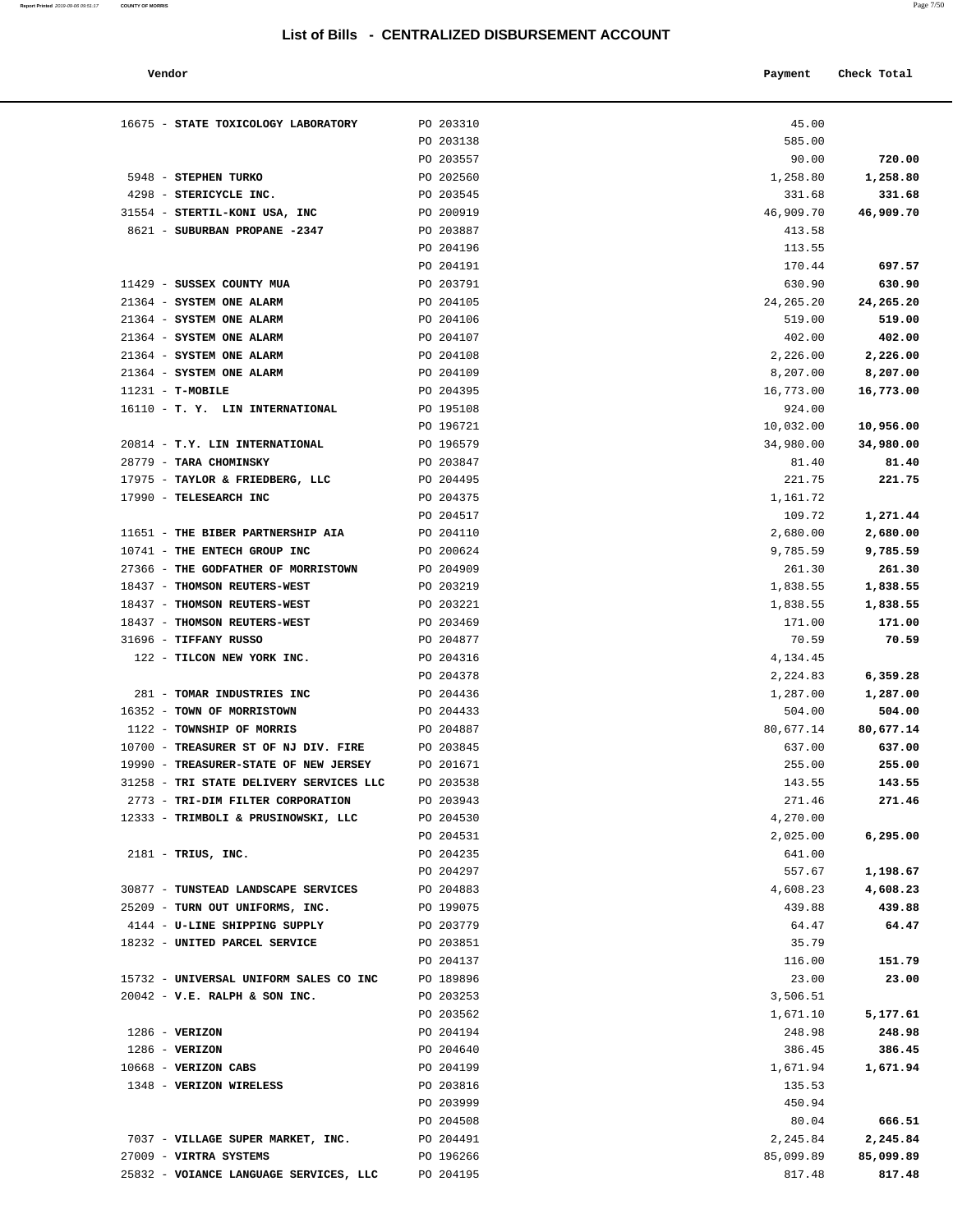| 16675 - STATE TOXICOLOGY LABORATORY                                              | PO 203310              | 45.00               |                  |
|----------------------------------------------------------------------------------|------------------------|---------------------|------------------|
|                                                                                  | PO 203138              | 585.00              |                  |
|                                                                                  | PO 203557              | 90.00               | 720.00           |
| 5948 - STEPHEN TURKO                                                             | PO 202560              | 1,258.80            | 1,258.80         |
| 4298 - STERICYCLE INC.                                                           | PO 203545              | 331.68              | 331.68           |
| 31554 - STERTIL-KONI USA, INC<br>8621 - SUBURBAN PROPANE -2347                   | PO 200919<br>PO 203887 | 46,909.70<br>413.58 | 46,909.70        |
|                                                                                  | PO 204196              | 113.55              |                  |
|                                                                                  | PO 204191              | 170.44              | 697.57           |
| 11429 - SUSSEX COUNTY MUA                                                        | PO 203791              | 630.90              | 630.90           |
| 21364 - SYSTEM ONE ALARM                                                         | PO 204105              | 24, 265. 20         | 24,265.20        |
| 21364 - SYSTEM ONE ALARM                                                         | PO 204106              | 519.00              | 519.00           |
| 21364 - SYSTEM ONE ALARM                                                         | PO 204107              | 402.00              | 402.00           |
| 21364 - SYSTEM ONE ALARM                                                         | PO 204108              | 2,226.00            | 2,226.00         |
| 21364 - SYSTEM ONE ALARM                                                         | PO 204109              | 8,207.00            | 8,207.00         |
| $11231 - T-MOBILE$                                                               | PO 204395              | 16,773.00           | 16,773.00        |
| 16110 - T. Y. LIN INTERNATIONAL                                                  | PO 195108              | 924.00              |                  |
|                                                                                  | PO 196721              | 10,032.00           | 10,956.00        |
| 20814 - T.Y. LIN INTERNATIONAL                                                   | PO 196579              | 34,980.00           | 34,980.00        |
| 28779 - TARA CHOMINSKY                                                           | PO 203847              | 81.40               | 81.40            |
| 17975 - TAYLOR & FRIEDBERG, LLC<br>17990 - TELESEARCH INC                        | PO 204495<br>PO 204375 | 221.75              | 221.75           |
|                                                                                  | PO 204517              | 1,161.72<br>109.72  | 1,271.44         |
| 11651 - THE BIBER PARTNERSHIP AIA                                                | PO 204110              | 2,680.00            | 2,680.00         |
| 10741 - THE ENTECH GROUP INC                                                     | PO 200624              | 9,785.59            | 9,785.59         |
| 27366 - THE GODFATHER OF MORRISTOWN                                              | PO 204909              | 261.30              | 261.30           |
| 18437 - THOMSON REUTERS-WEST                                                     | PO 203219              | 1,838.55            | 1,838.55         |
| 18437 - THOMSON REUTERS-WEST                                                     | PO 203221              | 1,838.55            | 1,838.55         |
| 18437 - THOMSON REUTERS-WEST                                                     | PO 203469              | 171.00              | 171.00           |
| 31696 - TIFFANY RUSSO                                                            | PO 204877              | 70.59               | 70.59            |
| 122 - TILCON NEW YORK INC.                                                       | PO 204316              | 4,134.45            |                  |
|                                                                                  | PO 204378              | 2,224.83            | 6,359.28         |
| 281 - TOMAR INDUSTRIES INC                                                       | PO 204436              | 1,287.00            | 1,287.00         |
| 16352 - TOWN OF MORRISTOWN                                                       | PO 204433              | 504.00              | 504.00           |
| 1122 - TOWNSHIP OF MORRIS                                                        | PO 204887              | 80,677.14           | 80,677.14        |
| 10700 - TREASURER ST OF NJ DIV. FIRE                                             | PO 203845<br>PO 201671 | 637.00              | 637.00           |
| 19990 - TREASURER-STATE OF NEW JERSEY<br>31258 - TRI STATE DELIVERY SERVICES LLC | PO 203538              | 255.00<br>143.55    | 255.00<br>143.55 |
| 2773 - TRI-DIM FILTER CORPORATION                                                | PO 203943              | 271.46              | 271.46           |
| 12333 - TRIMBOLI & PRUSINOWSKI, LLC                                              | PO 204530              | 4,270.00            |                  |
|                                                                                  | PO 204531              | 2,025.00            | 6,295.00         |
| $2181$ - TRIUS, INC.                                                             | PO 204235              | 641.00              |                  |
|                                                                                  | PO 204297              | 557.67              | 1,198.67         |
| 30877 - TUNSTEAD LANDSCAPE SERVICES                                              | PO 204883              | 4,608.23            | 4,608.23         |
| 25209 - TURN OUT UNIFORMS, INC.                                                  | PO 199075              | 439.88              | 439.88           |
| 4144 - U-LINE SHIPPING SUPPLY                                                    | PO 203779              | 64.47               | 64.47            |
| 18232 - UNITED PARCEL SERVICE                                                    | PO 203851              | 35.79               |                  |
|                                                                                  | PO 204137              | 116.00              | 151.79           |
| 15732 - UNIVERSAL UNIFORM SALES CO INC                                           | PO 189896              | 23.00               | 23.00            |
| $20042$ - V.E. RALPH & SON INC.                                                  | PO 203253              | 3,506.51            |                  |
|                                                                                  | PO 203562              | 1,671.10            | 5,177.61         |
| $1286 - VERIZON$<br>$1286 - VERIZON$                                             | PO 204194<br>PO 204640 | 248.98<br>386.45    | 248.98<br>386.45 |
| 10668 - VERIZON CABS                                                             | PO 204199              | 1,671.94            | 1,671.94         |
| 1348 - VERIZON WIRELESS                                                          | PO 203816              | 135.53              |                  |
|                                                                                  | PO 203999              | 450.94              |                  |
|                                                                                  | PO 204508              | 80.04               | 666.51           |
| 7037 - VILLAGE SUPER MARKET, INC.                                                | PO 204491              | 2,245.84            | 2,245.84         |
| 27009 - VIRTRA SYSTEMS                                                           | PO 196266              | 85,099.89           | 85,099.89        |
| 25832 - VOIANCE LANGUAGE SERVICES, LLC                                           | PO 204195              | 817.48              | 817.48           |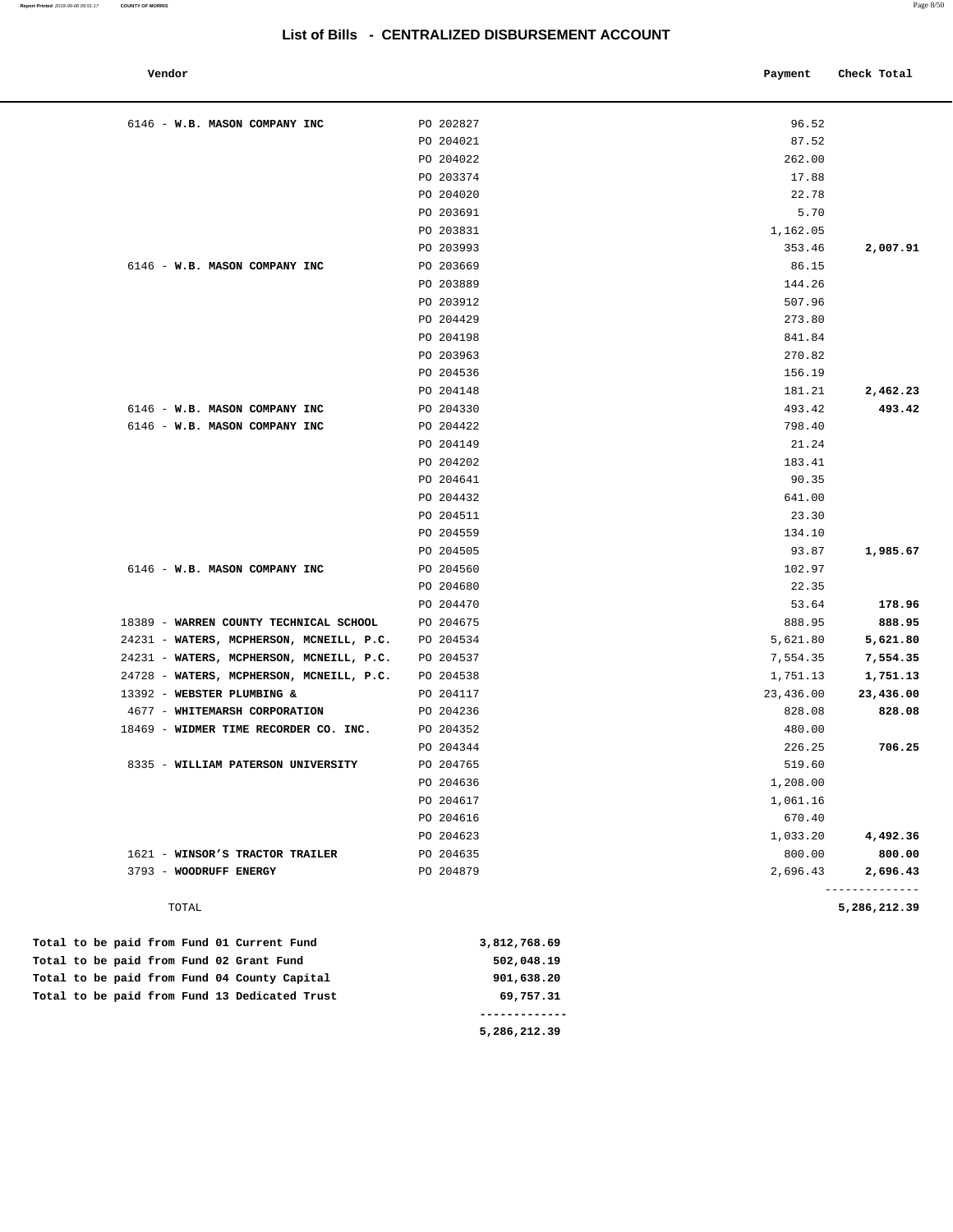| Vendor                                     |              | Payment   | Check Total                |
|--------------------------------------------|--------------|-----------|----------------------------|
| 6146 - W.B. MASON COMPANY INC              | PO 202827    | 96.52     |                            |
|                                            | PO 204021    | 87.52     |                            |
|                                            | PO 204022    | 262.00    |                            |
|                                            | PO 203374    | 17.88     |                            |
|                                            | PO 204020    | 22.78     |                            |
|                                            | PO 203691    | 5.70      |                            |
|                                            | PO 203831    | 1,162.05  |                            |
|                                            | PO 203993    | 353.46    | 2,007.91                   |
| 6146 - W.B. MASON COMPANY INC              | PO 203669    | 86.15     |                            |
|                                            | PO 203889    | 144.26    |                            |
|                                            | PO 203912    | 507.96    |                            |
|                                            | PO 204429    | 273.80    |                            |
|                                            | PO 204198    | 841.84    |                            |
|                                            | PO 203963    | 270.82    |                            |
|                                            | PO 204536    | 156.19    |                            |
|                                            | PO 204148    | 181.21    | 2,462.23                   |
| 6146 - W.B. MASON COMPANY INC              | PO 204330    | 493.42    | 493.42                     |
| 6146 - W.B. MASON COMPANY INC              | PO 204422    | 798.40    |                            |
|                                            | PO 204149    | 21.24     |                            |
|                                            | PO 204202    | 183.41    |                            |
|                                            | PO 204641    | 90.35     |                            |
|                                            | PO 204432    | 641.00    |                            |
|                                            | PO 204511    | 23.30     |                            |
|                                            | PO 204559    | 134.10    |                            |
|                                            | PO 204505    | 93.87     | 1,985.67                   |
| 6146 - W.B. MASON COMPANY INC              | PO 204560    | 102.97    |                            |
|                                            | PO 204680    | 22.35     |                            |
|                                            | PO 204470    | 53.64     | 178.96                     |
| 18389 - WARREN COUNTY TECHNICAL SCHOOL     | PO 204675    | 888.95    | 888.95                     |
| 24231 - WATERS, MCPHERSON, MCNEILL, P.C.   | PO 204534    | 5,621.80  | 5,621.80                   |
| 24231 - WATERS, MCPHERSON, MCNEILL, P.C.   | PO 204537    | 7,554.35  | 7,554.35                   |
| 24728 - WATERS, MCPHERSON, MCNEILL, P.C.   | PO 204538    | 1,751.13  | 1,751.13                   |
| 13392 - WEBSTER PLUMBING &                 | PO 204117    | 23,436.00 | 23,436.00                  |
| 4677 - WHITEMARSH CORPORATION              | PO 204236    | 828.08    | 828.08                     |
| 18469 - WIDMER TIME RECORDER CO. INC.      | PO 204352    | 480.00    |                            |
|                                            | PO 204344    | 226.25    | 706.25                     |
| 8335 - WILLIAM PATERSON UNIVERSITY         | PO 204765    | 519.60    |                            |
|                                            | PO 204636    | 1,208.00  |                            |
|                                            | PO 204617    | 1,061.16  |                            |
|                                            | PO 204616    | 670.40    |                            |
|                                            | PO 204623    | 1,033.20  | 4,492.36                   |
| 1621 - WINSOR'S TRACTOR TRAILER            | PO 204635    | 800.00    | 800.00                     |
| 3793 - WOODRUFF ENERGY                     | PO 204879    | 2,696.43  | 2,696.43<br>-------------- |
| TOTAL                                      |              |           | 5,286,212.39               |
| Total to be paid from Fund 01 Current Fund | 3.812.768.69 |           |                            |

|  |  |  |  |                                               |  | --- --- --   |  |
|--|--|--|--|-----------------------------------------------|--|--------------|--|
|  |  |  |  | Total to be paid from Fund 13 Dedicated Trust |  | 69,757.31    |  |
|  |  |  |  | Total to be paid from Fund 04 County Capital  |  | 901,638.20   |  |
|  |  |  |  | Total to be paid from Fund 02 Grant Fund      |  | 502,048.19   |  |
|  |  |  |  | Total to be paid from Fund 01 Current Fund    |  | 3,812,768.69 |  |

 **5,286,212.39**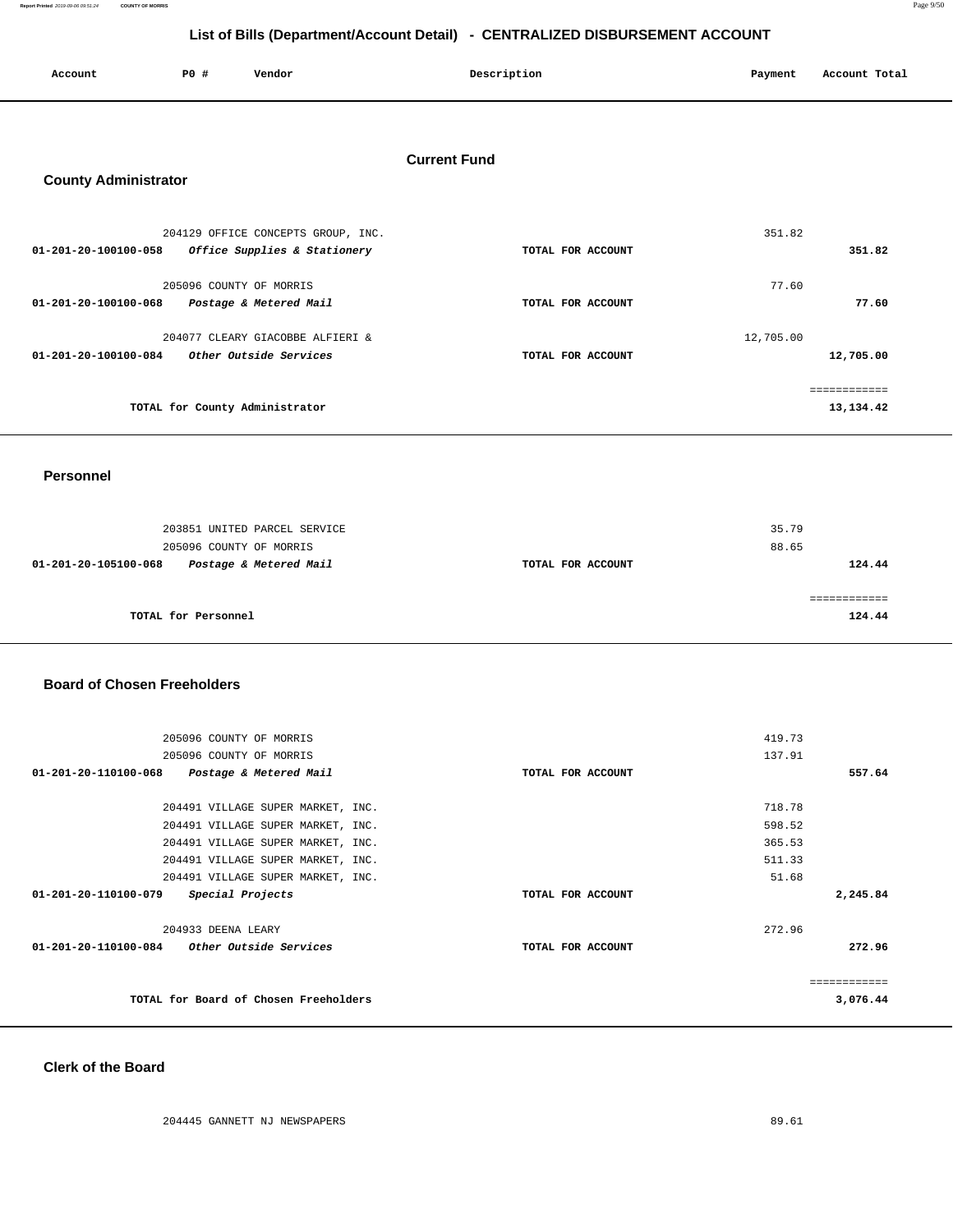**Report Printed** 2019-09-06 09:51:24 **COUNTY OF MORRIS** Page 9/50

# **List of Bills (Department/Account Detail) - CENTRALIZED DISBURSEMENT ACCOUNT**

| <b>\ccount</b> | <b>PO #</b> | Vendor | Description | Payment       | Account Total |
|----------------|-------------|--------|-------------|---------------|---------------|
|                |             |        |             | $\sim$ $\sim$ |               |
|                |             |        |             |               |               |

#### **Current Fund**

#### **County Administrator**

| 204129 OFFICE CONCEPTS GROUP, INC.                                                 |                   | 351.82                           |
|------------------------------------------------------------------------------------|-------------------|----------------------------------|
| 01-201-20-100100-058<br>Office Supplies & Stationery                               | TOTAL FOR ACCOUNT | 351.82                           |
| 205096 COUNTY OF MORRIS<br>01-201-20-100100-068<br>Postage & Metered Mail          | TOTAL FOR ACCOUNT | 77.60<br>77.60                   |
| 204077 CLEARY GIACOBBE ALFIERI &<br>Other Outside Services<br>01-201-20-100100-084 | TOTAL FOR ACCOUNT | 12,705.00<br>12,705.00           |
| TOTAL for County Administrator                                                     |                   | . = = = = = = = = =<br>13,134.42 |

#### **Personnel**

| 203851 UNITED PARCEL SERVICE<br>205096 COUNTY OF MORRIS |                   | 35.79<br>88.65 |
|---------------------------------------------------------|-------------------|----------------|
| Postage & Metered Mail<br>01-201-20-105100-068          | TOTAL FOR ACCOUNT | 124.44         |
| TOTAL for Personnel                                     |                   | 124.44         |

#### **Board of Chosen Freeholders**

| 205096 COUNTY OF MORRIS                               |                   | 419.73       |
|-------------------------------------------------------|-------------------|--------------|
| 205096 COUNTY OF MORRIS                               |                   | 137.91       |
| 01-201-20-110100-068<br>Postage & Metered Mail        | TOTAL FOR ACCOUNT | 557.64       |
|                                                       |                   |              |
| 204491 VILLAGE SUPER MARKET, INC.                     |                   | 718.78       |
| 204491 VILLAGE SUPER MARKET, INC.                     |                   | 598.52       |
| 204491 VILLAGE SUPER MARKET, INC.                     |                   | 365.53       |
| 204491 VILLAGE SUPER MARKET, INC.                     |                   | 511.33       |
| 204491 VILLAGE SUPER MARKET, INC.                     |                   | 51.68        |
| $01 - 201 - 20 - 110100 - 079$<br>Special Projects    | TOTAL FOR ACCOUNT | 2,245.84     |
| 204933 DEENA LEARY                                    |                   | 272.96       |
| 01-201-20-110100-084<br><i>Other Outside Services</i> | TOTAL FOR ACCOUNT | 272.96       |
|                                                       |                   | ============ |
| TOTAL for Board of Chosen Freeholders                 |                   | 3,076.44     |
|                                                       |                   |              |

#### **Clerk of the Board**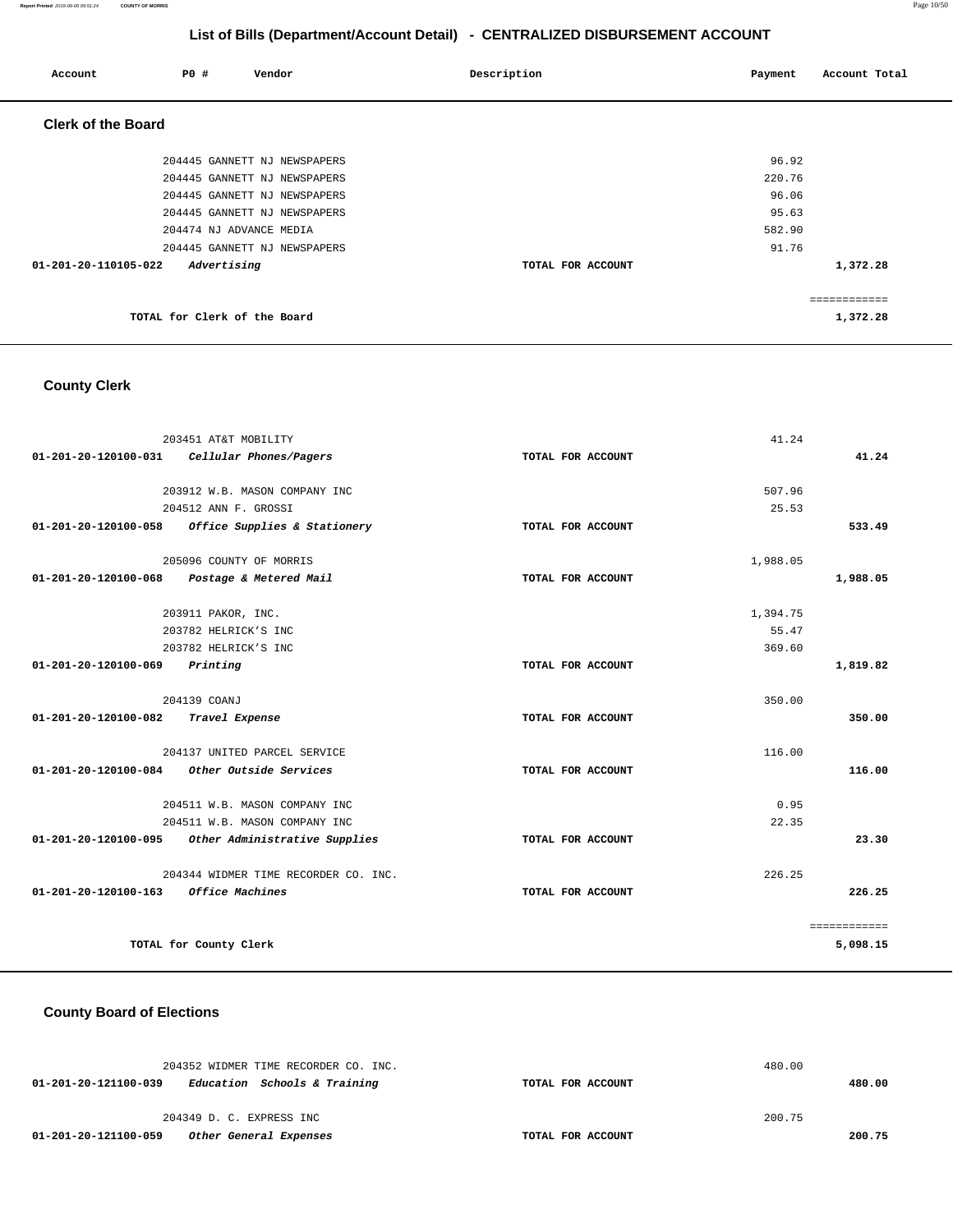**Report Printed** 2019-09-06 09:51:24 **COUNTY OF MORRIS** Page 10/50

# **List of Bills (Department/Account Detail) - CENTRALIZED DISBURSEMENT ACCOUNT**

| Account                   | PO#                          | Vendor                       | Description       | Payment | Account Total |
|---------------------------|------------------------------|------------------------------|-------------------|---------|---------------|
| <b>Clerk of the Board</b> |                              |                              |                   |         |               |
|                           |                              | 204445 GANNETT NJ NEWSPAPERS |                   | 96.92   |               |
|                           |                              | 204445 GANNETT NJ NEWSPAPERS |                   | 220.76  |               |
|                           |                              | 204445 GANNETT NJ NEWSPAPERS |                   | 96.06   |               |
|                           |                              | 204445 GANNETT NJ NEWSPAPERS |                   | 95.63   |               |
|                           |                              | 204474 NJ ADVANCE MEDIA      |                   | 582.90  |               |
|                           |                              | 204445 GANNETT NJ NEWSPAPERS |                   | 91.76   |               |
| 01-201-20-110105-022      | Advertising                  |                              | TOTAL FOR ACCOUNT |         | 1,372.28      |
|                           |                              |                              |                   |         | ============  |
|                           | TOTAL for Clerk of the Board |                              |                   |         | 1,372.28      |

# **County Clerk**

| 203451 AT&T MOBILITY                                  |                   | 41.24           |              |
|-------------------------------------------------------|-------------------|-----------------|--------------|
| 01-201-20-120100-031 Cellular Phones/Pagers           | TOTAL FOR ACCOUNT |                 | 41.24        |
|                                                       |                   |                 |              |
| 203912 W.B. MASON COMPANY INC<br>204512 ANN F. GROSSI |                   | 507.96<br>25.53 |              |
| 01-201-20-120100-058 Office Supplies & Stationery     | TOTAL FOR ACCOUNT |                 | 533.49       |
|                                                       |                   |                 |              |
| 205096 COUNTY OF MORRIS                               |                   | 1,988.05        |              |
| 01-201-20-120100-068 Postage & Metered Mail           | TOTAL FOR ACCOUNT |                 | 1,988.05     |
|                                                       |                   |                 |              |
| 203911 PAKOR, INC.                                    |                   | 1,394.75        |              |
| 203782 HELRICK'S INC                                  |                   | 55.47           |              |
| 203782 HELRICK'S INC                                  |                   | 369.60          |              |
| 01-201-20-120100-069<br>Printing                      | TOTAL FOR ACCOUNT |                 | 1,819.82     |
| 204139 COANJ                                          |                   | 350.00          |              |
|                                                       |                   |                 |              |
| 01-201-20-120100-082 Travel Expense                   | TOTAL FOR ACCOUNT |                 | 350.00       |
| 204137 UNITED PARCEL SERVICE                          |                   | 116.00          |              |
| 01-201-20-120100-084 Other Outside Services           | TOTAL FOR ACCOUNT |                 | 116.00       |
|                                                       |                   |                 |              |
| 204511 W.B. MASON COMPANY INC                         |                   | 0.95            |              |
| 204511 W.B. MASON COMPANY INC                         |                   | 22.35           | 23.30        |
| 01-201-20-120100-095 Other Administrative Supplies    | TOTAL FOR ACCOUNT |                 |              |
| 204344 WIDMER TIME RECORDER CO. INC.                  |                   | 226.25          |              |
| 01-201-20-120100-163<br><i><b>Office Machines</b></i> | TOTAL FOR ACCOUNT |                 | 226.25       |
|                                                       |                   |                 |              |
|                                                       |                   |                 | ============ |
| TOTAL for County Clerk                                |                   |                 | 5,098.15     |

#### **County Board of Elections**

| 204352 WIDMER TIME RECORDER CO. INC.                 |                   | 480.00 |
|------------------------------------------------------|-------------------|--------|
| Education Schools & Training<br>01-201-20-121100-039 | TOTAL FOR ACCOUNT | 480.00 |
|                                                      |                   |        |
| 204349 D. C. EXPRESS INC                             |                   | 200.75 |
| Other General Expenses<br>01-201-20-121100-059       | TOTAL FOR ACCOUNT | 200.75 |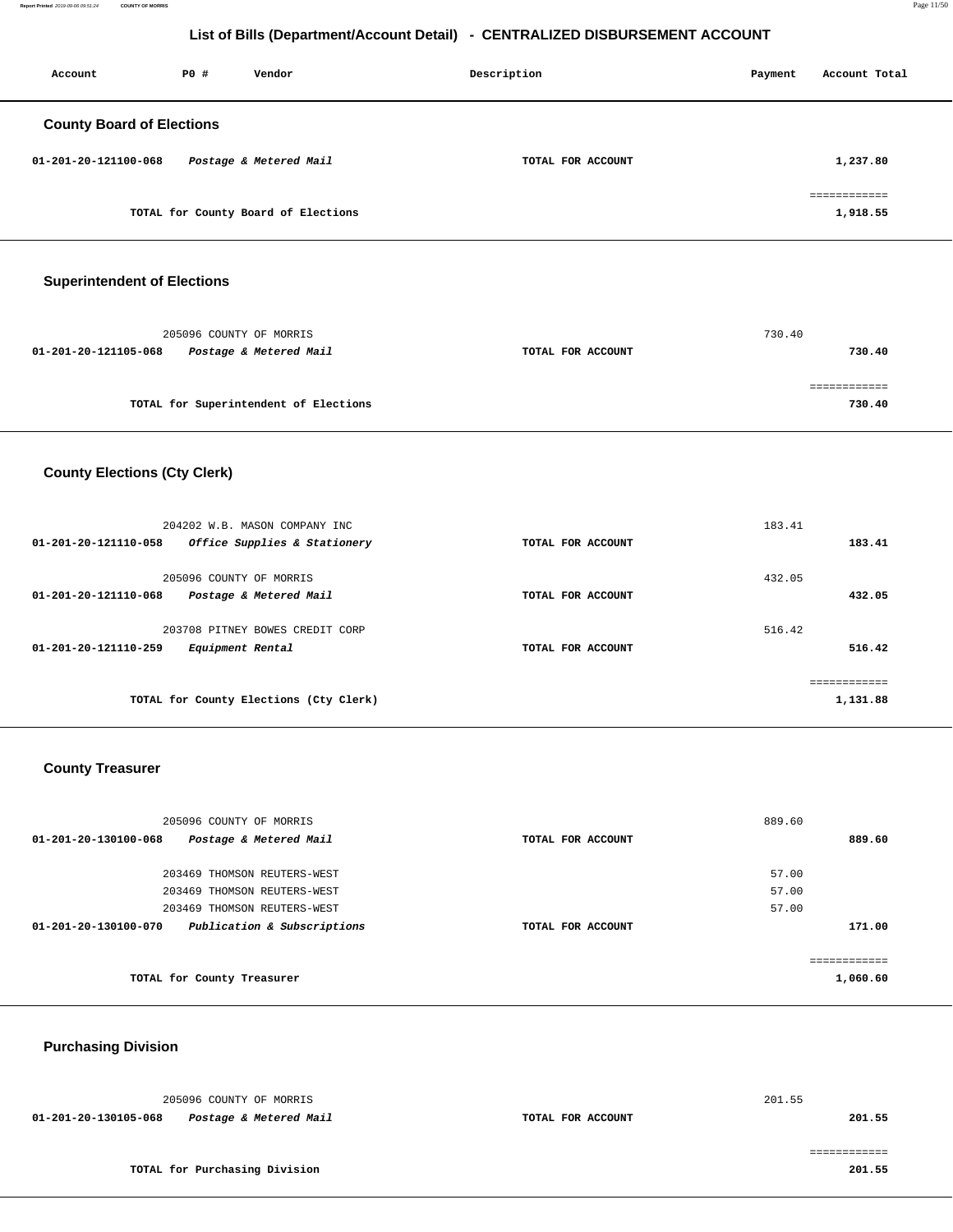| Account                          | PO# | Vendor                              | Description       | Payment | Account Total            |
|----------------------------------|-----|-------------------------------------|-------------------|---------|--------------------------|
| <b>County Board of Elections</b> |     |                                     |                   |         |                          |
| 01-201-20-121100-068             |     | Postage & Metered Mail              | TOTAL FOR ACCOUNT |         | 1,237.80                 |
|                                  |     | TOTAL for County Board of Elections |                   |         | ============<br>1,918.55 |

#### **Superintendent of Elections**

| 205096 COUNTY OF MORRIS                        |                   | 730.40 |
|------------------------------------------------|-------------------|--------|
| 01-201-20-121105-068<br>Postage & Metered Mail | TOTAL FOR ACCOUNT | 730.40 |
|                                                |                   |        |
|                                                |                   |        |
| TOTAL for Superintendent of Elections          |                   | 730.40 |

# **County Elections (Cty Clerk)**

| 204202 W.B. MASON COMPANY INC<br>Office Supplies & Stationery<br>01-201-20-121110-058 | TOTAL FOR ACCOUNT | 183.41<br>183.41       |
|---------------------------------------------------------------------------------------|-------------------|------------------------|
| 205096 COUNTY OF MORRIS<br>01-201-20-121110-068<br>Postage & Metered Mail             | TOTAL FOR ACCOUNT | 432.05<br>432.05       |
| 203708 PITNEY BOWES CREDIT CORP<br>01-201-20-121110-259<br>Equipment Rental           | TOTAL FOR ACCOUNT | 516.42<br>516.42       |
| TOTAL for County Elections (Cty Clerk)                                                |                   | eeeeeeeeee<br>1,131.88 |

#### **County Treasurer**

| 889.60       |
|--------------|
|              |
|              |
|              |
| 171.00       |
|              |
| ============ |
| 1,060.60     |
|              |

# **Purchasing Division**

| 205096 COUNTY OF MORRIS                        |                   | 201.55 |
|------------------------------------------------|-------------------|--------|
| 01-201-20-130105-068<br>Postage & Metered Mail | TOTAL FOR ACCOUNT | 201.55 |
|                                                |                   |        |
|                                                |                   |        |
| TOTAL for Purchasing Division                  |                   | 201.55 |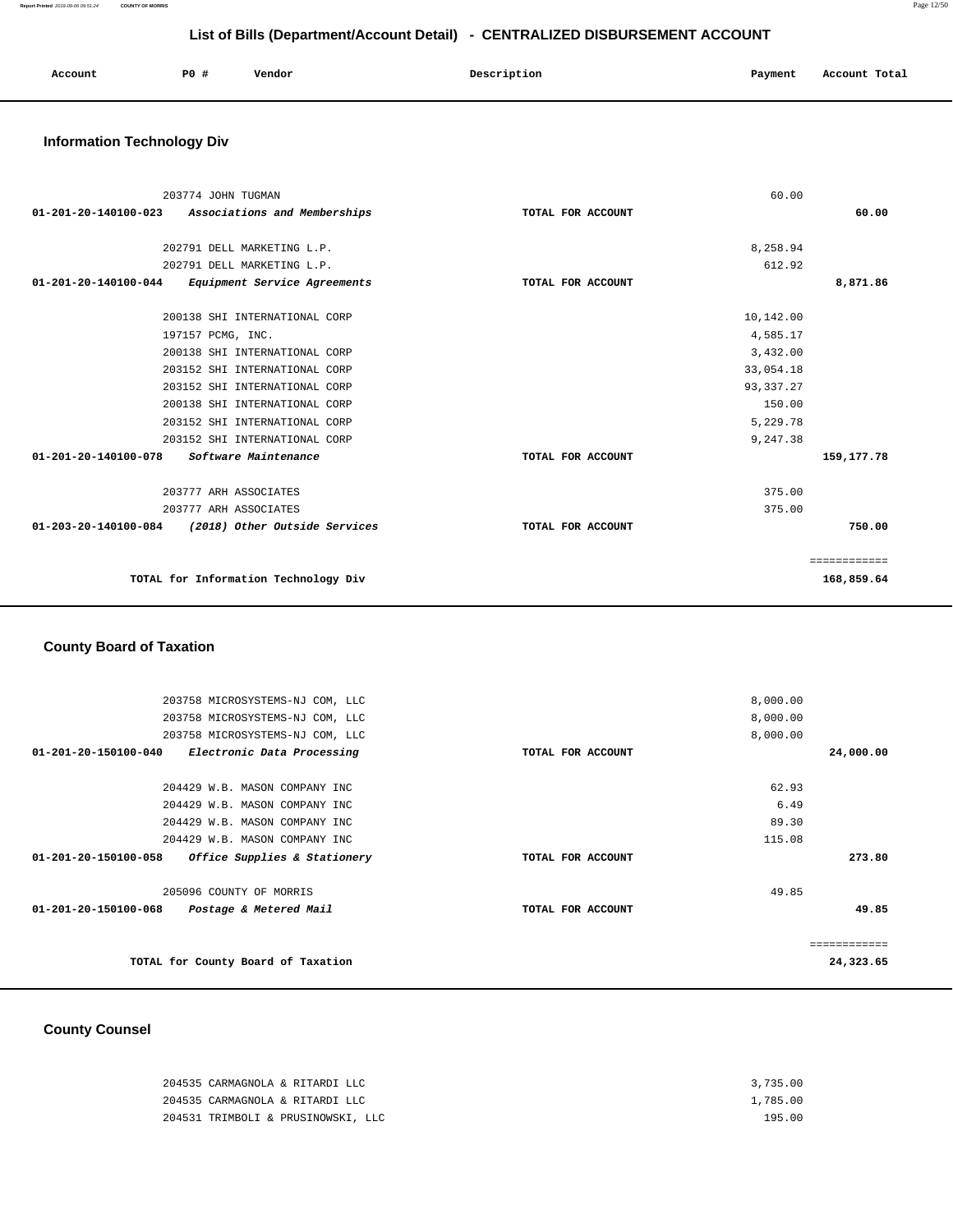| Account | PO # | Vendor | Description | Payment | Account Total |
|---------|------|--------|-------------|---------|---------------|
|         |      |        |             |         |               |

# **Information Technology Div**

| 203774 JOHN TUGMAN                                     |                               |                   | 60.00       |              |
|--------------------------------------------------------|-------------------------------|-------------------|-------------|--------------|
| 01-201-20-140100-023                                   | Associations and Memberships  | TOTAL FOR ACCOUNT |             | 60.00        |
| 202791 DELL MARKETING L.P.                             |                               |                   | 8,258.94    |              |
| 202791 DELL MARKETING L.P.                             |                               |                   | 612.92      |              |
| 01-201-20-140100-044                                   | Equipment Service Agreements  | TOTAL FOR ACCOUNT |             | 8,871.86     |
|                                                        | 200138 SHI INTERNATIONAL CORP |                   | 10,142.00   |              |
| 197157 PCMG, INC.                                      |                               |                   | 4,585.17    |              |
|                                                        | 200138 SHI INTERNATIONAL CORP |                   | 3,432.00    |              |
|                                                        | 203152 SHI INTERNATIONAL CORP |                   | 33,054.18   |              |
|                                                        | 203152 SHI INTERNATIONAL CORP |                   | 93, 337. 27 |              |
|                                                        | 200138 SHI INTERNATIONAL CORP |                   | 150.00      |              |
|                                                        | 203152 SHI INTERNATIONAL CORP |                   | 5,229.78    |              |
|                                                        | 203152 SHI INTERNATIONAL CORP |                   | 9,247.38    |              |
| $01 - 201 - 20 - 140100 - 078$<br>Software Maintenance |                               | TOTAL FOR ACCOUNT |             | 159, 177. 78 |
| 203777 ARH ASSOCIATES                                  |                               |                   | 375.00      |              |
| 203777 ARH ASSOCIATES                                  |                               |                   | 375.00      |              |
| 01-203-20-140100-084                                   | (2018) Other Outside Services | TOTAL FOR ACCOUNT |             | 750.00       |
|                                                        |                               |                   |             | ============ |
| TOTAL for Information Technology Div                   |                               |                   |             | 168,859.64   |
|                                                        |                               |                   |             |              |

#### **County Board of Taxation**

| 8,000.00<br>203758 MICROSYSTEMS-NJ COM, LLC<br>8,000.00<br>203758 MICROSYSTEMS-NJ COM, LLC<br>8,000.00<br>203758 MICROSYSTEMS-NJ COM, LLC<br>01-201-20-150100-040<br>Electronic Data Processing<br>24,000.00<br>TOTAL FOR ACCOUNT<br>62.93<br>204429 W.B. MASON COMPANY INC<br>6.49<br>204429 W.B. MASON COMPANY INC<br>89.30<br>204429 W.B. MASON COMPANY INC<br>115.08<br>204429 W.B. MASON COMPANY INC<br>273.80<br>$01 - 201 - 20 - 150100 - 058$<br>Office Supplies & Stationery<br>TOTAL FOR ACCOUNT<br>205096 COUNTY OF MORRIS<br>49.85<br>49.85<br>01-201-20-150100-068<br>Postage & Metered Mail<br>TOTAL FOR ACCOUNT<br>============<br>TOTAL for County Board of Taxation<br>24,323.65 |  |  |
|---------------------------------------------------------------------------------------------------------------------------------------------------------------------------------------------------------------------------------------------------------------------------------------------------------------------------------------------------------------------------------------------------------------------------------------------------------------------------------------------------------------------------------------------------------------------------------------------------------------------------------------------------------------------------------------------------|--|--|
|                                                                                                                                                                                                                                                                                                                                                                                                                                                                                                                                                                                                                                                                                                   |  |  |
|                                                                                                                                                                                                                                                                                                                                                                                                                                                                                                                                                                                                                                                                                                   |  |  |
|                                                                                                                                                                                                                                                                                                                                                                                                                                                                                                                                                                                                                                                                                                   |  |  |
|                                                                                                                                                                                                                                                                                                                                                                                                                                                                                                                                                                                                                                                                                                   |  |  |
|                                                                                                                                                                                                                                                                                                                                                                                                                                                                                                                                                                                                                                                                                                   |  |  |
|                                                                                                                                                                                                                                                                                                                                                                                                                                                                                                                                                                                                                                                                                                   |  |  |
|                                                                                                                                                                                                                                                                                                                                                                                                                                                                                                                                                                                                                                                                                                   |  |  |
|                                                                                                                                                                                                                                                                                                                                                                                                                                                                                                                                                                                                                                                                                                   |  |  |
|                                                                                                                                                                                                                                                                                                                                                                                                                                                                                                                                                                                                                                                                                                   |  |  |
|                                                                                                                                                                                                                                                                                                                                                                                                                                                                                                                                                                                                                                                                                                   |  |  |
|                                                                                                                                                                                                                                                                                                                                                                                                                                                                                                                                                                                                                                                                                                   |  |  |
|                                                                                                                                                                                                                                                                                                                                                                                                                                                                                                                                                                                                                                                                                                   |  |  |
|                                                                                                                                                                                                                                                                                                                                                                                                                                                                                                                                                                                                                                                                                                   |  |  |
|                                                                                                                                                                                                                                                                                                                                                                                                                                                                                                                                                                                                                                                                                                   |  |  |

# **County Counsel**

| 204535 CARMAGNOLA & RITARDI LLC    | 3,735.00 |
|------------------------------------|----------|
| 204535 CARMAGNOLA & RITARDI LLC    | 1,785.00 |
| 204531 TRIMBOLI & PRUSINOWSKI, LLC | 195.00   |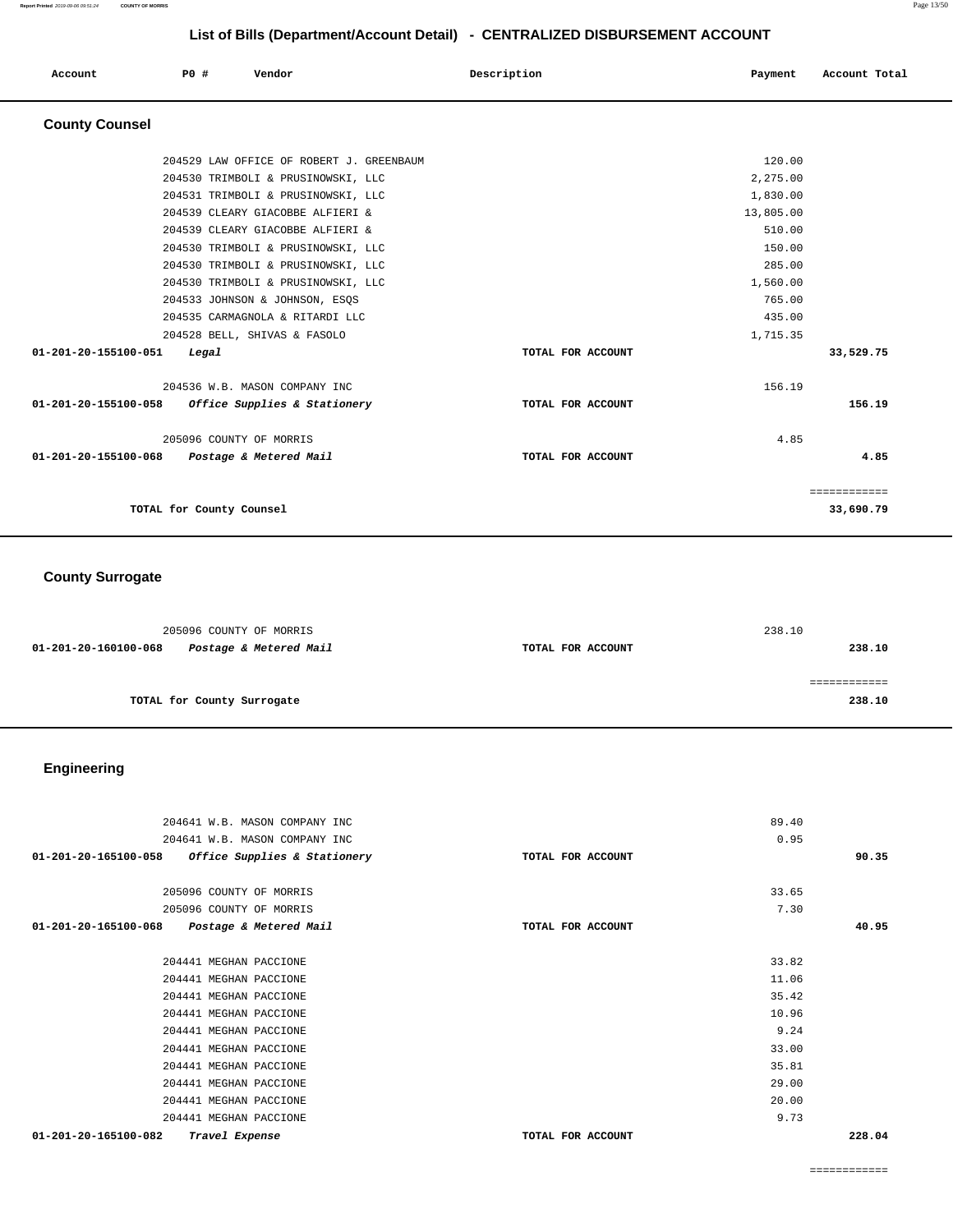| Account               | P0 #                     | Vendor                                   | Description       | Payment   | Account Total |
|-----------------------|--------------------------|------------------------------------------|-------------------|-----------|---------------|
| <b>County Counsel</b> |                          |                                          |                   |           |               |
|                       |                          | 204529 LAW OFFICE OF ROBERT J. GREENBAUM |                   | 120.00    |               |
|                       |                          | 204530 TRIMBOLI & PRUSINOWSKI, LLC       |                   | 2,275.00  |               |
|                       |                          | 204531 TRIMBOLI & PRUSINOWSKI, LLC       |                   | 1,830.00  |               |
|                       |                          | 204539 CLEARY GIACOBBE ALFIERI &         |                   | 13,805.00 |               |
|                       |                          | 204539 CLEARY GIACOBBE ALFIERI &         |                   | 510.00    |               |
|                       |                          | 204530 TRIMBOLI & PRUSINOWSKI, LLC       |                   | 150.00    |               |
|                       |                          | 204530 TRIMBOLI & PRUSINOWSKI, LLC       |                   | 285.00    |               |
|                       |                          | 204530 TRIMBOLI & PRUSINOWSKI, LLC       |                   | 1,560.00  |               |
|                       |                          | 204533 JOHNSON & JOHNSON, ESQS           |                   | 765.00    |               |
|                       |                          | 204535 CARMAGNOLA & RITARDI LLC          |                   | 435.00    |               |
|                       |                          | 204528 BELL, SHIVAS & FASOLO             |                   | 1,715.35  |               |
| 01-201-20-155100-051  | Legal                    |                                          | TOTAL FOR ACCOUNT |           | 33,529.75     |
|                       |                          | 204536 W.B. MASON COMPANY INC            |                   | 156.19    |               |
| 01-201-20-155100-058  |                          | Office Supplies & Stationery             | TOTAL FOR ACCOUNT |           | 156.19        |
|                       |                          | 205096 COUNTY OF MORRIS                  |                   | 4.85      |               |
| 01-201-20-155100-068  |                          | Postage & Metered Mail                   | TOTAL FOR ACCOUNT |           | 4.85          |
|                       |                          |                                          |                   |           | ============  |
|                       | TOTAL for County Counsel |                                          |                   |           | 33,690.79     |

# **County Surrogate**

| 205096 COUNTY OF MORRIS                        |                   | 238.10 |
|------------------------------------------------|-------------------|--------|
| Postage & Metered Mail<br>01-201-20-160100-068 | TOTAL FOR ACCOUNT | 238.10 |
|                                                |                   |        |
|                                                |                   |        |
| TOTAL for County Surrogate                     |                   | 238.10 |

# **Engineering**

| 204641 W.B. MASON COMPANY INC                                  |                   | 89.40 |        |
|----------------------------------------------------------------|-------------------|-------|--------|
| 204641 W.B. MASON COMPANY INC                                  |                   | 0.95  |        |
| Office Supplies & Stationery<br>$01 - 201 - 20 - 165100 - 058$ | TOTAL FOR ACCOUNT |       | 90.35  |
|                                                                |                   |       |        |
| 205096 COUNTY OF MORRIS                                        |                   | 33.65 |        |
| 205096 COUNTY OF MORRIS                                        |                   | 7.30  |        |
| $01 - 201 - 20 - 165100 - 068$<br>Postage & Metered Mail       | TOTAL FOR ACCOUNT |       | 40.95  |
|                                                                |                   |       |        |
| 204441 MEGHAN PACCIONE                                         |                   | 33.82 |        |
| 204441 MEGHAN PACCIONE                                         |                   | 11.06 |        |
| 204441 MEGHAN PACCIONE                                         |                   | 35.42 |        |
| 204441 MEGHAN PACCIONE                                         |                   | 10.96 |        |
| 204441 MEGHAN PACCIONE                                         |                   | 9.24  |        |
| 204441 MEGHAN PACCIONE                                         |                   | 33.00 |        |
| 204441 MEGHAN PACCIONE                                         |                   | 35.81 |        |
| 204441 MEGHAN PACCIONE                                         |                   | 29.00 |        |
| 204441 MEGHAN PACCIONE                                         |                   | 20.00 |        |
| 204441 MEGHAN PACCIONE                                         |                   | 9.73  |        |
| 01-201-20-165100-082<br>Travel Expense                         | TOTAL FOR ACCOUNT |       | 228.04 |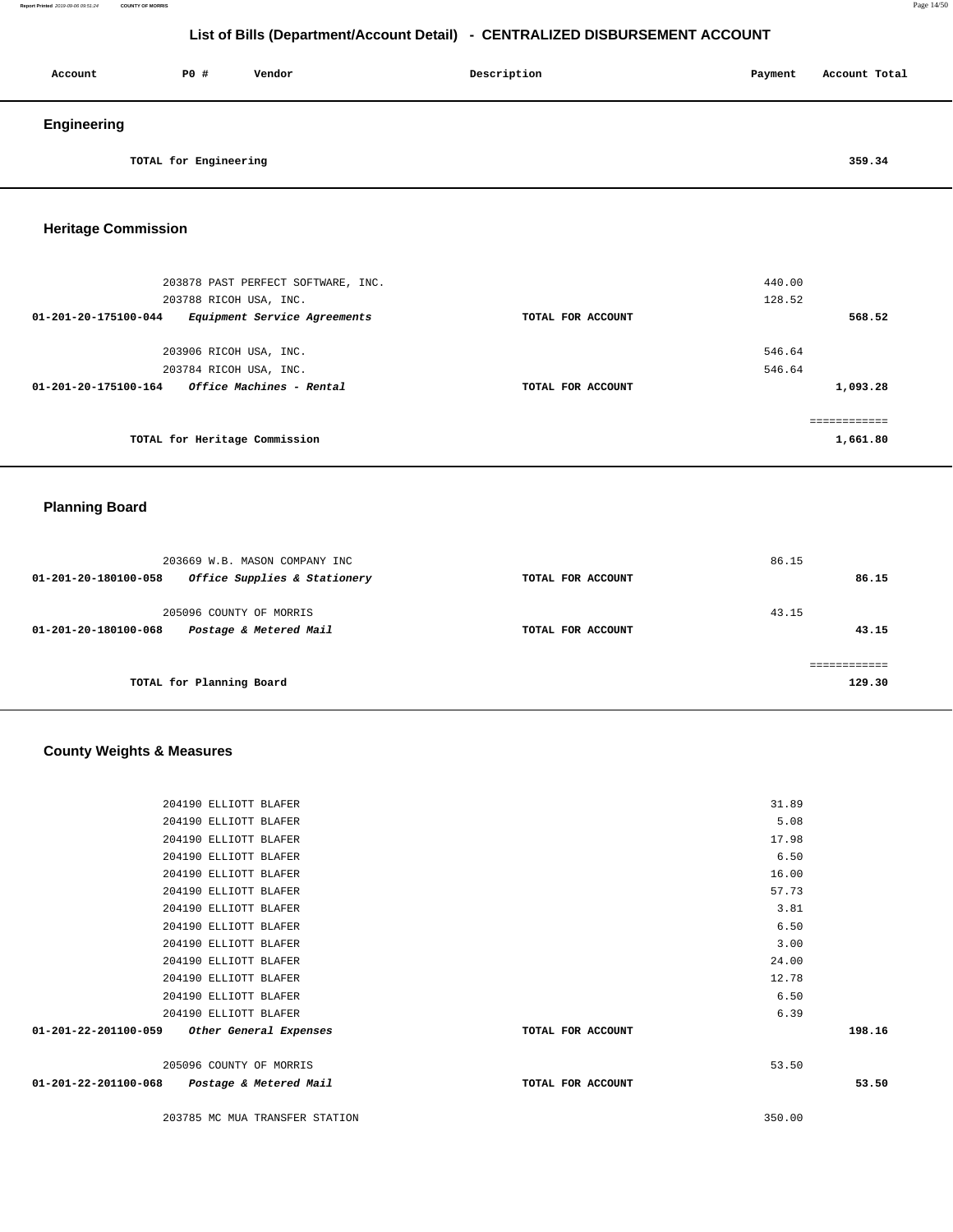| Account     | P0 #                  | Vendor | Description | Payment | Account Total |
|-------------|-----------------------|--------|-------------|---------|---------------|
| Engineering |                       |        |             |         |               |
|             | TOTAL for Engineering |        |             |         | 359.34        |

#### **Heritage Commission**

| 203878 PAST PERFECT SOFTWARE, INC.<br>203788 RICOH USA, INC.   |                   | 440.00<br>128.52 |
|----------------------------------------------------------------|-------------------|------------------|
| Equipment Service Agreements<br>01-201-20-175100-044           | TOTAL FOR ACCOUNT | 568.52           |
| 203906 RICOH USA, INC.                                         |                   | 546.64           |
| 203784 RICOH USA, INC.                                         |                   | 546.64           |
| <i><b>Office Machines - Rental</b></i><br>01-201-20-175100-164 | TOTAL FOR ACCOUNT | 1,093.28         |
|                                                                |                   | ==========       |
| TOTAL for Heritage Commission                                  |                   | 1,661.80         |

#### **Planning Board**

| 203669 W.B. MASON COMPANY INC<br>Office Supplies & Stationery<br>01-201-20-180100-058 | TOTAL FOR ACCOUNT | 86.15<br>86.15 |
|---------------------------------------------------------------------------------------|-------------------|----------------|
| 205096 COUNTY OF MORRIS<br>Postage & Metered Mail<br>01-201-20-180100-068             | TOTAL FOR ACCOUNT | 43.15<br>43.15 |
| TOTAL for Planning Board                                                              |                   | 129.30         |

# **County Weights & Measures**

| 198.16 |
|--------|
|        |
|        |
| 53.50  |
|        |
|        |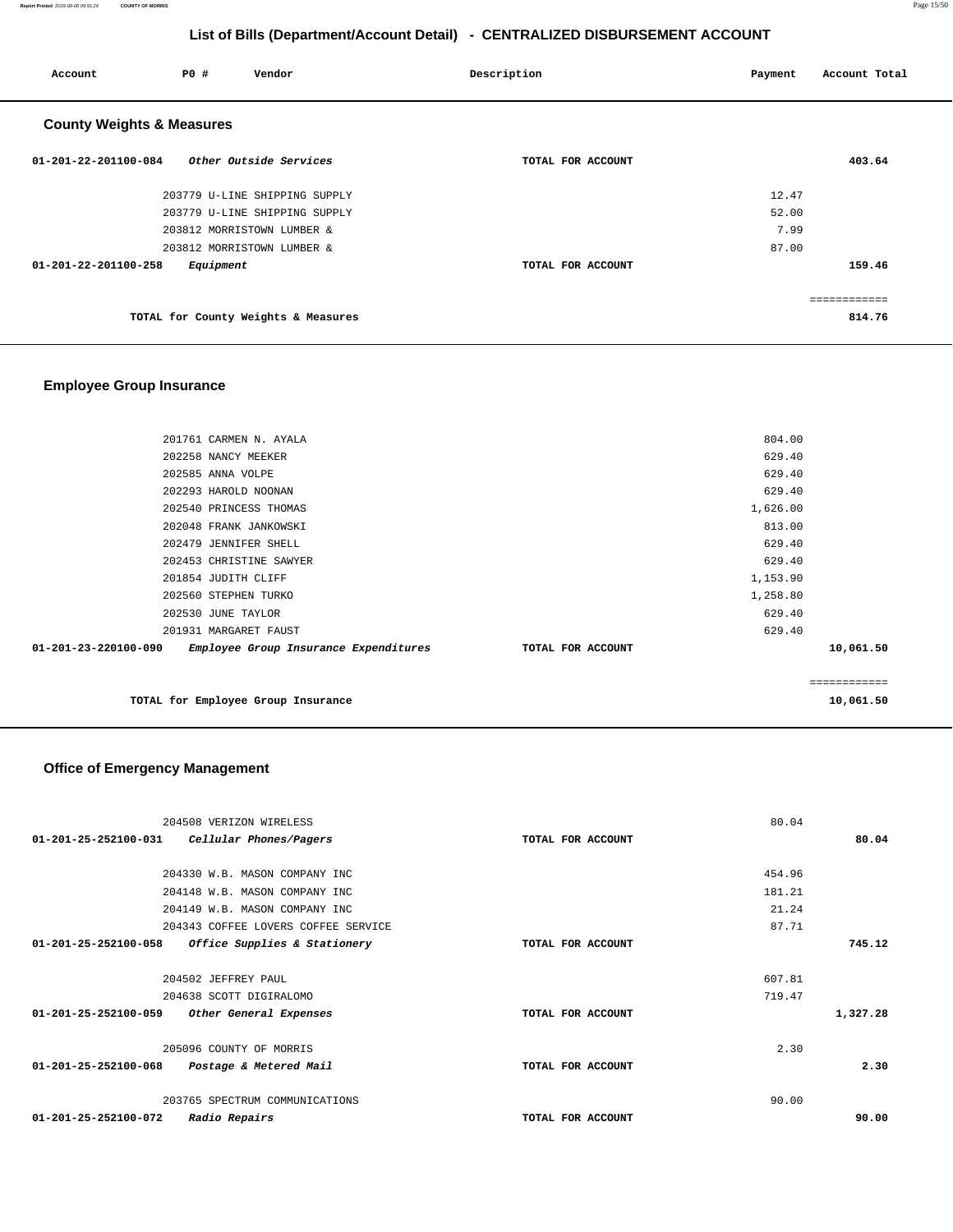**Report Printed** 2019-09-06 09:51:24 **COUNTY OF MORRIS** Page 15/50

# **List of Bills (Department/Account Detail) - CENTRALIZED DISBURSEMENT ACCOUNT**

| Account                              | PO#<br>Vendor                       | Description       | Payment | Account Total |
|--------------------------------------|-------------------------------------|-------------------|---------|---------------|
| <b>County Weights &amp; Measures</b> |                                     |                   |         |               |
| $01 - 201 - 22 - 201100 - 084$       | Other Outside Services              | TOTAL FOR ACCOUNT |         | 403.64        |
|                                      | 203779 U-LINE SHIPPING SUPPLY       |                   | 12.47   |               |
|                                      | 203779 U-LINE SHIPPING SUPPLY       |                   | 52.00   |               |
|                                      | 203812 MORRISTOWN LUMBER &          |                   | 7.99    |               |
|                                      | 203812 MORRISTOWN LUMBER &          |                   | 87.00   |               |
| 01-201-22-201100-258                 | Equipment                           | TOTAL FOR ACCOUNT |         | 159.46        |
|                                      |                                     |                   |         | ============  |
|                                      | TOTAL for County Weights & Measures |                   |         | 814.76        |

#### **Employee Group Insurance**

|                                | 201761 CARMEN N. AYALA                |                   | 804.00   |              |
|--------------------------------|---------------------------------------|-------------------|----------|--------------|
|                                | 202258 NANCY MEEKER                   |                   | 629.40   |              |
|                                | 202585 ANNA VOLPE                     |                   | 629.40   |              |
|                                | 202293 HAROLD NOONAN                  |                   | 629.40   |              |
|                                | 202540 PRINCESS THOMAS                |                   | 1,626.00 |              |
|                                | 202048 FRANK JANKOWSKI                |                   | 813.00   |              |
|                                | 202479 JENNIFER SHELL                 |                   | 629.40   |              |
|                                | 202453 CHRISTINE SAWYER               |                   | 629.40   |              |
|                                | 201854 JUDITH CLIFF                   |                   | 1,153.90 |              |
|                                | 202560 STEPHEN TURKO                  |                   | 1,258.80 |              |
|                                | 202530 JUNE TAYLOR                    |                   | 629.40   |              |
|                                | 201931 MARGARET FAUST                 |                   | 629.40   |              |
| $01 - 201 - 23 - 220100 - 090$ | Employee Group Insurance Expenditures | TOTAL FOR ACCOUNT |          | 10,061.50    |
|                                |                                       |                   |          |              |
|                                |                                       |                   |          | ============ |
|                                | TOTAL for Employee Group Insurance    |                   |          | 10,061.50    |

# **Office of Emergency Management**

|                                | 204508 VERIZON WIRELESS             |                   | 80.04  |          |
|--------------------------------|-------------------------------------|-------------------|--------|----------|
| $01 - 201 - 25 - 252100 - 031$ | Cellular Phones/Pagers              | TOTAL FOR ACCOUNT |        | 80.04    |
|                                |                                     |                   |        |          |
|                                | 204330 W.B. MASON COMPANY INC       |                   | 454.96 |          |
|                                | 204148 W.B. MASON COMPANY INC       |                   | 181.21 |          |
|                                | 204149 W.B. MASON COMPANY INC       |                   | 21.24  |          |
|                                | 204343 COFFEE LOVERS COFFEE SERVICE |                   | 87.71  |          |
| 01-201-25-252100-058           | Office Supplies & Stationery        | TOTAL FOR ACCOUNT |        | 745.12   |
|                                | 204502 JEFFREY PAUL                 |                   | 607.81 |          |
|                                | 204638 SCOTT DIGIRALOMO             |                   | 719.47 |          |
| $01 - 201 - 25 - 252100 - 059$ | Other General Expenses              | TOTAL FOR ACCOUNT |        | 1,327.28 |
|                                | 205096 COUNTY OF MORRIS             |                   | 2.30   |          |
| 01-201-25-252100-068           | Postage & Metered Mail              | TOTAL FOR ACCOUNT |        | 2.30     |
|                                | 203765 SPECTRUM COMMUNICATIONS      |                   | 90.00  |          |
| 01-201-25-252100-072           | <i>Radio Repairs</i>                | TOTAL FOR ACCOUNT |        | 90.00    |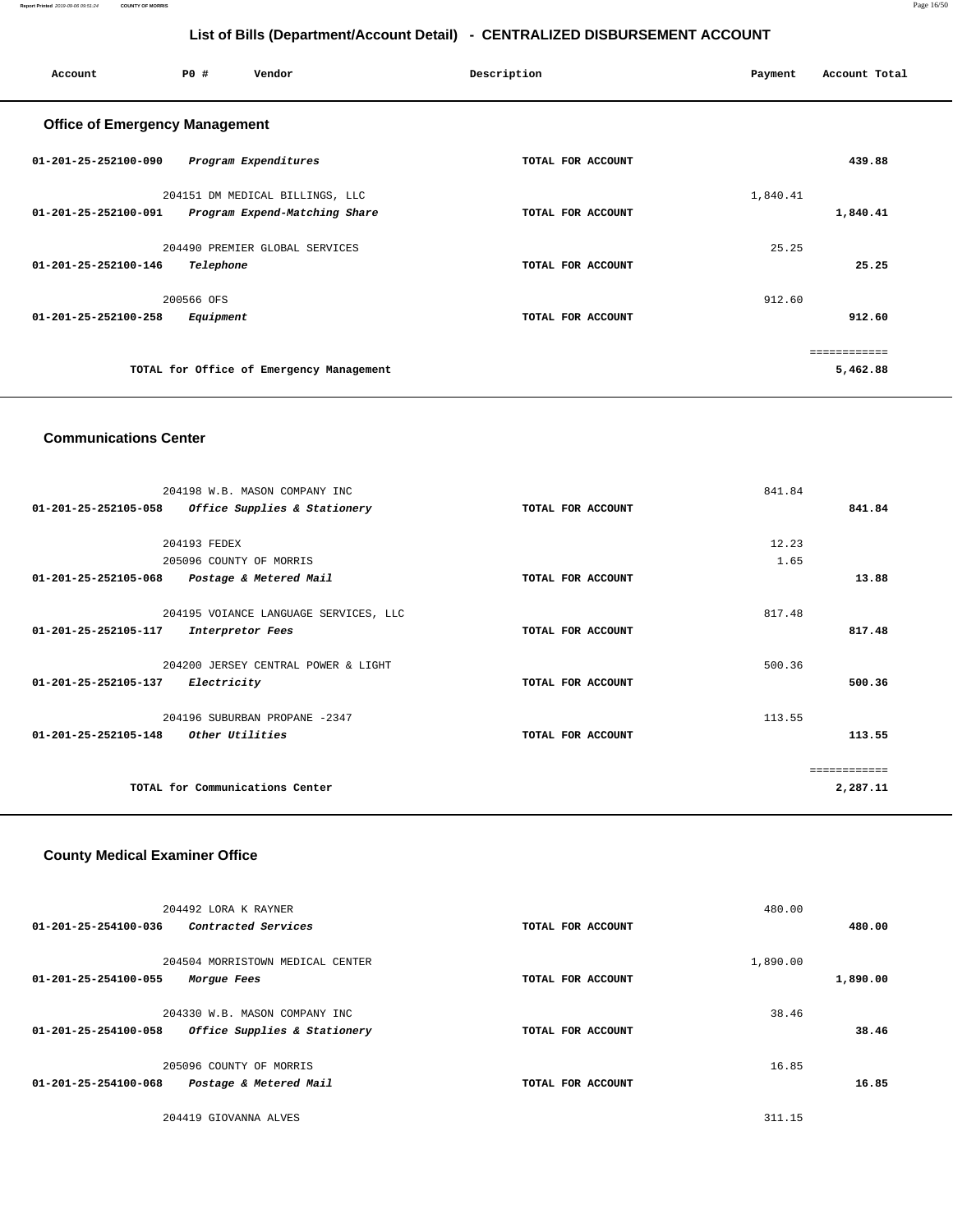**Report Printed** 2019-09-06 09:51:24 **COUNTY OF MORRIS** Page 16/50

# **List of Bills (Department/Account Detail) - CENTRALIZED DISBURSEMENT ACCOUNT**

| Account                               | PO#<br>Vendor                            | Description       | Account Total<br>Payment |
|---------------------------------------|------------------------------------------|-------------------|--------------------------|
| <b>Office of Emergency Management</b> |                                          |                   |                          |
| 01-201-25-252100-090                  | Program Expenditures                     | TOTAL FOR ACCOUNT | 439.88                   |
|                                       | 204151 DM MEDICAL BILLINGS, LLC          |                   | 1,840.41                 |
| $01 - 201 - 25 - 252100 - 091$        | Program Expend-Matching Share            | TOTAL FOR ACCOUNT | 1,840.41                 |
|                                       | 204490 PREMIER GLOBAL SERVICES           |                   | 25.25                    |
| $01 - 201 - 25 - 252100 - 146$        | Telephone                                | TOTAL FOR ACCOUNT | 25.25                    |
|                                       | 200566 OFS                               |                   | 912.60                   |
| $01 - 201 - 25 - 252100 - 258$        | Equipment                                | TOTAL FOR ACCOUNT | 912.60                   |
|                                       |                                          |                   | ============             |
|                                       | TOTAL for Office of Emergency Management |                   | 5,462.88                 |
|                                       |                                          |                   |                          |

#### **Communications Center**

| 204198 W.B. MASON COMPANY INC                            |                   | 841.84      |
|----------------------------------------------------------|-------------------|-------------|
| 01-201-25-252105-058<br>Office Supplies & Stationery     | TOTAL FOR ACCOUNT | 841.84      |
|                                                          |                   |             |
| 204193 FEDEX                                             |                   | 12.23       |
| 205096 COUNTY OF MORRIS                                  |                   | 1.65        |
| $01 - 201 - 25 - 252105 - 068$<br>Postage & Metered Mail | TOTAL FOR ACCOUNT | 13.88       |
|                                                          |                   |             |
| 204195 VOIANCE LANGUAGE SERVICES, LLC                    |                   | 817.48      |
| 01-201-25-252105-117<br>Interpretor Fees                 | TOTAL FOR ACCOUNT | 817.48      |
|                                                          |                   |             |
| 204200 JERSEY CENTRAL POWER & LIGHT                      |                   | 500.36      |
| 01-201-25-252105-137<br>Electricity                      | TOTAL FOR ACCOUNT | 500.36      |
|                                                          |                   |             |
| 204196 SUBURBAN PROPANE -2347                            |                   | 113.55      |
| $01 - 201 - 25 - 252105 - 148$<br>Other Utilities        | TOTAL FOR ACCOUNT | 113.55      |
|                                                          |                   |             |
|                                                          |                   | =========== |
| TOTAL for Communications Center                          |                   | 2,287.11    |
|                                                          |                   |             |

#### **County Medical Examiner Office**

| 480.00   | 480.00   | TOTAL FOR ACCOUNT | 204492 LORA K RAYNER<br>01-201-25-254100-036<br>Contracted Services                   |
|----------|----------|-------------------|---------------------------------------------------------------------------------------|
| 1,890.00 | 1,890.00 | TOTAL FOR ACCOUNT | 204504 MORRISTOWN MEDICAL CENTER<br>01-201-25-254100-055<br>Morgue Fees               |
| 38.46    | 38.46    | TOTAL FOR ACCOUNT | 204330 W.B. MASON COMPANY INC<br>01-201-25-254100-058<br>Office Supplies & Stationery |
| 16.85    | 16.85    | TOTAL FOR ACCOUNT | 205096 COUNTY OF MORRIS<br>01-201-25-254100-068<br>Postage & Metered Mail             |
|          | 311.15   |                   | 204419 GIOVANNA ALVES                                                                 |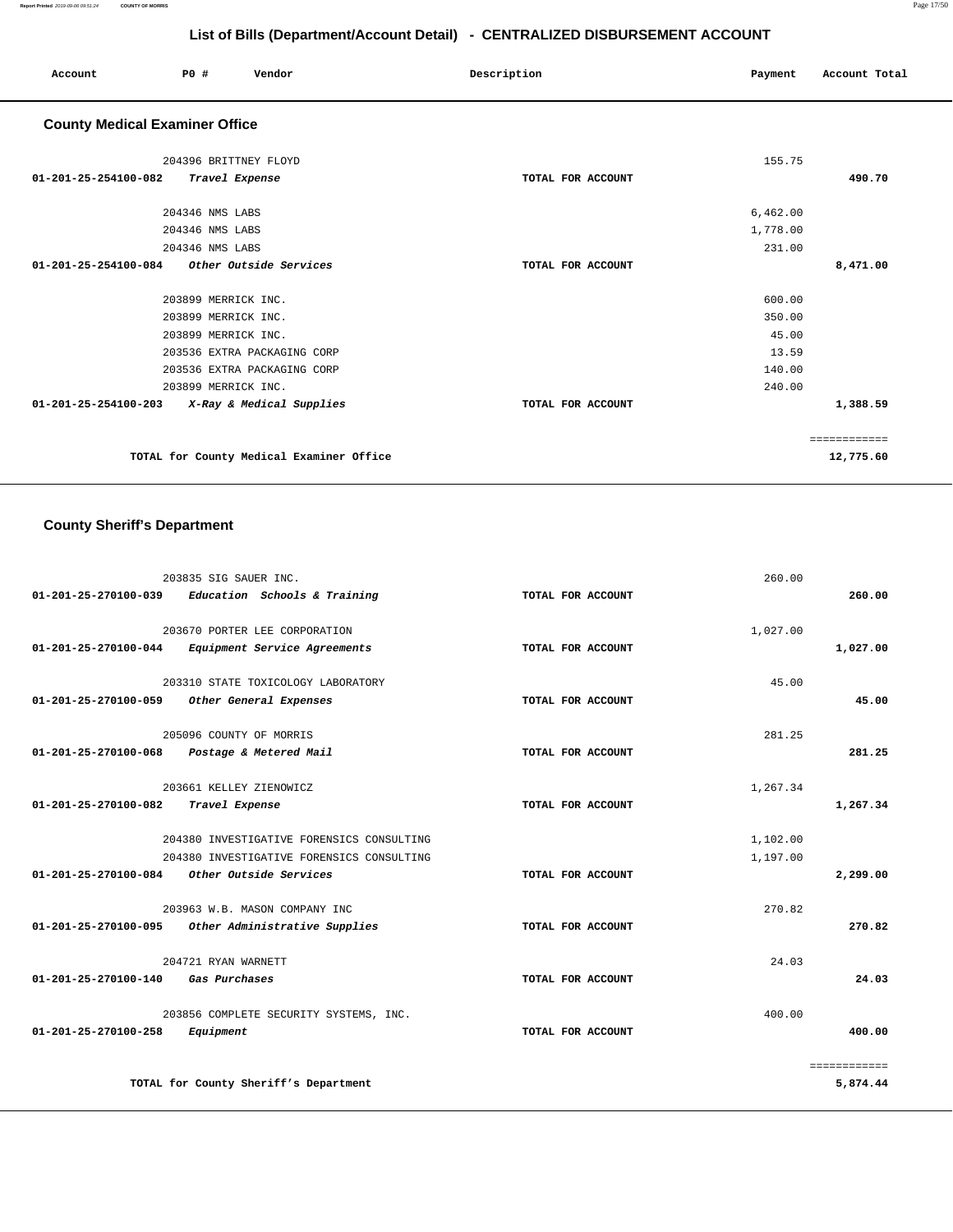| Account                               | PO#                                                                               | Vendor                                   | Description       | Payment                  | Account Total             |
|---------------------------------------|-----------------------------------------------------------------------------------|------------------------------------------|-------------------|--------------------------|---------------------------|
| <b>County Medical Examiner Office</b> |                                                                                   |                                          |                   |                          |                           |
| 01-201-25-254100-082                  | 204396 BRITTNEY FLOYD<br>Travel Expense                                           |                                          | TOTAL FOR ACCOUNT | 155.75                   | 490.70                    |
|                                       | 204346 NMS LABS<br>204346 NMS LABS                                                |                                          |                   | 6,462.00<br>1,778.00     |                           |
| 01-201-25-254100-084                  | 204346 NMS LABS                                                                   | Other Outside Services                   | TOTAL FOR ACCOUNT | 231.00                   | 8,471.00                  |
|                                       | 203899 MERRICK INC.<br>203899 MERRICK INC.                                        |                                          |                   | 600.00<br>350.00         |                           |
|                                       | 203899 MERRICK INC.<br>203536 EXTRA PACKAGING CORP<br>203536 EXTRA PACKAGING CORP |                                          |                   | 45.00<br>13.59<br>140.00 |                           |
| 01-201-25-254100-203                  | 203899 MERRICK INC.                                                               | X-Ray & Medical Supplies                 | TOTAL FOR ACCOUNT | 240.00                   | 1,388.59                  |
|                                       |                                                                                   | TOTAL for County Medical Examiner Office |                   |                          | ============<br>12,775.60 |

# **County Sheriff's Department**

| 01-201-25-270100-039 Education Schools & Training | 203835 SIG SAUER INC.                                                                  | TOTAL FOR ACCOUNT | 260.00               | 260.00                   |
|---------------------------------------------------|----------------------------------------------------------------------------------------|-------------------|----------------------|--------------------------|
| 01-201-25-270100-044                              | 203670 PORTER LEE CORPORATION<br>Equipment Service Agreements                          | TOTAL FOR ACCOUNT | 1,027.00             | 1,027.00                 |
| 01-201-25-270100-059                              | 203310 STATE TOXICOLOGY LABORATORY<br>Other General Expenses                           | TOTAL FOR ACCOUNT | 45.00                | 45.00                    |
| 01-201-25-270100-068                              | 205096 COUNTY OF MORRIS<br>Postage & Metered Mail                                      | TOTAL FOR ACCOUNT | 281.25               | 281.25                   |
| $01 - 201 - 25 - 270100 - 082$                    | 203661 KELLEY ZIENOWICZ<br>Travel Expense                                              | TOTAL FOR ACCOUNT | 1,267.34             | 1,267.34                 |
| 01-201-25-270100-084 Other Outside Services       | 204380 INVESTIGATIVE FORENSICS CONSULTING<br>204380 INVESTIGATIVE FORENSICS CONSULTING | TOTAL FOR ACCOUNT | 1,102.00<br>1,197.00 | 2,299.00                 |
| 01-201-25-270100-095                              | 203963 W.B. MASON COMPANY INC<br>Other Administrative Supplies                         | TOTAL FOR ACCOUNT | 270.82               | 270.82                   |
| 01-201-25-270100-140                              | 204721 RYAN WARNETT<br>Gas Purchases                                                   | TOTAL FOR ACCOUNT | 24.03                | 24.03                    |
| 01-201-25-270100-258<br>Equipment                 | 203856 COMPLETE SECURITY SYSTEMS, INC.                                                 | TOTAL FOR ACCOUNT | 400.00               | 400.00                   |
|                                                   | TOTAL for County Sheriff's Department                                                  |                   |                      | ============<br>5,874.44 |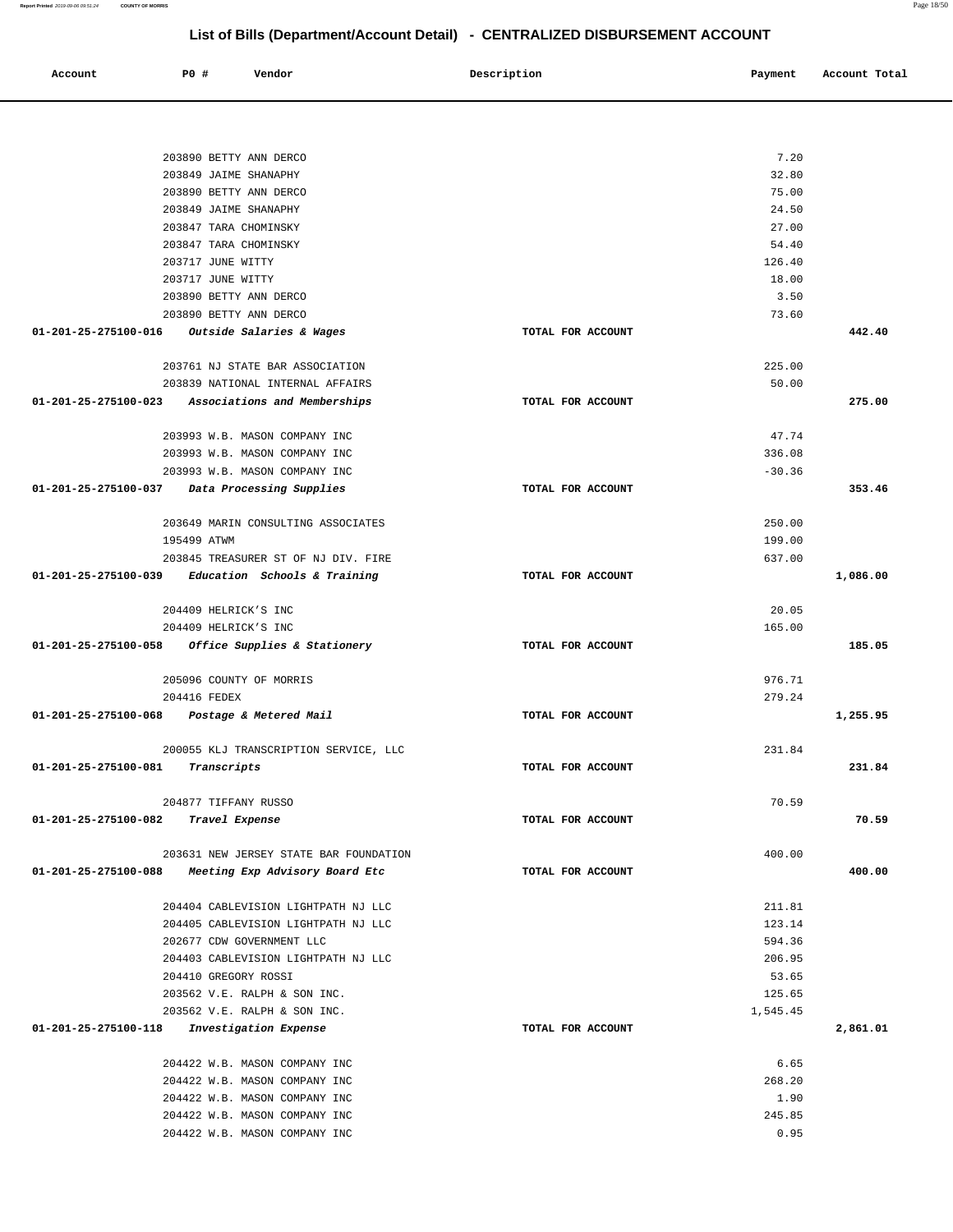|                      | 203890 BETTY ANN DERCO                                         |                   | 7.20     |          |
|----------------------|----------------------------------------------------------------|-------------------|----------|----------|
|                      | 203849 JAIME SHANAPHY                                          |                   | 32.80    |          |
|                      | 203890 BETTY ANN DERCO                                         |                   | 75.00    |          |
|                      | 203849 JAIME SHANAPHY                                          |                   | 24.50    |          |
|                      | 203847 TARA CHOMINSKY                                          |                   | 27.00    |          |
|                      | 203847 TARA CHOMINSKY                                          |                   | 54.40    |          |
|                      | 203717 JUNE WITTY                                              |                   | 126.40   |          |
|                      | 203717 JUNE WITTY                                              |                   | 18.00    |          |
|                      | 203890 BETTY ANN DERCO<br>203890 BETTY ANN DERCO               |                   | 3.50     |          |
| 01-201-25-275100-016 |                                                                | TOTAL FOR ACCOUNT | 73.60    | 442.40   |
|                      | <i>Outside Salaries &amp; Wages</i>                            |                   |          |          |
|                      | 203761 NJ STATE BAR ASSOCIATION                                |                   | 225.00   |          |
|                      | 203839 NATIONAL INTERNAL AFFAIRS                               |                   | 50.00    |          |
| 01-201-25-275100-023 | Associations and Memberships                                   | TOTAL FOR ACCOUNT |          | 275.00   |
|                      |                                                                |                   | 47.74    |          |
|                      | 203993 W.B. MASON COMPANY INC                                  |                   | 336.08   |          |
|                      | 203993 W.B. MASON COMPANY INC<br>203993 W.B. MASON COMPANY INC |                   | $-30.36$ |          |
| 01-201-25-275100-037 | Data Processing Supplies                                       | TOTAL FOR ACCOUNT |          | 353.46   |
|                      |                                                                |                   |          |          |
|                      | 203649 MARIN CONSULTING ASSOCIATES                             |                   | 250.00   |          |
|                      | 195499 ATWM                                                    |                   | 199.00   |          |
|                      | 203845 TREASURER ST OF NJ DIV. FIRE                            |                   | 637.00   |          |
| 01-201-25-275100-039 | Education Schools & Training                                   | TOTAL FOR ACCOUNT |          | 1,086.00 |
|                      |                                                                |                   |          |          |
|                      | 204409 HELRICK'S INC                                           |                   | 20.05    |          |
|                      | 204409 HELRICK'S INC                                           |                   | 165.00   |          |
| 01-201-25-275100-058 | Office Supplies & Stationery                                   | TOTAL FOR ACCOUNT |          | 185.05   |
|                      | 205096 COUNTY OF MORRIS                                        |                   | 976.71   |          |
|                      | 204416 FEDEX                                                   |                   | 279.24   |          |
| 01-201-25-275100-068 | Postage & Metered Mail                                         | TOTAL FOR ACCOUNT |          | 1,255.95 |
|                      |                                                                |                   |          |          |
|                      | 200055 KLJ TRANSCRIPTION SERVICE, LLC                          |                   | 231.84   | 231.84   |
| 01-201-25-275100-081 | Transcripts                                                    | TOTAL FOR ACCOUNT |          |          |
|                      | 204877 TIFFANY RUSSO                                           |                   | 70.59    |          |
| 01-201-25-275100-082 | Travel Expense                                                 | TOTAL FOR ACCOUNT |          | 70.59    |
|                      |                                                                |                   |          |          |
|                      | 203631 NEW JERSEY STATE BAR FOUNDATION                         |                   | 400.00   |          |
| 01-201-25-275100-088 | Meeting Exp Advisory Board Etc                                 | TOTAL FOR ACCOUNT |          | 400.00   |
|                      | 204404 CABLEVISION LIGHTPATH NJ LLC                            |                   | 211.81   |          |
|                      | 204405 CABLEVISION LIGHTPATH NJ LLC                            |                   | 123.14   |          |
|                      | 202677 CDW GOVERNMENT LLC                                      |                   | 594.36   |          |
|                      | 204403 CABLEVISION LIGHTPATH NJ LLC                            |                   | 206.95   |          |
|                      | 204410 GREGORY ROSSI                                           |                   | 53.65    |          |
|                      | 203562 V.E. RALPH & SON INC.                                   |                   | 125.65   |          |
|                      | 203562 V.E. RALPH & SON INC.                                   |                   | 1,545.45 |          |
| 01-201-25-275100-118 | Investigation Expense                                          | TOTAL FOR ACCOUNT |          | 2,861.01 |
|                      | 204422 W.B. MASON COMPANY INC                                  |                   | 6.65     |          |
|                      | 204422 W.B. MASON COMPANY INC                                  |                   | 268.20   |          |
|                      | 204422 W.B. MASON COMPANY INC                                  |                   | 1.90     |          |
|                      | 204422 W.B. MASON COMPANY INC                                  |                   | 245.85   |          |
|                      | 204422 W.B. MASON COMPANY INC                                  |                   | 0.95     |          |
|                      |                                                                |                   |          |          |

 **Account P0 # Vendor Description Payment Account Total**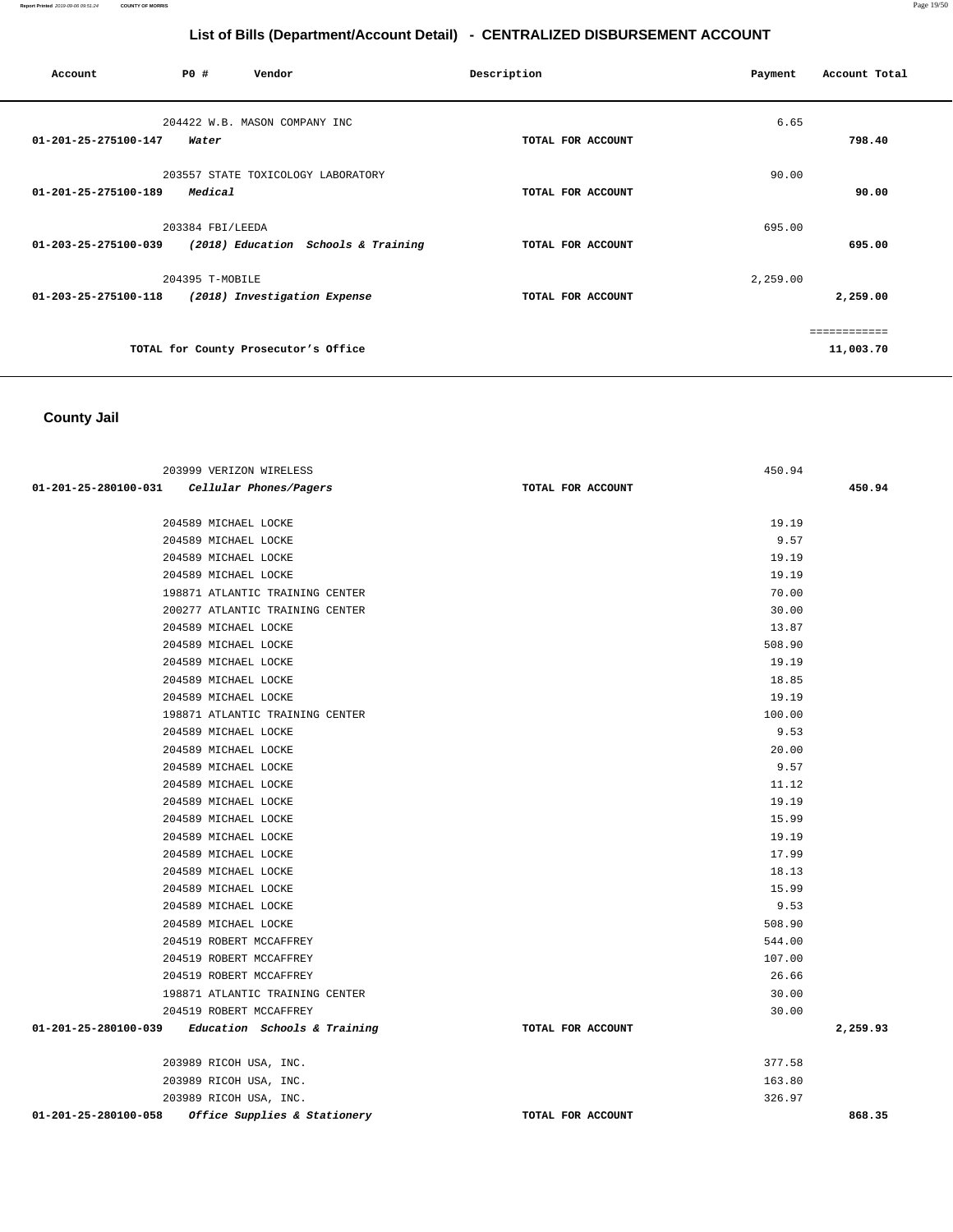| Account                        | PO#              | Vendor                               | Description       | Payment  | Account Total             |
|--------------------------------|------------------|--------------------------------------|-------------------|----------|---------------------------|
| $01 - 201 - 25 - 275100 - 147$ | Water            | 204422 W.B. MASON COMPANY INC        | TOTAL FOR ACCOUNT | 6.65     | 798.40                    |
| 01-201-25-275100-189           | Medical          | 203557 STATE TOXICOLOGY LABORATORY   | TOTAL FOR ACCOUNT | 90.00    | 90.00                     |
| 01-203-25-275100-039           | 203384 FBI/LEEDA | (2018) Education Schools & Training  | TOTAL FOR ACCOUNT | 695.00   | 695.00                    |
| 01-203-25-275100-118           | 204395 T-MOBILE  | (2018) Investigation Expense         | TOTAL FOR ACCOUNT | 2,259.00 | 2,259.00                  |
|                                |                  | TOTAL for County Prosecutor's Office |                   |          | ============<br>11,003.70 |

# **County Jail**

| 203999 VERIZON WIRELESS                              |                   | 450.94 |          |
|------------------------------------------------------|-------------------|--------|----------|
| 01-201-25-280100-031 Cellular Phones/Pagers          | TOTAL FOR ACCOUNT |        | 450.94   |
|                                                      |                   |        |          |
| 204589 MICHAEL LOCKE                                 |                   | 19.19  |          |
| 204589 MICHAEL LOCKE                                 |                   | 9.57   |          |
| 204589 MICHAEL LOCKE                                 |                   | 19.19  |          |
| 204589 MICHAEL LOCKE                                 |                   | 19.19  |          |
| 198871 ATLANTIC TRAINING CENTER                      |                   | 70.00  |          |
| 200277 ATLANTIC TRAINING CENTER                      |                   | 30.00  |          |
| 204589 MICHAEL LOCKE                                 |                   | 13.87  |          |
| 204589 MICHAEL LOCKE                                 |                   | 508.90 |          |
| 204589 MICHAEL LOCKE                                 |                   | 19.19  |          |
| 204589 MICHAEL LOCKE                                 |                   | 18.85  |          |
| 204589 MICHAEL LOCKE                                 |                   | 19.19  |          |
| 198871 ATLANTIC TRAINING CENTER                      |                   | 100.00 |          |
| 204589 MICHAEL LOCKE                                 |                   | 9.53   |          |
| 204589 MICHAEL LOCKE                                 |                   | 20.00  |          |
| 204589 MICHAEL LOCKE                                 |                   | 9.57   |          |
| 204589 MICHAEL LOCKE                                 |                   | 11.12  |          |
| 204589 MICHAEL LOCKE                                 |                   | 19.19  |          |
| 204589 MICHAEL LOCKE                                 |                   | 15.99  |          |
| 204589 MICHAEL LOCKE                                 |                   | 19.19  |          |
| 204589 MICHAEL LOCKE                                 |                   | 17.99  |          |
| 204589 MICHAEL LOCKE                                 |                   | 18.13  |          |
| 204589 MICHAEL LOCKE                                 |                   | 15.99  |          |
| 204589 MICHAEL LOCKE                                 |                   | 9.53   |          |
| 204589 MICHAEL LOCKE                                 |                   | 508.90 |          |
| 204519 ROBERT MCCAFFREY                              |                   | 544.00 |          |
| 204519 ROBERT MCCAFFREY                              |                   | 107.00 |          |
| 204519 ROBERT MCCAFFREY                              |                   | 26.66  |          |
| 198871 ATLANTIC TRAINING CENTER                      |                   | 30.00  |          |
| 204519 ROBERT MCCAFFREY                              |                   | 30.00  |          |
| $01-201-25-280100-039$ Education Schools & Training  | TOTAL FOR ACCOUNT |        | 2,259.93 |
| 203989 RICOH USA, INC.                               |                   | 377.58 |          |
| 203989 RICOH USA, INC.                               |                   | 163.80 |          |
| 203989 RICOH USA, INC.                               |                   | 326.97 |          |
| 01-201-25-280100-058<br>Office Supplies & Stationery | TOTAL FOR ACCOUNT |        | 868.35   |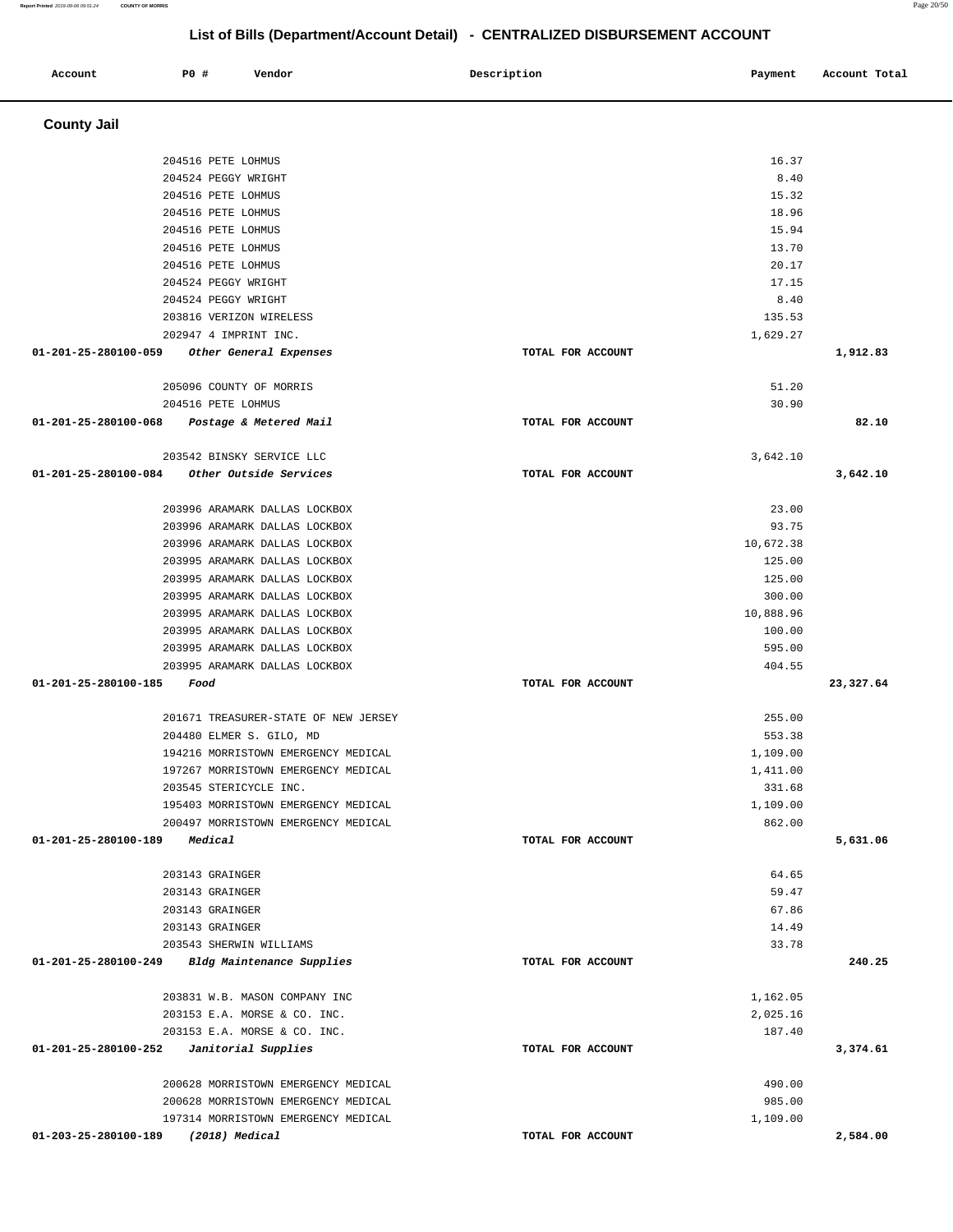#### **Account P0 # Vendor Description Payment Account Total County Jail**  204516 PETE LOHMUS 204524 PEGGY WRIGHT 204516 PETE LOHMUS 204516 PETE LOHMUS 204516 PETE LOHMUS 204516 PETE LOHMUS 204516 PETE LOHMUS 204524 PEGGY WRIGHT 204524 PEGGY WRIGHT 203816 VERIZON WIRELESS 202947 4 IMPRINT INC.  **01-201-25-280100-059 Other General Expenses TOTAL FOR ACCOUNT**  16.37 8.40 15.32 18.96 15.94 13.70 20.17 17.15 8.40 135.53 1,629.27 **1,912.83** 205096 COUNTY OF MORRIS 204516 PETE LOHMUS  **01-201-25-280100-068 Postage & Metered Mail TOTAL FOR ACCOUNT**  51.20 30.90 **82.10** 203542 BINSKY SERVICE LLC  **01-201-25-280100-084 Other Outside Services TOTAL FOR ACCOUNT**  3,642.10 **3,642.10** 203996 ARAMARK DALLAS LOCKBOX 203996 ARAMARK DALLAS LOCKBOX 203996 ARAMARK DALLAS LOCKBOX 203995 ARAMARK DALLAS LOCKBOX 203995 ARAMARK DALLAS LOCKBOX 203995 ARAMARK DALLAS LOCKBOX 203995 ARAMARK DALLAS LOCKBOX 203995 ARAMARK DALLAS LOCKBOX 203995 ARAMARK DALLAS LOCKBOX 203995 ARAMARK DALLAS LOCKBOX  **01-201-25-280100-185 Food TOTAL FOR ACCOUNT**  23.00 93.75 10,672.38 125.00 125.00 300.00 10,888.96 100.00 595.00 404.55 **23,327.64** 201671 TREASURER-STATE OF NEW JERSEY 204480 ELMER S. GILO, MD 194216 MORRISTOWN EMERGENCY MEDICAL 197267 MORRISTOWN EMERGENCY MEDICAL 203545 STERICYCLE INC. 195403 MORRISTOWN EMERGENCY MEDICAL 200497 MORRISTOWN EMERGENCY MEDICAL  **01-201-25-280100-189 Medical TOTAL FOR ACCOUNT**  255.00 553.38 1,109.00 1,411.00 331.68 1,109.00 862.00 **5,631.06** 203143 GRAINGER 203143 GRAINGER 203143 GRAINGER 203143 GRAINGER 203543 SHERWIN WILLIAMS  **01-201-25-280100-249 Bldg Maintenance Supplies TOTAL FOR ACCOUNT**  64.65 59.47 67.86 14.49 33.78 **240.25** 203831 W.B. MASON COMPANY INC 203153 E.A. MORSE & CO. INC. 203153 E.A. MORSE & CO. INC.  **01-201-25-280100-252 Janitorial Supplies TOTAL FOR ACCOUNT**  1,162.05 2,025.16 187.40 **3,374.61** 200628 MORRISTOWN EMERGENCY MEDICAL 200628 MORRISTOWN EMERGENCY MEDICAL 197314 MORRISTOWN EMERGENCY MEDICAL 490.00 985.00 1,109.00

 **01-203-25-280100-189 (2018) Medical TOTAL FOR ACCOUNT** 

**Report Printed** 2019-09-06 09:51:24 **COUNTY OF MORRIS** Page 20/50

**2,584.00** 

# **List of Bills (Department/Account Detail) - CENTRALIZED DISBURSEMENT ACCOUNT**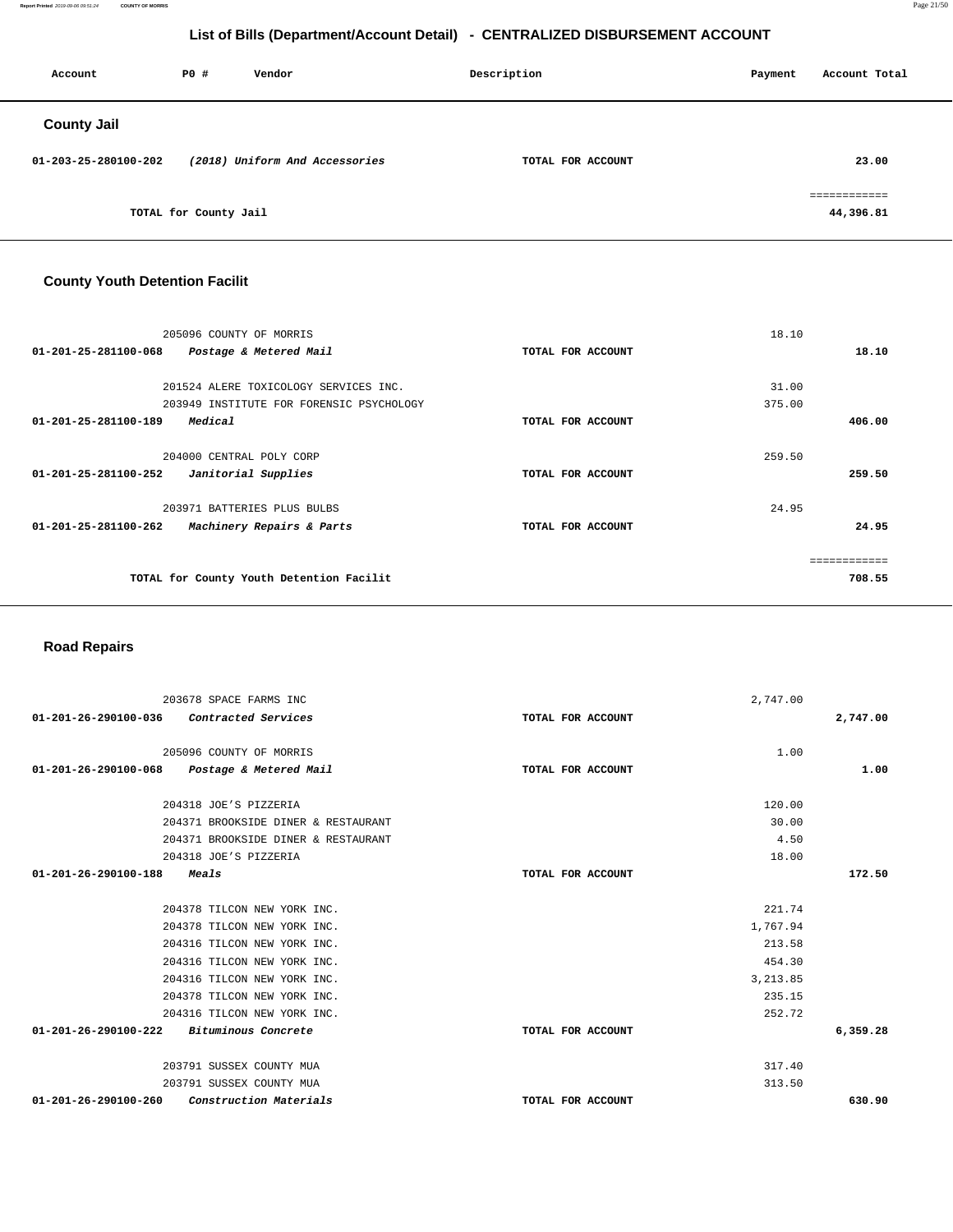**Report Printed** 2019-09-06 09:51:24 **COUNTY OF MORRIS** Page 21/50

# **List of Bills (Department/Account Detail) - CENTRALIZED DISBURSEMENT ACCOUNT**

| Account              | P0 #                  | Vendor                         | Description       | Payment | Account Total             |
|----------------------|-----------------------|--------------------------------|-------------------|---------|---------------------------|
| <b>County Jail</b>   |                       |                                |                   |         |                           |
| 01-203-25-280100-202 |                       | (2018) Uniform And Accessories | TOTAL FOR ACCOUNT |         | 23.00                     |
|                      | TOTAL for County Jail |                                |                   |         | ============<br>44,396.81 |

# **County Youth Detention Facilit**

|                                | 205096 COUNTY OF MORRIS                  |                   | 18.10  |        |
|--------------------------------|------------------------------------------|-------------------|--------|--------|
| $01 - 201 - 25 - 281100 - 068$ | Postage & Metered Mail                   | TOTAL FOR ACCOUNT |        | 18.10  |
|                                |                                          |                   |        |        |
|                                | 201524 ALERE TOXICOLOGY SERVICES INC.    |                   | 31.00  |        |
|                                | 203949 INSTITUTE FOR FORENSIC PSYCHOLOGY |                   | 375.00 |        |
| 01-201-25-281100-189           | Medical                                  | TOTAL FOR ACCOUNT |        | 406.00 |
|                                | 204000 CENTRAL POLY CORP                 |                   | 259.50 |        |
| 01-201-25-281100-252           | Janitorial Supplies                      | TOTAL FOR ACCOUNT |        | 259.50 |
|                                | 203971 BATTERIES PLUS BULBS              |                   | 24.95  |        |
| 01-201-25-281100-262           | Machinery Repairs & Parts                | TOTAL FOR ACCOUNT |        | 24.95  |
|                                |                                          |                   |        |        |
|                                | TOTAL for County Youth Detention Facilit |                   |        | 708.55 |
|                                |                                          |                   |        |        |

#### **Road Repairs**

|                                | 203678 SPACE FARMS INC              | 2,747.00          |          |
|--------------------------------|-------------------------------------|-------------------|----------|
| $01 - 201 - 26 - 290100 - 036$ | Contracted Services                 | TOTAL FOR ACCOUNT | 2,747.00 |
|                                |                                     |                   |          |
|                                | 205096 COUNTY OF MORRIS             |                   | 1.00     |
| 01-201-26-290100-068           | Postage & Metered Mail              | TOTAL FOR ACCOUNT | 1.00     |
|                                | 204318 JOE'S PIZZERIA               |                   | 120.00   |
|                                | 204371 BROOKSIDE DINER & RESTAURANT |                   | 30.00    |
|                                | 204371 BROOKSIDE DINER & RESTAURANT |                   | 4.50     |
|                                |                                     |                   |          |
|                                | 204318 JOE'S PIZZERIA               |                   | 18.00    |
| 01-201-26-290100-188           | <i>Meals</i>                        | TOTAL FOR ACCOUNT | 172.50   |
|                                |                                     |                   | 221.74   |
|                                | 204378 TILCON NEW YORK INC.         |                   |          |
|                                | 204378 TILCON NEW YORK INC.         | 1,767.94          |          |
|                                | 204316 TILCON NEW YORK INC.         |                   | 213.58   |
|                                | 204316 TILCON NEW YORK INC.         |                   | 454.30   |
|                                | 204316 TILCON NEW YORK INC.         | 3, 213.85         |          |
|                                | 204378 TILCON NEW YORK INC.         |                   | 235.15   |
|                                | 204316 TILCON NEW YORK INC.         |                   | 252.72   |
| $01 - 201 - 26 - 290100 - 222$ | <i>Bituminous Concrete</i>          | TOTAL FOR ACCOUNT | 6,359.28 |
|                                |                                     |                   |          |
|                                | 203791 SUSSEX COUNTY MUA            |                   | 317.40   |
|                                | 203791 SUSSEX COUNTY MUA            |                   | 313.50   |
| 01-201-26-290100-260           | Construction Materials              | TOTAL FOR ACCOUNT | 630.90   |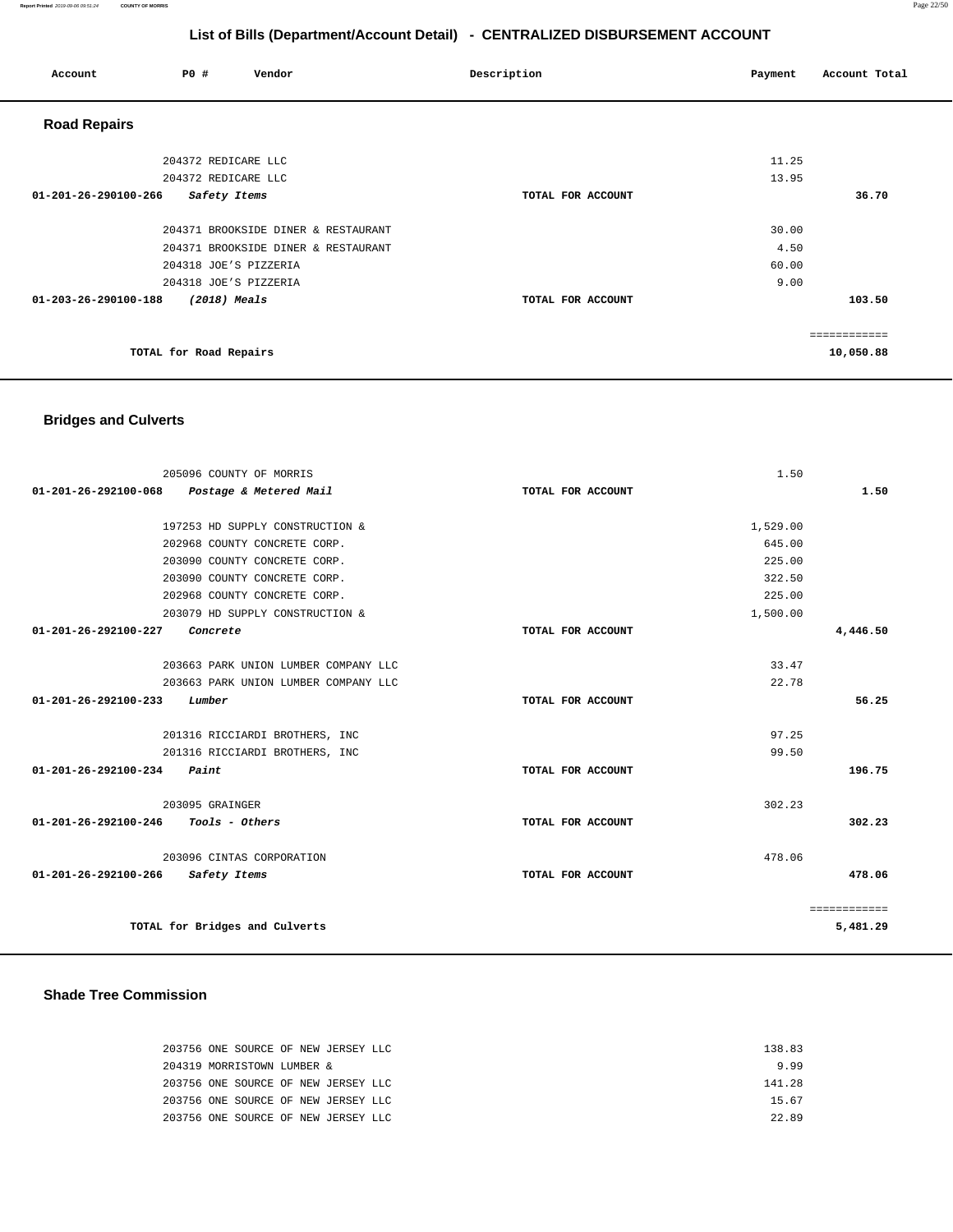| Account              | <b>PO #</b>            | Vendor                              | Description       | Payment | Account Total |
|----------------------|------------------------|-------------------------------------|-------------------|---------|---------------|
| <b>Road Repairs</b>  |                        |                                     |                   |         |               |
|                      | 204372 REDICARE LLC    |                                     |                   | 11.25   |               |
|                      | 204372 REDICARE LLC    |                                     |                   | 13.95   |               |
| 01-201-26-290100-266 | Safety Items           |                                     | TOTAL FOR ACCOUNT |         | 36.70         |
|                      |                        | 204371 BROOKSIDE DINER & RESTAURANT |                   | 30.00   |               |
|                      |                        | 204371 BROOKSIDE DINER & RESTAURANT |                   | 4.50    |               |
|                      |                        | 204318 JOE'S PIZZERIA               |                   | 60.00   |               |
|                      |                        | 204318 JOE'S PIZZERIA               |                   | 9.00    |               |
| 01-203-26-290100-188 | $(2018)$ Meals         |                                     | TOTAL FOR ACCOUNT |         | 103.50        |
|                      |                        |                                     |                   |         |               |
|                      |                        |                                     |                   |         | eessessesses  |
|                      | TOTAL for Road Repairs |                                     |                   |         | 10,050.88     |

#### **Bridges and Culverts**

| 205096 COUNTY OF MORRIS                        |                   | 1.50     |              |
|------------------------------------------------|-------------------|----------|--------------|
| 01-201-26-292100-068<br>Postage & Metered Mail | TOTAL FOR ACCOUNT |          | 1.50         |
|                                                |                   |          |              |
| 197253 HD SUPPLY CONSTRUCTION &                |                   | 1,529.00 |              |
| 202968 COUNTY CONCRETE CORP.                   |                   | 645.00   |              |
| 203090 COUNTY CONCRETE CORP.                   |                   | 225.00   |              |
| 203090 COUNTY CONCRETE CORP.                   |                   | 322.50   |              |
| 202968 COUNTY CONCRETE CORP.                   |                   | 225.00   |              |
| 203079 HD SUPPLY CONSTRUCTION &                |                   | 1,500.00 |              |
| 01-201-26-292100-227<br>Concrete               | TOTAL FOR ACCOUNT |          | 4,446.50     |
|                                                |                   |          |              |
| 203663 PARK UNION LUMBER COMPANY LLC           |                   | 33.47    |              |
| 203663 PARK UNION LUMBER COMPANY LLC           |                   | 22.78    |              |
| 01-201-26-292100-233<br>Lumber                 | TOTAL FOR ACCOUNT |          | 56.25        |
|                                                |                   |          |              |
| 201316 RICCIARDI BROTHERS, INC                 |                   | 97.25    |              |
| 201316 RICCIARDI BROTHERS, INC                 |                   | 99.50    |              |
| $01 - 201 - 26 - 292100 - 234$ Paint           | TOTAL FOR ACCOUNT |          | 196.75       |
|                                                |                   |          |              |
| 203095 GRAINGER                                |                   | 302.23   |              |
| $01 - 201 - 26 - 292100 - 246$ Tools - Others  | TOTAL FOR ACCOUNT |          | 302.23       |
|                                                |                   |          |              |
| 203096 CINTAS CORPORATION                      |                   | 478.06   |              |
| 01-201-26-292100-266<br>Safety Items           | TOTAL FOR ACCOUNT |          | 478.06       |
|                                                |                   |          |              |
|                                                |                   |          | ============ |
| TOTAL for Bridges and Culverts                 |                   |          | 5,481.29     |
|                                                |                   |          |              |

#### **Shade Tree Commission**

| 203756 ONE SOURCE OF NEW JERSEY LLC |  | 138 83 |
|-------------------------------------|--|--------|
| 204319 MORRISTOWN LUMBER &          |  | 999    |
| 203756 ONE SOURCE OF NEW JERSEY LLC |  | 141 28 |
| 203756 ONE SOURCE OF NEW JERSEY LLC |  | 15 67  |
| 203756 ONE SOURCE OF NEW JERSEY LLC |  | 22 89  |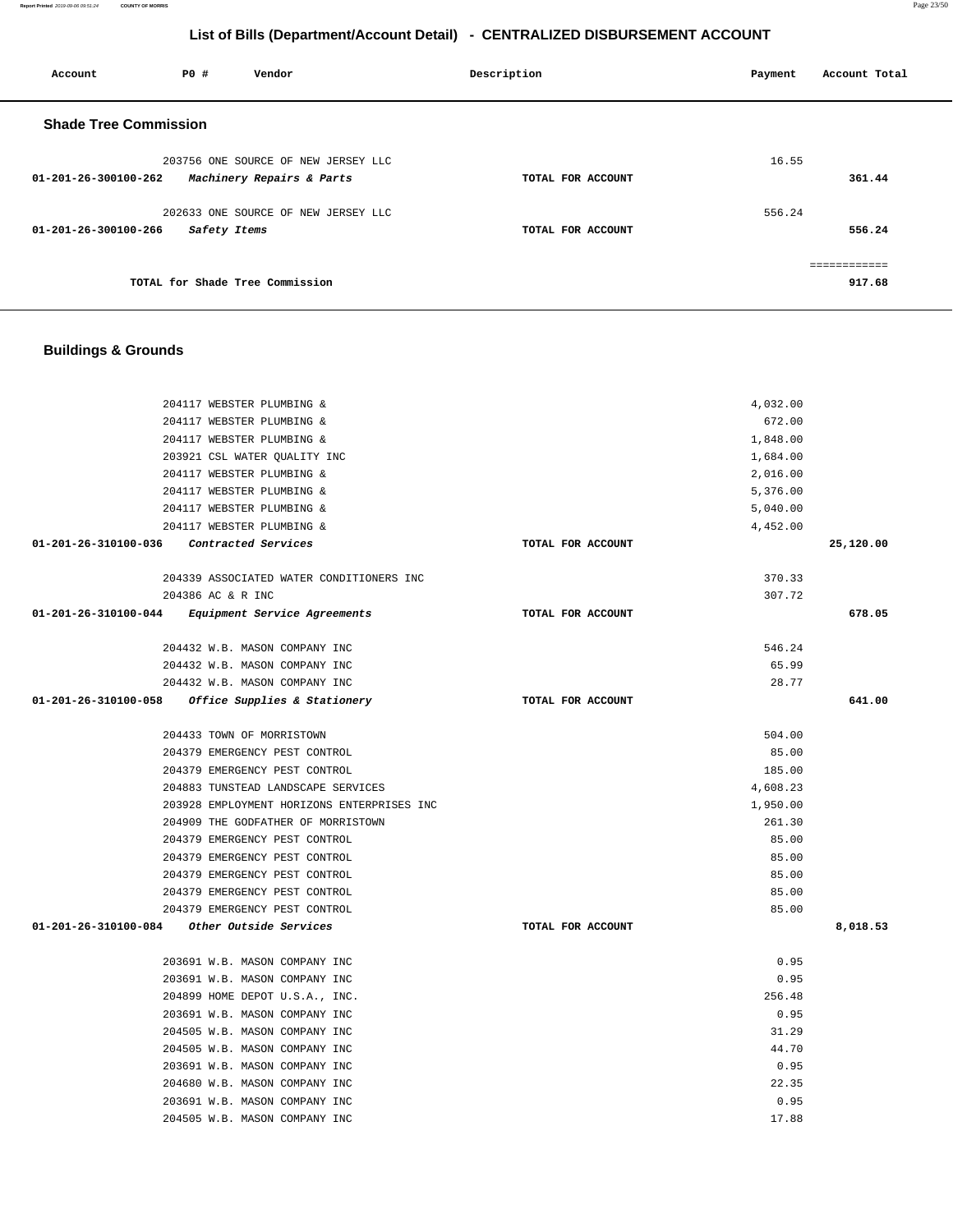#### **Report Printed** 2019-09-06 09:51:24 **COUNTY OF MORRIS** Page 23/50

# **List of Bills (Department/Account Detail) - CENTRALIZED DISBURSEMENT ACCOUNT**

 **Account P0 # Vendor Description Payment Account Total** 

| <b>Shade Tree Commission</b>                                                |                   |                 |              |
|-----------------------------------------------------------------------------|-------------------|-----------------|--------------|
| 203756 ONE SOURCE OF NEW JERSEY LLC                                         |                   | 16.55           |              |
| 01-201-26-300100-262<br>Machinery Repairs & Parts                           | TOTAL FOR ACCOUNT |                 | 361.44       |
|                                                                             |                   |                 |              |
| 202633 ONE SOURCE OF NEW JERSEY LLC<br>01-201-26-300100-266<br>Safety Items | TOTAL FOR ACCOUNT | 556.24          | 556.24       |
|                                                                             |                   |                 |              |
|                                                                             |                   |                 | ============ |
| TOTAL for Shade Tree Commission                                             |                   |                 | 917.68       |
|                                                                             |                   |                 |              |
|                                                                             |                   |                 |              |
| <b>Buildings &amp; Grounds</b>                                              |                   |                 |              |
|                                                                             |                   |                 |              |
| 204117 WEBSTER PLUMBING &                                                   |                   | 4,032.00        |              |
| 204117 WEBSTER PLUMBING &                                                   |                   | 672.00          |              |
| 204117 WEBSTER PLUMBING &                                                   |                   | 1,848.00        |              |
| 203921 CSL WATER OUALITY INC                                                |                   | 1,684.00        |              |
| 204117 WEBSTER PLUMBING &                                                   |                   | 2,016.00        |              |
| 204117 WEBSTER PLUMBING &                                                   |                   | 5,376.00        |              |
| 204117 WEBSTER PLUMBING &                                                   |                   | 5,040.00        |              |
| 204117 WEBSTER PLUMBING &<br>01-201-26-310100-036<br>Contracted Services    | TOTAL FOR ACCOUNT | 4,452.00        | 25,120.00    |
|                                                                             |                   |                 |              |
| 204339 ASSOCIATED WATER CONDITIONERS INC                                    |                   | 370.33          |              |
| 204386 AC & R INC                                                           |                   | 307.72          |              |
| 01-201-26-310100-044<br>Equipment Service Agreements                        | TOTAL FOR ACCOUNT |                 | 678.05       |
| 204432 W.B. MASON COMPANY INC                                               |                   | 546.24          |              |
| 204432 W.B. MASON COMPANY INC                                               |                   | 65.99           |              |
| 204432 W.B. MASON COMPANY INC                                               |                   | 28.77           |              |
| 01-201-26-310100-058<br>Office Supplies & Stationery                        | TOTAL FOR ACCOUNT |                 | 641.00       |
|                                                                             |                   |                 |              |
| 204433 TOWN OF MORRISTOWN                                                   |                   | 504.00          |              |
| 204379 EMERGENCY PEST CONTROL                                               |                   | 85.00<br>185.00 |              |
| 204379 EMERGENCY PEST CONTROL<br>204883 TUNSTEAD LANDSCAPE SERVICES         |                   | 4,608.23        |              |
| 203928 EMPLOYMENT HORIZONS ENTERPRISES INC                                  |                   | 1,950.00        |              |
| 204909 THE GODFATHER OF MORRISTOWN                                          |                   | 261.30          |              |
| 204379 EMERGENCY PEST CONTROL                                               |                   | 85.00           |              |
| 204379 EMERGENCY PEST CONTROL                                               |                   | 85.00           |              |
| 204379 EMERGENCY PEST CONTROL                                               |                   | 85.00           |              |
| 204379 EMERGENCY PEST CONTROL                                               |                   | 85.00           |              |
| 204379 EMERGENCY PEST CONTROL                                               |                   | 85.00           | 8,018.53     |
| 01-201-26-310100-084 Other Outside Services                                 | TOTAL FOR ACCOUNT |                 |              |
| 203691 W.B. MASON COMPANY INC                                               |                   | 0.95            |              |
| 203691 W.B. MASON COMPANY INC                                               |                   | 0.95            |              |
| 204899 HOME DEPOT U.S.A., INC.                                              |                   | 256.48          |              |
| 203691 W.B. MASON COMPANY INC                                               |                   | 0.95            |              |
| 204505 W.B. MASON COMPANY INC                                               |                   | 31.29           |              |
| 204505 W.B. MASON COMPANY INC<br>203691 W.B. MASON COMPANY INC              |                   | 44.70<br>0.95   |              |
| 204680 W.B. MASON COMPANY INC                                               |                   | 22.35           |              |
| 203691 W.B. MASON COMPANY INC                                               |                   | 0.95            |              |
| 204505 W.B. MASON COMPANY INC                                               |                   | 17.88           |              |
|                                                                             |                   |                 |              |
|                                                                             |                   |                 |              |
|                                                                             |                   |                 |              |
|                                                                             |                   |                 |              |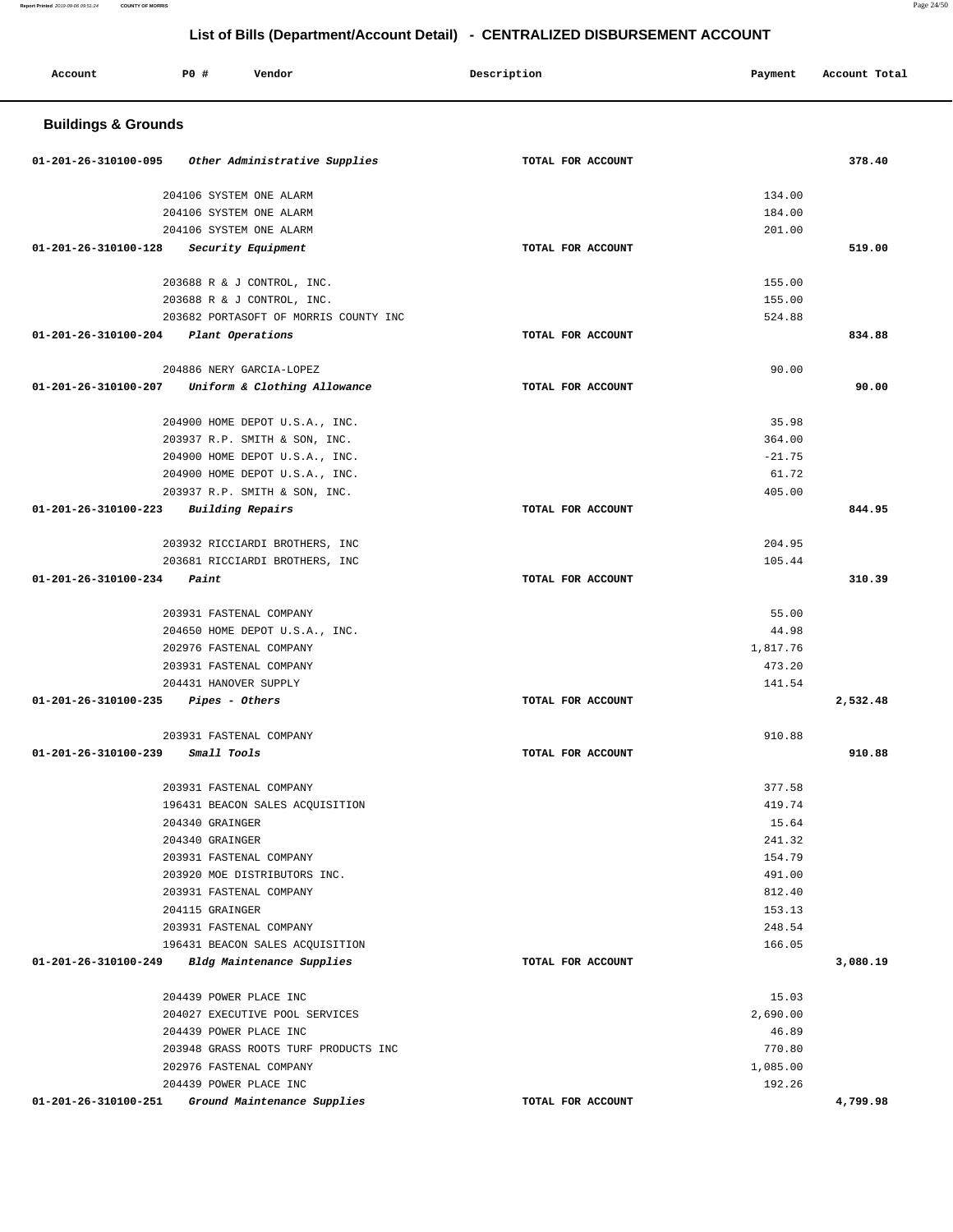| Account                        | PO#<br>Vendor                                             | Description       | Payment           | Account Total |
|--------------------------------|-----------------------------------------------------------|-------------------|-------------------|---------------|
| <b>Buildings &amp; Grounds</b> |                                                           |                   |                   |               |
| 01-201-26-310100-095           | Other Administrative Supplies                             | TOTAL FOR ACCOUNT |                   | 378.40        |
|                                | 204106 SYSTEM ONE ALARM                                   |                   | 134.00            |               |
|                                | 204106 SYSTEM ONE ALARM                                   |                   | 184.00            |               |
|                                | 204106 SYSTEM ONE ALARM                                   |                   | 201.00            |               |
| 01-201-26-310100-128           | Security Equipment                                        | TOTAL FOR ACCOUNT |                   | 519.00        |
|                                | 203688 R & J CONTROL, INC.                                |                   | 155.00            |               |
|                                | 203688 R & J CONTROL, INC.                                |                   | 155.00            |               |
|                                | 203682 PORTASOFT OF MORRIS COUNTY INC                     |                   | 524.88            |               |
| 01-201-26-310100-204           | Plant Operations                                          | TOTAL FOR ACCOUNT |                   | 834.88        |
|                                |                                                           |                   |                   |               |
|                                | 204886 NERY GARCIA-LOPEZ                                  |                   | 90.00             |               |
| 01-201-26-310100-207           | Uniform & Clothing Allowance                              | TOTAL FOR ACCOUNT |                   | 90.00         |
|                                | 204900 HOME DEPOT U.S.A., INC.                            |                   | 35.98             |               |
|                                | 203937 R.P. SMITH & SON, INC.                             |                   | 364.00            |               |
|                                | 204900 HOME DEPOT U.S.A., INC.                            |                   | $-21.75$          |               |
|                                | 204900 HOME DEPOT U.S.A., INC.                            |                   | 61.72             |               |
|                                | 203937 R.P. SMITH & SON, INC.                             |                   | 405.00            |               |
| 01-201-26-310100-223           | Building Repairs                                          | TOTAL FOR ACCOUNT |                   | 844.95        |
|                                | 203932 RICCIARDI BROTHERS, INC                            |                   | 204.95            |               |
|                                | 203681 RICCIARDI BROTHERS, INC                            |                   | 105.44            |               |
| 01-201-26-310100-234           | Paint                                                     | TOTAL FOR ACCOUNT |                   | 310.39        |
|                                |                                                           |                   |                   |               |
|                                | 203931 FASTENAL COMPANY                                   |                   | 55.00             |               |
|                                | 204650 HOME DEPOT U.S.A., INC.<br>202976 FASTENAL COMPANY |                   | 44.98<br>1,817.76 |               |
|                                | 203931 FASTENAL COMPANY                                   |                   | 473.20            |               |
|                                | 204431 HANOVER SUPPLY                                     |                   | 141.54            |               |
| 01-201-26-310100-235           | Pipes - Others                                            | TOTAL FOR ACCOUNT |                   | 2,532.48      |
|                                | 203931 FASTENAL COMPANY                                   |                   | 910.88            |               |
| 01-201-26-310100-239           | Small Tools                                               | TOTAL FOR ACCOUNT |                   | 910.88        |
|                                |                                                           |                   |                   |               |
|                                | 203931 FASTENAL COMPANY                                   |                   | 377.58            |               |
|                                | 196431 BEACON SALES ACOUISITION                           |                   | 419.74            |               |
|                                | 204340 GRAINGER                                           |                   | 15.64             |               |
|                                | 204340 GRAINGER                                           |                   | 241.32            |               |
|                                | 203931 FASTENAL COMPANY<br>203920 MOE DISTRIBUTORS INC.   |                   | 154.79<br>491.00  |               |
|                                | 203931 FASTENAL COMPANY                                   |                   | 812.40            |               |
|                                | 204115 GRAINGER                                           |                   | 153.13            |               |
|                                | 203931 FASTENAL COMPANY                                   |                   | 248.54            |               |
|                                | 196431 BEACON SALES ACQUISITION                           |                   | 166.05            |               |
| 01-201-26-310100-249           | Bldg Maintenance Supplies                                 | TOTAL FOR ACCOUNT |                   | 3,080.19      |
|                                | 204439 POWER PLACE INC                                    |                   | 15.03             |               |
|                                | 204027 EXECUTIVE POOL SERVICES                            |                   | 2,690.00          |               |
|                                | 204439 POWER PLACE INC                                    |                   | 46.89             |               |
|                                | 203948 GRASS ROOTS TURF PRODUCTS INC                      |                   | 770.80            |               |
|                                | 202976 FASTENAL COMPANY                                   |                   | 1,085.00          |               |
|                                | 204439 POWER PLACE INC                                    |                   | 192.26            |               |
| 01-201-26-310100-251           | Ground Maintenance Supplies                               | TOTAL FOR ACCOUNT |                   | 4,799.98      |

**Report Printed** 2019-09-06 09:51:24 **COUNTY OF MORRIS** Page 24/50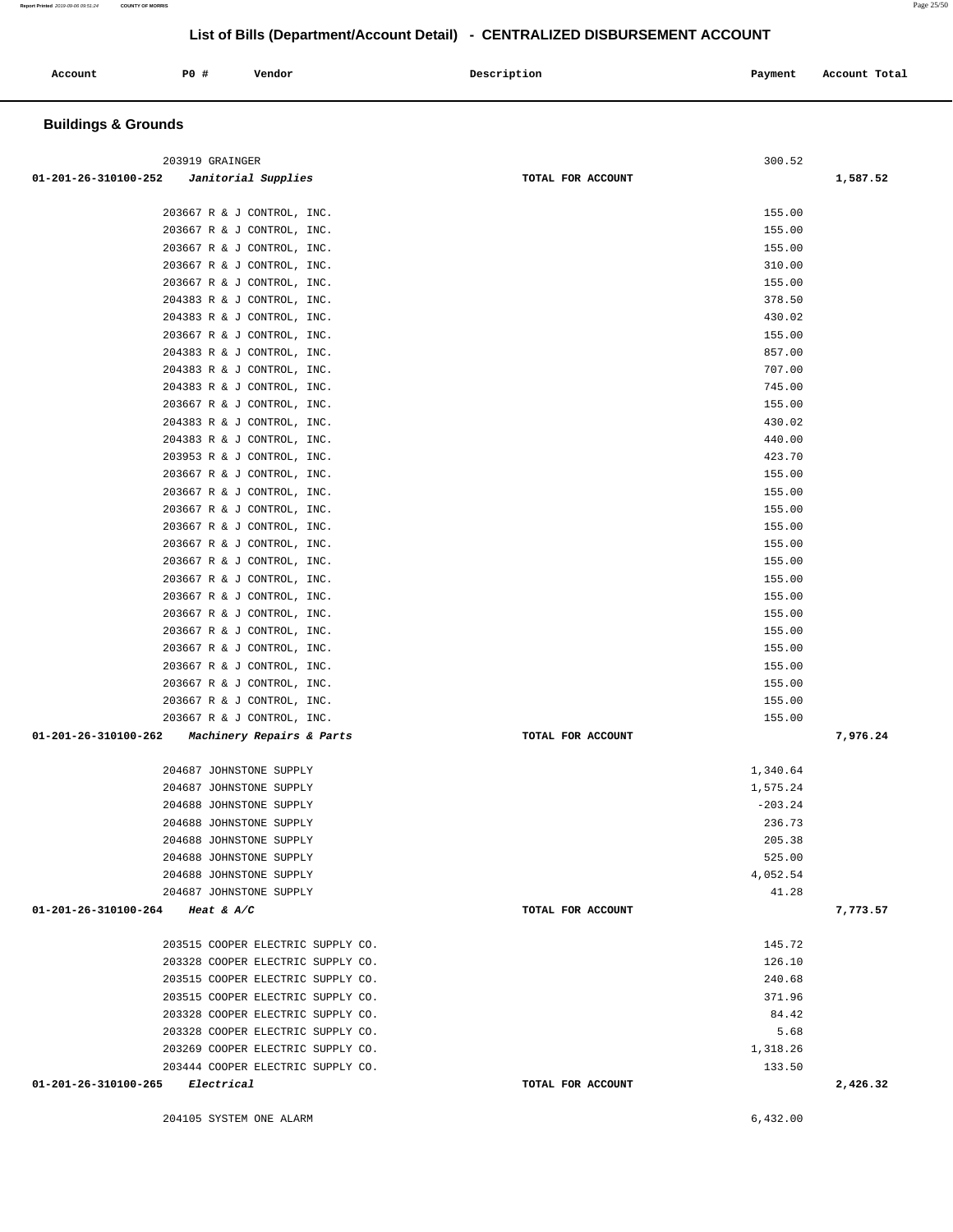204105 SYSTEM ONE ALARM 6,432.00

**Buildings & Grounds** 

| $01-201-26-310100-252$ Janitorial Supplies               | TOTAL FOR ACCOUNT | 1,587.52         |  |
|----------------------------------------------------------|-------------------|------------------|--|
|                                                          |                   |                  |  |
| 203667 R & J CONTROL, INC.                               |                   | 155.00           |  |
| 203667 R & J CONTROL, INC.                               |                   | 155.00           |  |
| 203667 R & J CONTROL, INC.                               |                   | 155.00           |  |
| 203667 R & J CONTROL, INC.                               |                   | 310.00           |  |
| 203667 R & J CONTROL, INC.                               |                   | 155.00           |  |
| 204383 R & J CONTROL, INC.                               |                   | 378.50           |  |
| 204383 R & J CONTROL, INC.                               |                   | 430.02           |  |
| 203667 R & J CONTROL, INC.                               |                   | 155.00           |  |
| 204383 R & J CONTROL, INC.                               |                   | 857.00           |  |
| 204383 R & J CONTROL, INC.                               |                   | 707.00           |  |
| 204383 R & J CONTROL, INC.                               |                   | 745.00           |  |
| 203667 R & J CONTROL, INC.                               |                   | 155.00           |  |
| 204383 R & J CONTROL, INC.                               |                   | 430.02           |  |
| 204383 R & J CONTROL, INC.                               |                   | 440.00           |  |
| 203953 R & J CONTROL, INC.                               |                   | 423.70           |  |
| 203667 R & J CONTROL, INC.                               |                   | 155.00           |  |
| 203667 R & J CONTROL, INC.                               |                   | 155.00           |  |
| 203667 R & J CONTROL, INC.                               |                   | 155.00           |  |
| 203667 R & J CONTROL, INC.                               |                   | 155.00           |  |
| 203667 R & J CONTROL, INC.                               |                   | 155.00           |  |
| 203667 R & J CONTROL, INC.                               |                   | 155.00<br>155.00 |  |
| 203667 R & J CONTROL, INC.<br>203667 R & J CONTROL, INC. |                   |                  |  |
| 203667 R & J CONTROL, INC.                               |                   | 155.00<br>155.00 |  |
| 203667 R & J CONTROL, INC.                               |                   | 155.00           |  |
| 203667 R & J CONTROL, INC.                               |                   | 155.00           |  |
| 203667 R & J CONTROL, INC.                               |                   | 155.00           |  |
| 203667 R & J CONTROL, INC.                               |                   | 155.00           |  |
| 203667 R & J CONTROL, INC.                               |                   | 155.00           |  |
| 203667 R & J CONTROL, INC.                               |                   | 155.00           |  |
| 01-201-26-310100-262<br>Machinery Repairs & Parts        | TOTAL FOR ACCOUNT | 7,976.24         |  |
|                                                          |                   |                  |  |
| 204687 JOHNSTONE SUPPLY                                  |                   | 1,340.64         |  |
| 204687 JOHNSTONE SUPPLY                                  |                   | 1,575.24         |  |
| 204688 JOHNSTONE SUPPLY                                  |                   | $-203.24$        |  |
| 204688 JOHNSTONE SUPPLY                                  |                   | 236.73           |  |
| 204688 JOHNSTONE SUPPLY                                  |                   | 205.38           |  |
| 204688 JOHNSTONE SUPPLY                                  |                   | 525.00           |  |
| 204688 JOHNSTONE SUPPLY                                  |                   | 4,052.54         |  |
| 204687 JOHNSTONE SUPPLY                                  |                   | 41.28            |  |
| 01-201-26-310100-264<br><i>Heat &amp; A/C</i>            | TOTAL FOR ACCOUNT | 7,773.57         |  |
| 203515 COOPER ELECTRIC SUPPLY CO.                        |                   | 145.72           |  |
| 203328 COOPER ELECTRIC SUPPLY CO.                        |                   | 126.10           |  |
| 203515 COOPER ELECTRIC SUPPLY CO.                        |                   | 240.68           |  |
| 203515 COOPER ELECTRIC SUPPLY CO.                        |                   | 371.96           |  |
| 203328 COOPER ELECTRIC SUPPLY CO.                        |                   | 84.42            |  |
| 203328 COOPER ELECTRIC SUPPLY CO.                        |                   | 5.68             |  |
| 203269 COOPER ELECTRIC SUPPLY CO.                        |                   | 1,318.26         |  |
| 203444 COOPER ELECTRIC SUPPLY CO.                        |                   | 133.50           |  |
| 01-201-26-310100-265<br>Electrical                       | TOTAL FOR ACCOUNT | 2,426.32         |  |
|                                                          |                   |                  |  |

# **List of Bills (Department/Account Detail) - CENTRALIZED DISBURSEMENT ACCOUNT**

 **Account P0 # Vendor Description Payment Account Total** 

203919 GRAINGER 300.52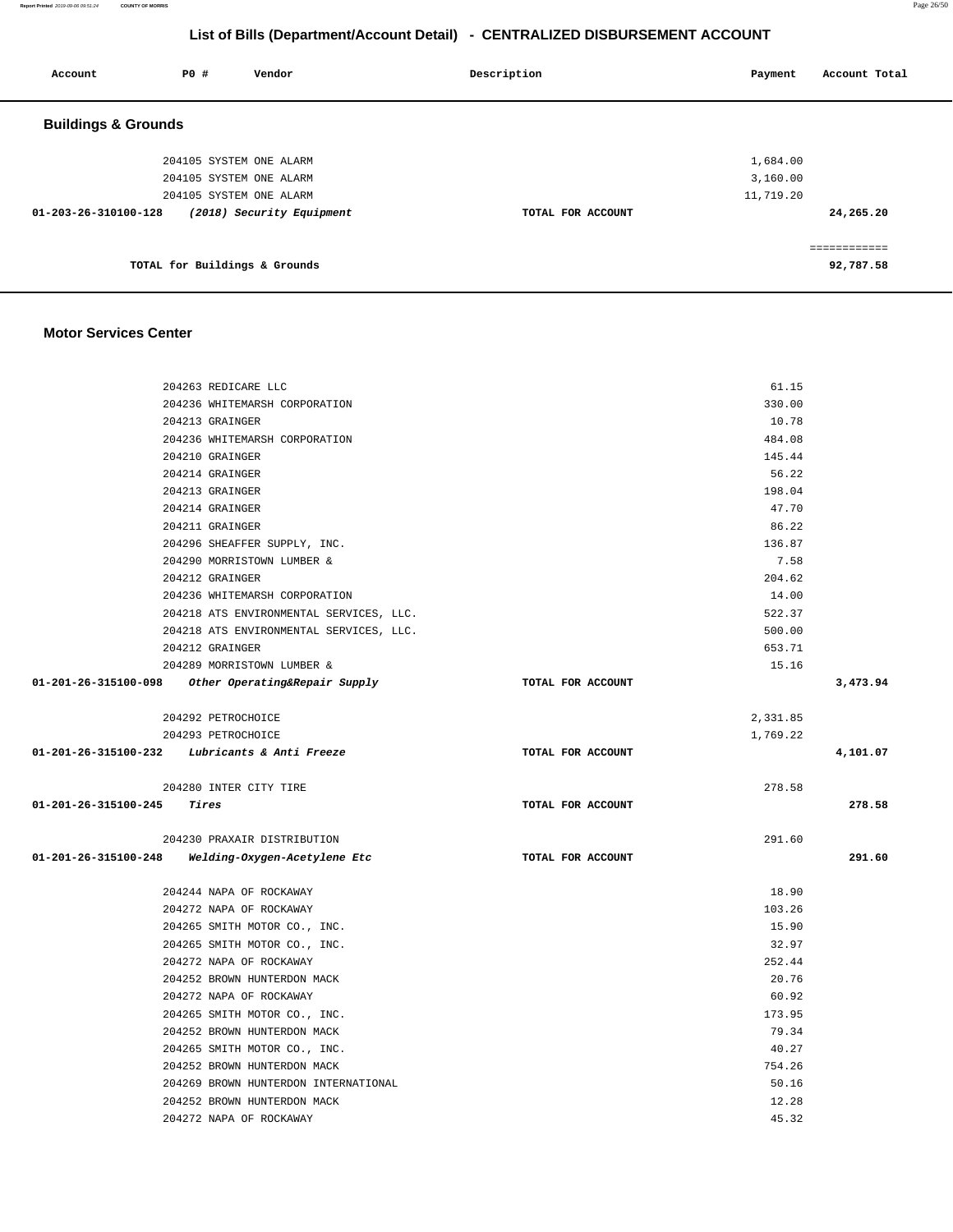**Report Printed** 2019-09-06 09:51:24 **COUNTY OF MORRIS** Page 26/50

# **List of Bills (Department/Account Detail) - CENTRALIZED DISBURSEMENT ACCOUNT**

| Account                        | PO#                           | Vendor                    | Description       | Payment   | Account Total |
|--------------------------------|-------------------------------|---------------------------|-------------------|-----------|---------------|
| <b>Buildings &amp; Grounds</b> |                               |                           |                   |           |               |
|                                |                               | 204105 SYSTEM ONE ALARM   |                   | 1,684.00  |               |
|                                |                               | 204105 SYSTEM ONE ALARM   |                   | 3,160.00  |               |
|                                |                               | 204105 SYSTEM ONE ALARM   |                   | 11,719.20 |               |
| $01 - 203 - 26 - 310100 - 128$ |                               | (2018) Security Equipment | TOTAL FOR ACCOUNT |           | 24,265.20     |
|                                |                               |                           |                   |           |               |
|                                | TOTAL for Buildings & Grounds |                           |                   |           | 92,787.58     |
|                                |                               |                           |                   |           |               |

#### **Motor Services Center**

|                                      | 204263 REDICARE LLC                                |                   | 61.15    |          |
|--------------------------------------|----------------------------------------------------|-------------------|----------|----------|
|                                      | 204236 WHITEMARSH CORPORATION                      |                   | 330.00   |          |
|                                      | 204213 GRAINGER                                    |                   | 10.78    |          |
|                                      | 204236 WHITEMARSH CORPORATION                      |                   | 484.08   |          |
|                                      | 204210 GRAINGER                                    |                   | 145.44   |          |
|                                      | 204214 GRAINGER                                    |                   | 56.22    |          |
|                                      | 204213 GRAINGER                                    |                   | 198.04   |          |
|                                      | 204214 GRAINGER                                    |                   | 47.70    |          |
|                                      | 204211 GRAINGER                                    |                   | 86.22    |          |
|                                      | 204296 SHEAFFER SUPPLY, INC.                       |                   | 136.87   |          |
|                                      | 204290 MORRISTOWN LUMBER &                         |                   | 7.58     |          |
|                                      | 204212 GRAINGER                                    |                   | 204.62   |          |
|                                      | 204236 WHITEMARSH CORPORATION                      |                   | 14.00    |          |
|                                      | 204218 ATS ENVIRONMENTAL SERVICES, LLC.            |                   | 522.37   |          |
|                                      | 204218 ATS ENVIRONMENTAL SERVICES, LLC.            |                   | 500.00   |          |
|                                      | 204212 GRAINGER                                    |                   | 653.71   |          |
|                                      | 204289 MORRISTOWN LUMBER &                         |                   | 15.16    |          |
|                                      | 01-201-26-315100-098 Other Operating&Repair Supply | TOTAL FOR ACCOUNT |          | 3,473.94 |
|                                      | 204292 PETROCHOICE                                 |                   | 2,331.85 |          |
|                                      | 204293 PETROCHOICE                                 |                   | 1,769.22 |          |
|                                      | 01-201-26-315100-232 Lubricants & Anti Freeze      | TOTAL FOR ACCOUNT |          | 4,101.07 |
|                                      |                                                    |                   |          |          |
|                                      |                                                    |                   | 278.58   |          |
| $01 - 201 - 26 - 315100 - 245$ Tires | 204280 INTER CITY TIRE                             | TOTAL FOR ACCOUNT |          | 278.58   |
|                                      |                                                    |                   |          |          |
|                                      | 204230 PRAXAIR DISTRIBUTION                        |                   | 291.60   |          |
| 01-201-26-315100-248                 | Welding-Oxygen-Acetylene Etc                       | TOTAL FOR ACCOUNT |          | 291.60   |
|                                      | 204244 NAPA OF ROCKAWAY                            |                   | 18.90    |          |
|                                      | 204272 NAPA OF ROCKAWAY                            |                   | 103.26   |          |
|                                      | 204265 SMITH MOTOR CO., INC.                       |                   | 15.90    |          |
|                                      | 204265 SMITH MOTOR CO., INC.                       |                   | 32.97    |          |
|                                      | 204272 NAPA OF ROCKAWAY                            |                   | 252.44   |          |
|                                      | 204252 BROWN HUNTERDON MACK                        |                   | 20.76    |          |
|                                      | 204272 NAPA OF ROCKAWAY                            |                   | 60.92    |          |
|                                      | 204265 SMITH MOTOR CO., INC.                       |                   | 173.95   |          |
|                                      | 204252 BROWN HUNTERDON MACK                        |                   | 79.34    |          |
|                                      | 204265 SMITH MOTOR CO., INC.                       |                   | 40.27    |          |
|                                      | 204252 BROWN HUNTERDON MACK                        |                   | 754.26   |          |
|                                      | 204269 BROWN HUNTERDON INTERNATIONAL               |                   | 50.16    |          |
|                                      | 204252 BROWN HUNTERDON MACK                        |                   | 12.28    |          |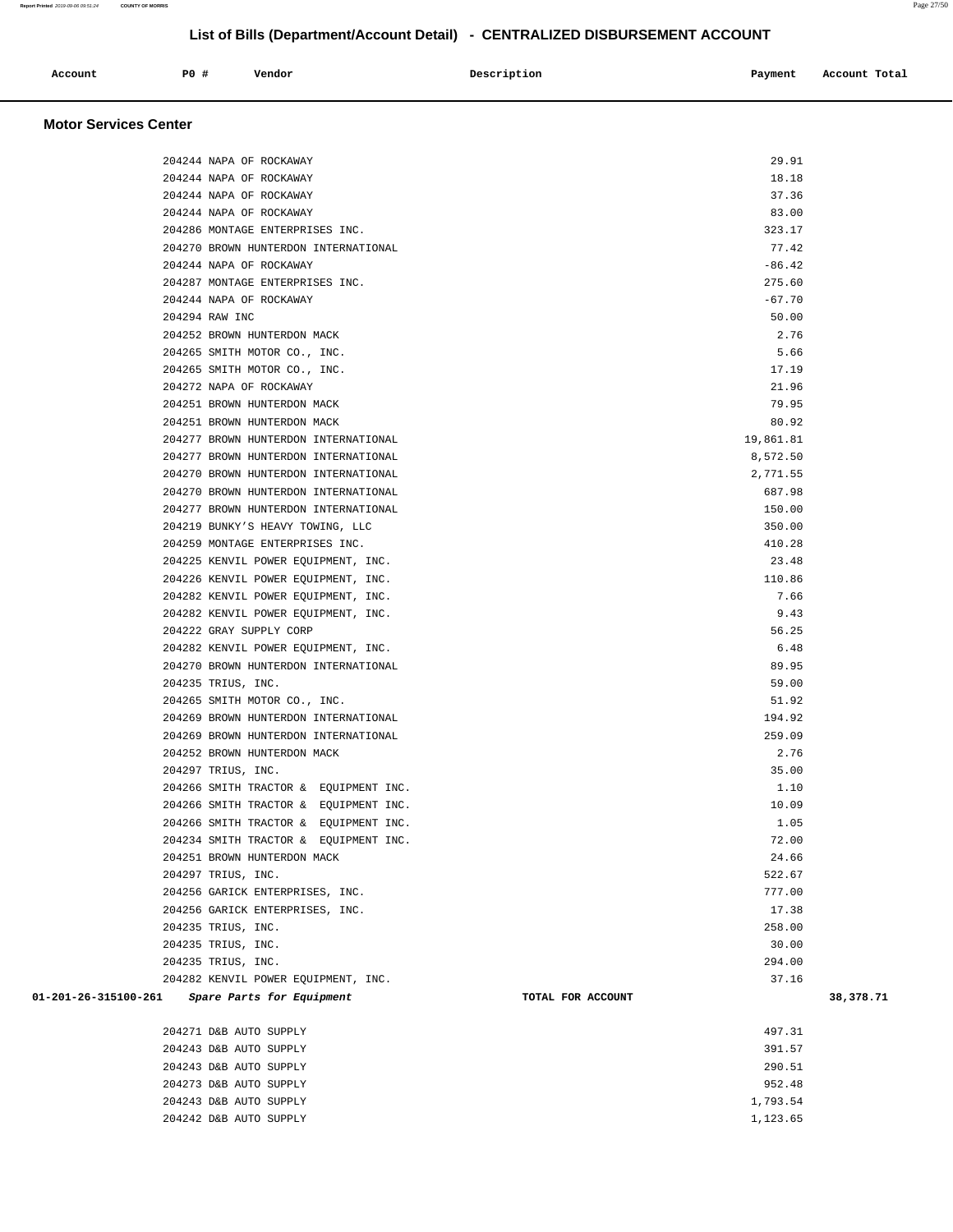| Account | <b>PO #</b> | Vendor | Description | Payment | Account Total |
|---------|-------------|--------|-------------|---------|---------------|
|         |             |        |             |         |               |

#### **Motor Services Center**

| 204244 NAPA OF ROCKAWAY                                                | 29.91     |           |
|------------------------------------------------------------------------|-----------|-----------|
|                                                                        |           |           |
| 204244 NAPA OF ROCKAWAY                                                | 18.18     |           |
| 204244 NAPA OF ROCKAWAY                                                | 37.36     |           |
| 204244 NAPA OF ROCKAWAY                                                | 83.00     |           |
| 204286 MONTAGE ENTERPRISES INC.                                        | 323.17    |           |
| 204270 BROWN HUNTERDON INTERNATIONAL                                   | 77.42     |           |
| 204244 NAPA OF ROCKAWAY                                                | $-86.42$  |           |
| 204287 MONTAGE ENTERPRISES INC.                                        | 275.60    |           |
| 204244 NAPA OF ROCKAWAY                                                | $-67.70$  |           |
| 204294 RAW INC                                                         | 50.00     |           |
| 204252 BROWN HUNTERDON MACK                                            | 2.76      |           |
| 204265 SMITH MOTOR CO., INC.                                           | 5.66      |           |
| 204265 SMITH MOTOR CO., INC.                                           | 17.19     |           |
| 204272 NAPA OF ROCKAWAY                                                | 21.96     |           |
| 204251 BROWN HUNTERDON MACK                                            | 79.95     |           |
| 204251 BROWN HUNTERDON MACK                                            | 80.92     |           |
| 204277 BROWN HUNTERDON INTERNATIONAL                                   | 19,861.81 |           |
| 204277 BROWN HUNTERDON INTERNATIONAL                                   | 8,572.50  |           |
| 204270 BROWN HUNTERDON INTERNATIONAL                                   | 2,771.55  |           |
| 204270 BROWN HUNTERDON INTERNATIONAL                                   | 687.98    |           |
| 204277 BROWN HUNTERDON INTERNATIONAL                                   | 150.00    |           |
| 204219 BUNKY'S HEAVY TOWING, LLC                                       | 350.00    |           |
| 204259 MONTAGE ENTERPRISES INC.                                        | 410.28    |           |
| 204225 KENVIL POWER EQUIPMENT, INC.                                    | 23.48     |           |
| 204226 KENVIL POWER EQUIPMENT, INC.                                    | 110.86    |           |
| 204282 KENVIL POWER EQUIPMENT, INC.                                    | 7.66      |           |
| 204282 KENVIL POWER EQUIPMENT, INC.                                    | 9.43      |           |
| 204222 GRAY SUPPLY CORP                                                | 56.25     |           |
| 204282 KENVIL POWER EQUIPMENT, INC.                                    | 6.48      |           |
| 204270 BROWN HUNTERDON INTERNATIONAL                                   | 89.95     |           |
| 204235 TRIUS, INC.                                                     | 59.00     |           |
| 204265 SMITH MOTOR CO., INC.                                           | 51.92     |           |
| 204269 BROWN HUNTERDON INTERNATIONAL                                   | 194.92    |           |
| 204269 BROWN HUNTERDON INTERNATIONAL                                   | 259.09    |           |
| 204252 BROWN HUNTERDON MACK                                            | 2.76      |           |
| 204297 TRIUS, INC.                                                     | 35.00     |           |
| 204266 SMITH TRACTOR & EQUIPMENT INC.                                  | 1.10      |           |
| 204266 SMITH TRACTOR & EQUIPMENT INC.                                  | 10.09     |           |
| 204266 SMITH TRACTOR & EQUIPMENT INC.                                  | 1.05      |           |
| 204234 SMITH TRACTOR & EQUIPMENT INC.                                  | 72.00     |           |
| 204251 BROWN HUNTERDON MACK                                            | 24.66     |           |
| 204297 TRIUS, INC.                                                     | 522.67    |           |
| 204256 GARICK ENTERPRISES, INC.                                        | 777.00    |           |
| 204256 GARICK ENTERPRISES, INC.                                        | 17.38     |           |
| 204235 TRIUS, INC.                                                     | 258.00    |           |
| 204235 TRIUS, INC.                                                     | 30.00     |           |
| 204235 TRIUS, INC.                                                     | 294.00    |           |
| 204282 KENVIL POWER EQUIPMENT, INC.                                    | 37.16     |           |
| 01-201-26-315100-261<br>Spare Parts for Equipment<br>TOTAL FOR ACCOUNT |           | 38,378.71 |
| 204271 D&B AUTO SUPPLY                                                 | 497.31    |           |
| 204243 D&B AUTO SUPPLY                                                 | 391.57    |           |
| 204243 D&B AUTO SUPPLY                                                 | 290.51    |           |

 204273 D&B AUTO SUPPLY 952.48 204243 D&B AUTO SUPPLY 1,793.54 204242 D&B AUTO SUPPLY 1,123.65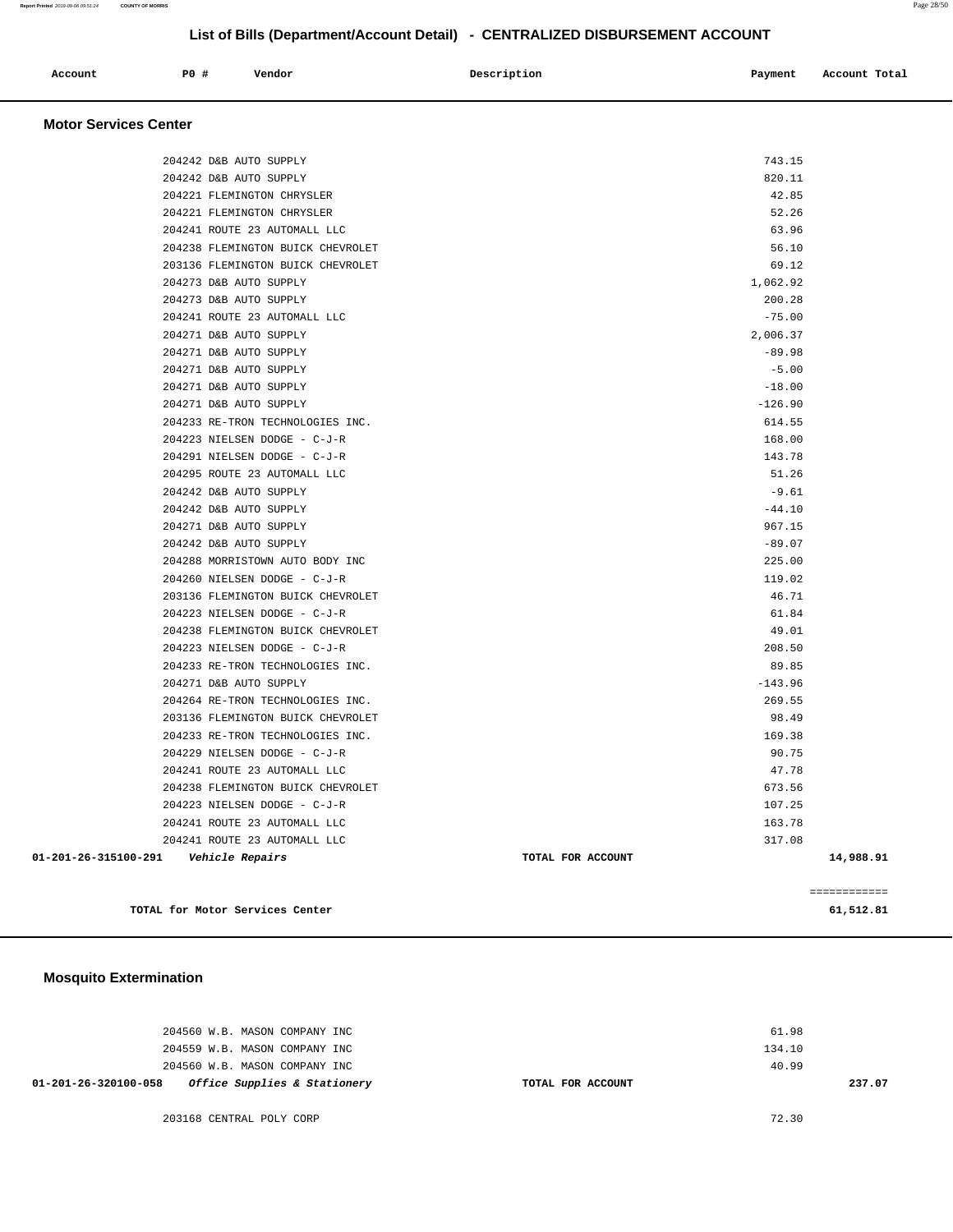| Account | P0 # | Vendor | Description | Payment | Account Total |
|---------|------|--------|-------------|---------|---------------|
|         |      |        |             |         |               |

#### **Motor Services Center**

| 01-201-26-315100-291    Vehicle Repairs |                                                  | TOTAL FOR ACCOUNT   | 14,988.91 |
|-----------------------------------------|--------------------------------------------------|---------------------|-----------|
|                                         | 204241 ROUTE 23 AUTOMALL LLC                     | 317.08              |           |
|                                         | 204241 ROUTE 23 AUTOMALL LLC                     | 163.78              |           |
|                                         | 204223 NIELSEN DODGE - C-J-R                     | 107.25              |           |
|                                         | 204238 FLEMINGTON BUICK CHEVROLET                | 673.56              |           |
|                                         | 204241 ROUTE 23 AUTOMALL LLC                     | 47.78               |           |
|                                         | 204229 NIELSEN DODGE - C-J-R                     | 90.75               |           |
|                                         | 204233 RE-TRON TECHNOLOGIES INC.                 | 169.38              |           |
|                                         | 203136 FLEMINGTON BUICK CHEVROLET                | 98.49               |           |
|                                         | 204264 RE-TRON TECHNOLOGIES INC.                 | 269.55              |           |
|                                         | 204271 D&B AUTO SUPPLY                           | $-143.96$           |           |
|                                         | 204233 RE-TRON TECHNOLOGIES INC.                 | 89.85               |           |
|                                         | 204223 NIELSEN DODGE - C-J-R                     | 208.50              |           |
|                                         | 204238 FLEMINGTON BUICK CHEVROLET                | 49.01               |           |
|                                         | 204223 NIELSEN DODGE - C-J-R                     | 61.84               |           |
|                                         | 203136 FLEMINGTON BUICK CHEVROLET                | 46.71               |           |
|                                         | 204260 NIELSEN DODGE - C-J-R                     | 119.02              |           |
|                                         | 204288 MORRISTOWN AUTO BODY INC                  | 225.00              |           |
|                                         | 204242 D&B AUTO SUPPLY                           | $-89.07$            |           |
|                                         | 204271 D&B AUTO SUPPLY                           | 967.15              |           |
|                                         | 204242 D&B AUTO SUPPLY                           | $-44.10$            |           |
|                                         | 204242 D&B AUTO SUPPLY                           | $-9.61$             |           |
|                                         | 204295 ROUTE 23 AUTOMALL LLC                     | 51.26               |           |
|                                         | 204291 NIELSEN DODGE - C-J-R                     | 143.78              |           |
|                                         | 204223 NIELSEN DODGE - C-J-R                     | 168.00              |           |
|                                         | 204233 RE-TRON TECHNOLOGIES INC.                 | 614.55              |           |
|                                         | 204271 D&B AUTO SUPPLY                           | $-126.90$           |           |
|                                         | 204271 D&B AUTO SUPPLY                           | $-18.00$            |           |
|                                         | 204271 D&B AUTO SUPPLY<br>204271 D&B AUTO SUPPLY | $-89.98$<br>$-5.00$ |           |
|                                         | 204271 D&B AUTO SUPPLY                           | 2,006.37            |           |
|                                         | 204241 ROUTE 23 AUTOMALL LLC                     | $-75.00$            |           |
|                                         | 204273 D&B AUTO SUPPLY                           | 200.28              |           |
|                                         | 204273 D&B AUTO SUPPLY                           | 1,062.92            |           |
|                                         | 203136 FLEMINGTON BUICK CHEVROLET                | 69.12               |           |
|                                         | 204238 FLEMINGTON BUICK CHEVROLET                | 56.10               |           |
|                                         | 204241 ROUTE 23 AUTOMALL LLC                     | 63.96               |           |
|                                         | 204221 FLEMINGTON CHRYSLER                       | 52.26               |           |
|                                         | 204221 FLEMINGTON CHRYSLER                       | 42.85               |           |
|                                         | 204242 D&B AUTO SUPPLY                           | 820.11              |           |
|                                         | 204242 D&B AUTO SUPPLY                           | 743.15              |           |
|                                         |                                                  |                     |           |

TOTAL for Motor Services Center 61,5

|  |  | _ | -------<br>- |  |  |
|--|--|---|--------------|--|--|
|  |  |   |              |  |  |

#### **Mosquito Extermination**

| 01-201-26-320100-058 |  |                               | Office Supplies & Stationery | TOTAL FOR ACCOUNT |        | 237.07 |
|----------------------|--|-------------------------------|------------------------------|-------------------|--------|--------|
|                      |  | 204560 W.B. MASON COMPANY INC |                              |                   | 40.99  |        |
|                      |  | 204559 W.B. MASON COMPANY INC |                              |                   | 134.10 |        |
|                      |  | 204560 W.B. MASON COMPANY INC |                              |                   | 61.98  |        |
|                      |  |                               |                              |                   |        |        |

203168 CENTRAL POLY CORP 72.30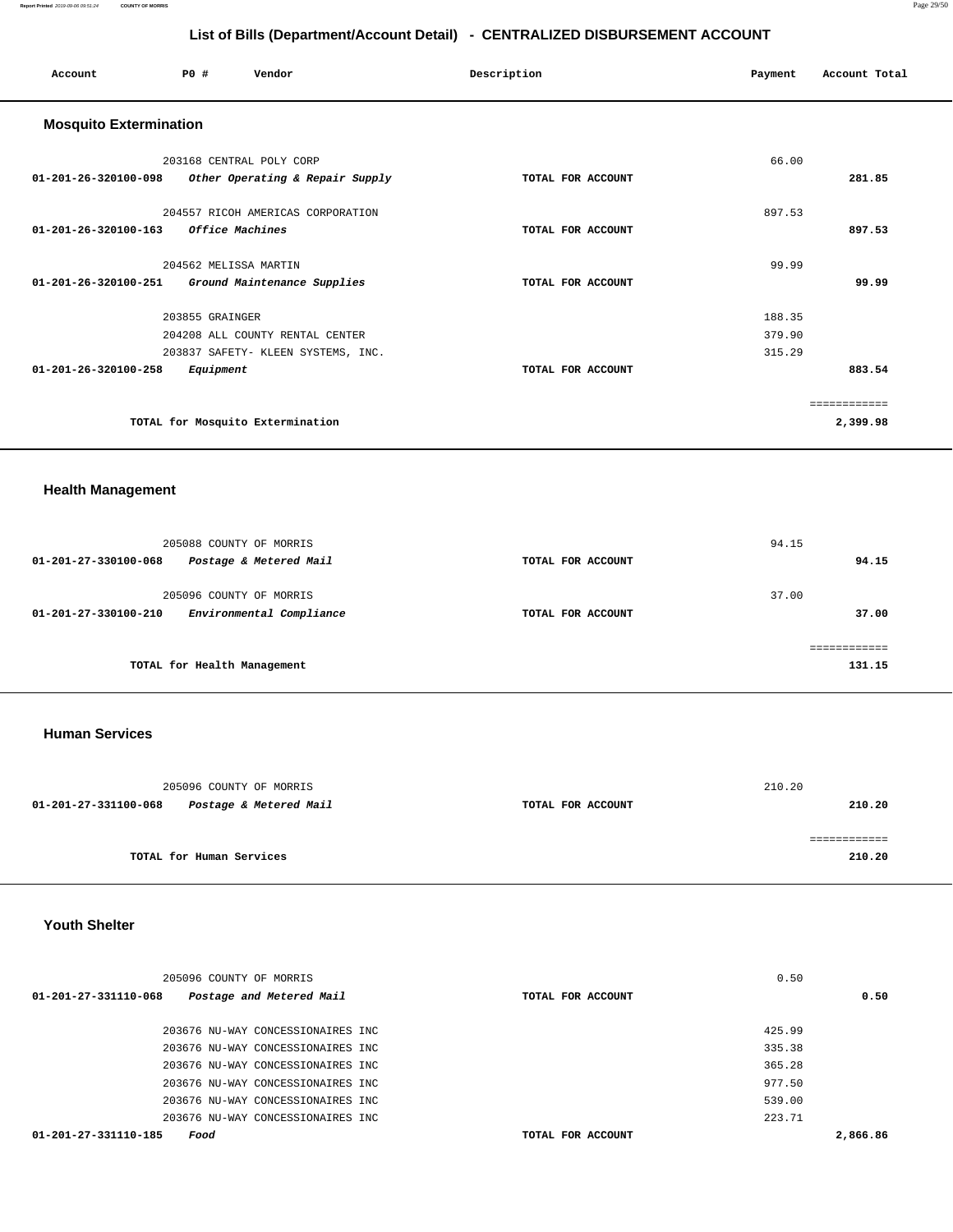| Account                        | P0#<br>Vendor                      |                                 | Description       | Payment | Account Total |
|--------------------------------|------------------------------------|---------------------------------|-------------------|---------|---------------|
| <b>Mosquito Extermination</b>  |                                    |                                 |                   |         |               |
|                                | 203168 CENTRAL POLY CORP           |                                 |                   | 66.00   |               |
| $01 - 201 - 26 - 320100 - 098$ |                                    | Other Operating & Repair Supply | TOTAL FOR ACCOUNT |         | 281.85        |
|                                | 204557 RICOH AMERICAS CORPORATION  |                                 |                   | 897.53  |               |
| 01-201-26-320100-163           | Office Machines                    |                                 | TOTAL FOR ACCOUNT |         | 897.53        |
|                                | 204562 MELISSA MARTIN              |                                 |                   | 99.99   |               |
| 01-201-26-320100-251           | Ground Maintenance Supplies        |                                 | TOTAL FOR ACCOUNT |         | 99.99         |
|                                | 203855 GRAINGER                    |                                 |                   | 188.35  |               |
|                                | 204208 ALL COUNTY RENTAL CENTER    |                                 |                   | 379.90  |               |
|                                | 203837 SAFETY- KLEEN SYSTEMS, INC. |                                 |                   | 315.29  |               |
| 01-201-26-320100-258           | Equipment                          |                                 | TOTAL FOR ACCOUNT |         | 883.54        |
|                                |                                    |                                 |                   |         | ============  |
|                                | TOTAL for Mosquito Extermination   |                                 |                   |         | 2,399.98      |
|                                |                                    |                                 |                   |         |               |

#### **Health Management**

| 205088 COUNTY OF MORRIS                                                     |                   | 94.15          |
|-----------------------------------------------------------------------------|-------------------|----------------|
| Postage & Metered Mail<br>01-201-27-330100-068                              | TOTAL FOR ACCOUNT | 94.15          |
| 205096 COUNTY OF MORRIS<br>Environmental Compliance<br>01-201-27-330100-210 | TOTAL FOR ACCOUNT | 37.00<br>37.00 |
|                                                                             |                   | ----------     |
| TOTAL for Health Management                                                 |                   | 131.15         |

#### **Human Services**

| 205096 COUNTY OF MORRIS                        |                   | 210.20 |
|------------------------------------------------|-------------------|--------|
| Postage & Metered Mail<br>01-201-27-331100-068 | TOTAL FOR ACCOUNT | 210.20 |
|                                                |                   |        |
| TOTAL for Human Services                       |                   | 210.20 |

#### **Youth Shelter**

|                      | 205096 COUNTY OF MORRIS            |                   | 0.50     |
|----------------------|------------------------------------|-------------------|----------|
| 01-201-27-331110-068 | Postage and Metered Mail           | TOTAL FOR ACCOUNT | 0.50     |
|                      | 203676 NU-WAY CONCESSIONAIRES INC  |                   | 425.99   |
|                      | 203676 NU-WAY CONCESSIONAIRES INC  |                   | 335.38   |
|                      | 203676 NU-WAY CONCESSIONAIRES INC  |                   | 365.28   |
|                      | 203676 NU-WAY CONCESSIONAIRES INC  |                   | 977.50   |
|                      | 203676 NU-WAY CONCESSIONAIRES INC  |                   | 539.00   |
|                      | 203676 NU-WAY CONCESSIONAIRES INC. |                   | 223.71   |
| 01-201-27-331110-185 | Food                               | TOTAL FOR ACCOUNT | 2,866.86 |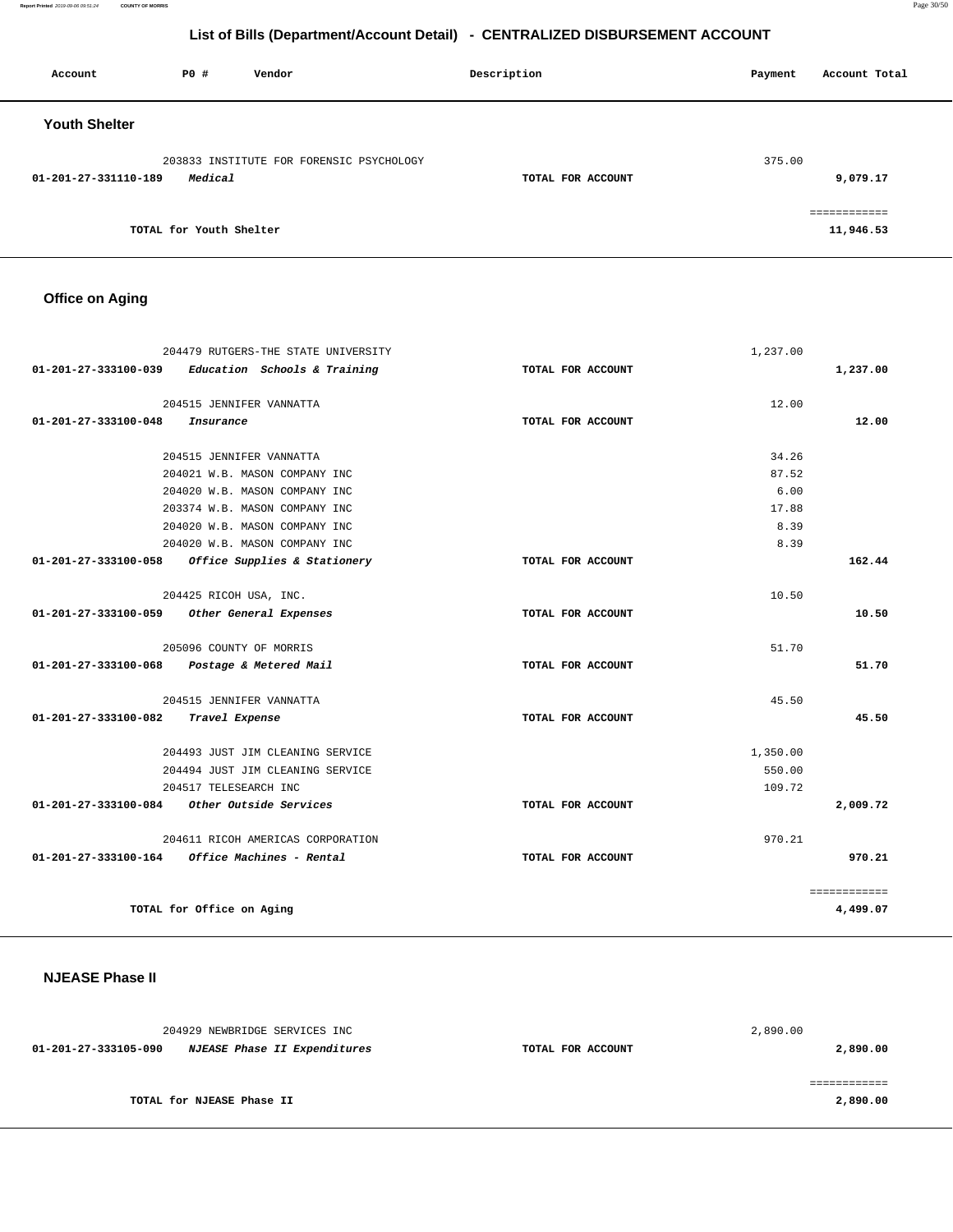| Account              | <b>PO #</b>             | Vendor                                   | Description       | Payment | Account Total |
|----------------------|-------------------------|------------------------------------------|-------------------|---------|---------------|
| <b>Youth Shelter</b> |                         |                                          |                   |         |               |
|                      |                         | 203833 INSTITUTE FOR FORENSIC PSYCHOLOGY |                   | 375.00  |               |
| 01-201-27-331110-189 | Medical                 |                                          | TOTAL FOR ACCOUNT |         | 9,079.17      |
|                      |                         |                                          |                   |         | ===========   |
|                      | TOTAL for Youth Shelter |                                          |                   |         | 11,946.53     |

# **Office on Aging**

|                      | 204479 RUTGERS-THE STATE UNIVERSITY         |                   | 1,237.00 |              |
|----------------------|---------------------------------------------|-------------------|----------|--------------|
| 01-201-27-333100-039 | Education Schools & Training                | TOTAL FOR ACCOUNT |          | 1,237.00     |
|                      | 204515 JENNIFER VANNATTA                    |                   | 12.00    |              |
| 01-201-27-333100-048 | Insurance                                   | TOTAL FOR ACCOUNT |          | 12.00        |
|                      | 204515 JENNIFER VANNATTA                    |                   | 34.26    |              |
|                      | 204021 W.B. MASON COMPANY INC               |                   | 87.52    |              |
|                      | 204020 W.B. MASON COMPANY INC               |                   | 6.00     |              |
|                      | 203374 W.B. MASON COMPANY INC               |                   | 17.88    |              |
|                      | 204020 W.B. MASON COMPANY INC               |                   | 8.39     |              |
|                      | 204020 W.B. MASON COMPANY INC               |                   | 8.39     |              |
| 01-201-27-333100-058 | Office Supplies & Stationery                | TOTAL FOR ACCOUNT |          | 162.44       |
|                      | 204425 RICOH USA, INC.                      |                   | 10.50    |              |
| 01-201-27-333100-059 | Other General Expenses                      | TOTAL FOR ACCOUNT |          | 10.50        |
|                      | 205096 COUNTY OF MORRIS                     |                   | 51.70    |              |
|                      | 01-201-27-333100-068 Postage & Metered Mail | TOTAL FOR ACCOUNT |          | 51.70        |
|                      | 204515 JENNIFER VANNATTA                    |                   | 45.50    |              |
| 01-201-27-333100-082 | Travel Expense                              | TOTAL FOR ACCOUNT |          | 45.50        |
|                      | 204493 JUST JIM CLEANING SERVICE            |                   | 1,350.00 |              |
|                      | 204494 JUST JIM CLEANING SERVICE            |                   | 550.00   |              |
|                      | 204517 TELESEARCH INC                       |                   | 109.72   |              |
|                      | 01-201-27-333100-084 Other Outside Services | TOTAL FOR ACCOUNT |          | 2,009.72     |
|                      | 204611 RICOH AMERICAS CORPORATION           |                   | 970.21   |              |
| 01-201-27-333100-164 | Office Machines - Rental                    | TOTAL FOR ACCOUNT |          | 970.21       |
|                      |                                             |                   |          | ============ |
|                      | TOTAL for Office on Aging                   |                   |          | 4,499.07     |

# **NJEASE Phase II**

| 204929 NEWBRIDGE SERVICES INC |                              |                   | 2,890.00 |
|-------------------------------|------------------------------|-------------------|----------|
| 01-201-27-333105-090          | NJEASE Phase II Expenditures | TOTAL FOR ACCOUNT | 2,890.00 |
|                               |                              |                   |          |
|                               |                              |                   |          |
| TOTAL for NJEASE Phase II     |                              |                   | 2,890.00 |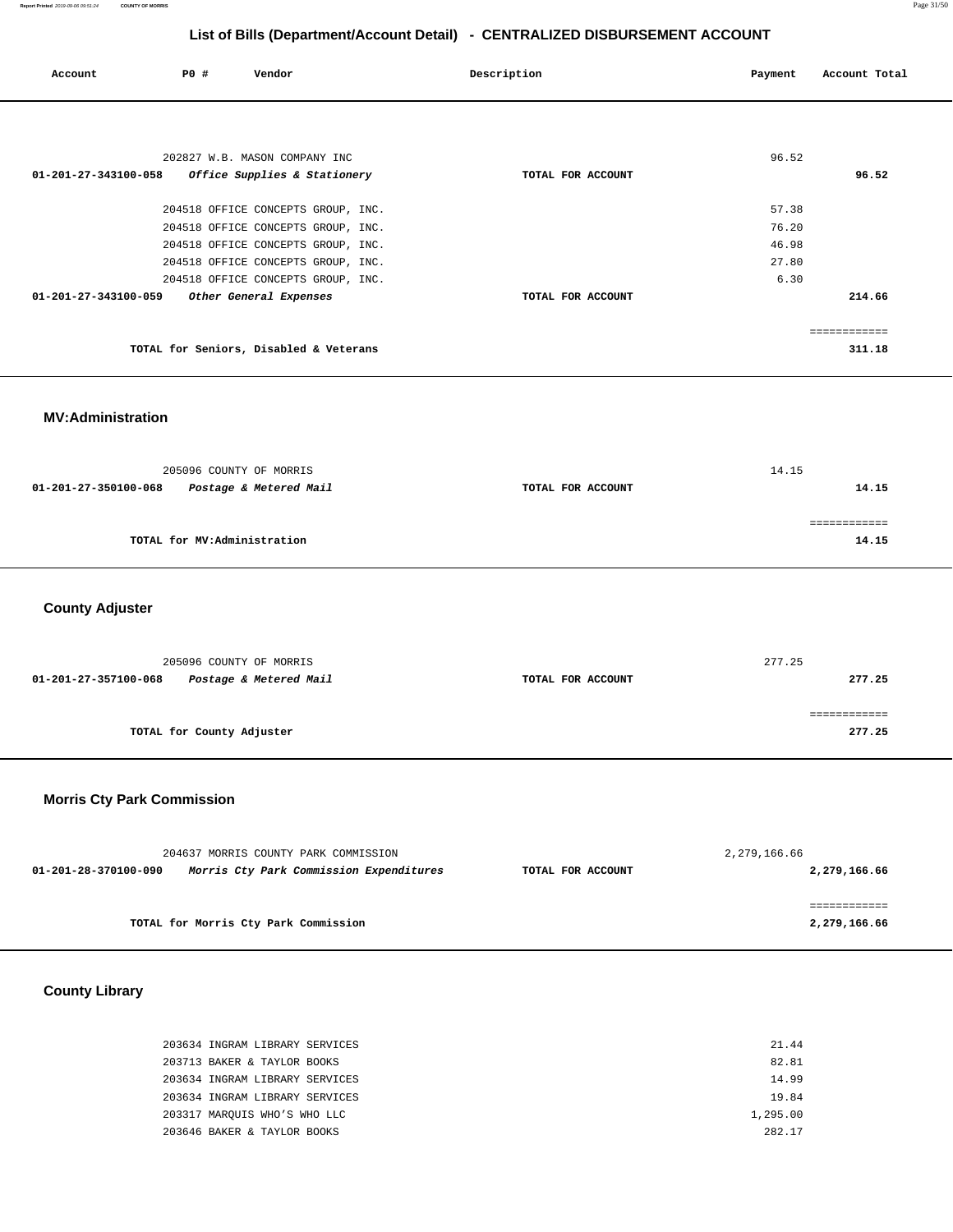| Account                        | P0# | Vendor                                 | Description       | Payment | Account Total |
|--------------------------------|-----|----------------------------------------|-------------------|---------|---------------|
|                                |     |                                        |                   |         |               |
|                                |     | 202827 W.B. MASON COMPANY INC          |                   | 96.52   |               |
| 01-201-27-343100-058           |     | Office Supplies & Stationery           | TOTAL FOR ACCOUNT |         | 96.52         |
|                                |     | 204518 OFFICE CONCEPTS GROUP, INC.     |                   | 57.38   |               |
|                                |     | 204518 OFFICE CONCEPTS GROUP, INC.     |                   | 76.20   |               |
|                                |     | 204518 OFFICE CONCEPTS GROUP, INC.     |                   | 46.98   |               |
|                                |     | 204518 OFFICE CONCEPTS GROUP, INC.     |                   | 27.80   |               |
|                                |     | 204518 OFFICE CONCEPTS GROUP, INC.     |                   | 6.30    |               |
| $01 - 201 - 27 - 343100 - 059$ |     | Other General Expenses                 | TOTAL FOR ACCOUNT |         | 214.66        |
|                                |     |                                        |                   |         |               |
|                                |     |                                        |                   |         | ============  |
|                                |     | TOTAL for Seniors, Disabled & Veterans |                   |         | 311.18        |
|                                |     |                                        |                   |         |               |

**MV:Administration** 

| 205096 COUNTY OF MORRIS                        |                   | 14.15 |
|------------------------------------------------|-------------------|-------|
| Postage & Metered Mail<br>01-201-27-350100-068 | TOTAL FOR ACCOUNT | 14.15 |
|                                                |                   |       |
|                                                |                   |       |
| TOTAL for MV:Administration                    |                   | 14.15 |
|                                                |                   |       |

**County Adjuster** 

| 205096 COUNTY OF MORRIS                        |                   | 277.25 |
|------------------------------------------------|-------------------|--------|
| Postage & Metered Mail<br>01-201-27-357100-068 | TOTAL FOR ACCOUNT | 277.25 |
|                                                |                   |        |
|                                                |                   |        |
| TOTAL for County Adjuster                      |                   | 277.25 |
|                                                |                   |        |

# **Morris Cty Park Commission**

| 204637 MORRIS COUNTY PARK COMMISSION |                                         |                   | 2,279,166.66 |
|--------------------------------------|-----------------------------------------|-------------------|--------------|
| 01-201-28-370100-090                 | Morris Cty Park Commission Expenditures | TOTAL FOR ACCOUNT | 2,279,166.66 |
|                                      |                                         |                   |              |
|                                      |                                         |                   |              |
|                                      | TOTAL for Morris Cty Park Commission    |                   | 2,279,166.66 |
|                                      |                                         |                   |              |

**County Library** 

| 203634 INGRAM LIBRARY SERVICES | 21.44    |
|--------------------------------|----------|
| 203713 BAKER & TAYLOR BOOKS    | 82.81    |
| 203634 INGRAM LIBRARY SERVICES | 14.99    |
| 203634 INGRAM LIBRARY SERVICES | 19.84    |
| 203317 MAROUIS WHO'S WHO LLC   | 1,295.00 |
| 203646 BAKER & TAYLOR BOOKS    | 282 17   |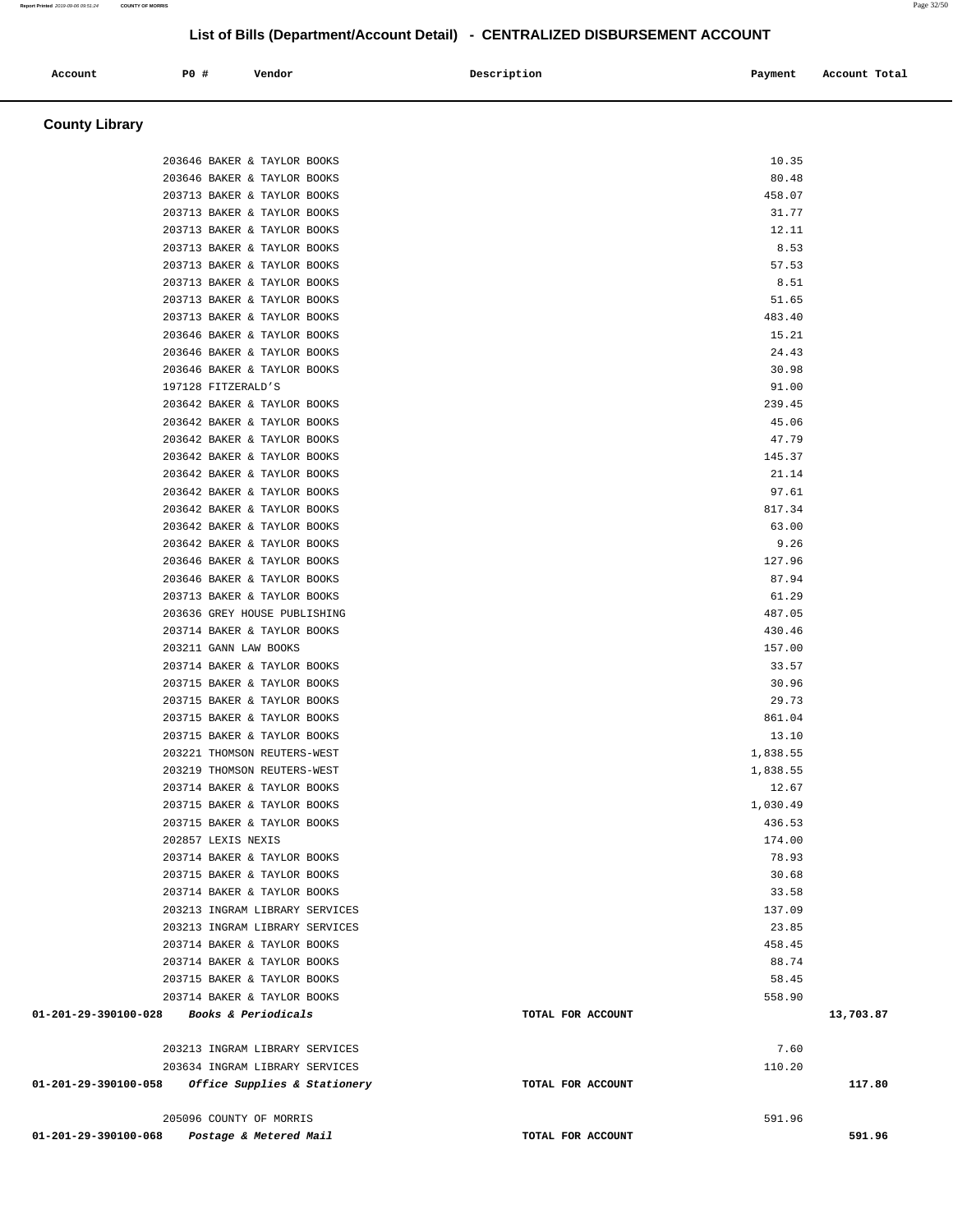#### **Account P0 # Vendor Description Payment Account Total County Library**  203646 BAKER & TAYLOR BOOKS 10.35 203646 BAKER & TAYLOR BOOKS 80.48 203713 BAKER & TAYLOR BOOKS 458.07 203713 BAKER & TAYLOR BOOKS 31.77 203713 BAKER & TAYLOR BOOKS 12.11 203713 BAKER & TAYLOR BOOKS 8.53 203713 BAKER & TAYLOR BOOKS 57.53 203713 BAKER & TAYLOR BOOKS 8.51 203713 BAKER & TAYLOR BOOKS 51.65 203713 BAKER & TAYLOR BOOKS 483.40 203646 BAKER & TAYLOR BOOKS 15.21 203646 BAKER & TAYLOR BOOKS 24.43 203646 BAKER & TAYLOR BOOKS 30.98 197128 FITZERALD'S 91.00 203642 BAKER & TAYLOR BOOKS 239.45 203642 BAKER & TAYLOR BOOKS 45.06 203642 BAKER & TAYLOR BOOKS 47.79 203642 BAKER & TAYLOR BOOKS 145.37 203642 BAKER & TAYLOR BOOKS 21.14 203642 BAKER & TAYLOR BOOKS 97.61 203642 BAKER & TAYLOR BOOKS 817.34 203642 BAKER & TAYLOR BOOKS 63.00 203642 BAKER & TAYLOR BOOKS 9.26 203646 BAKER & TAYLOR BOOKS 127.96 203646 BAKER & TAYLOR BOOKS 87.94 203713 BAKER & TAYLOR BOOKS 61.29 203636 GREY HOUSE PUBLISHING 487.05 203714 BAKER & TAYLOR BOOKS 430.46 203211 GANN LAW BOOKS 157.00 203714 BAKER & TAYLOR BOOKS 33.57 203715 BAKER & TAYLOR BOOKS 30.96 203715 BAKER & TAYLOR BOOKS 29.73 203715 BAKER & TAYLOR BOOKS 861.04 203715 BAKER & TAYLOR BOOKS 13.10 203221 THOMSON REUTERS-WEST 1,838.55 203219 THOMSON REUTERS-WEST 1,838.55 203714 BAKER & TAYLOR BOOKS 12.67 203715 BAKER & TAYLOR BOOKS 1,030.49 203715 BAKER & TAYLOR BOOKS 436.53 202857 LEXIS NEXIS 174.00 203714 BAKER & TAYLOR BOOKS 78.93 203715 BAKER & TAYLOR BOOKS 30.68 203714 BAKER & TAYLOR BOOKS 33.58 203213 INGRAM LIBRARY SERVICES 137.09 203213 INGRAM LIBRARY SERVICES 23.85 203714 BAKER & TAYLOR BOOKS 458.45 203714 BAKER & TAYLOR BOOKS 88.74 203715 BAKER & TAYLOR BOOKS 58.45 203714 BAKER & TAYLOR BOOKS 558.90  **01-201-29-390100-028 Books & Periodicals TOTAL FOR ACCOUNT 13,703.87** 203213 INGRAM LIBRARY SERVICES 7.60 203634 INGRAM LIBRARY SERVICES 110.20  **01-201-29-390100-058 Office Supplies & Stationery TOTAL FOR ACCOUNT 117.80** 205096 COUNTY OF MORRIS 591.96  **01-201-29-390100-068 Postage & Metered Mail TOTAL FOR ACCOUNT 591.96**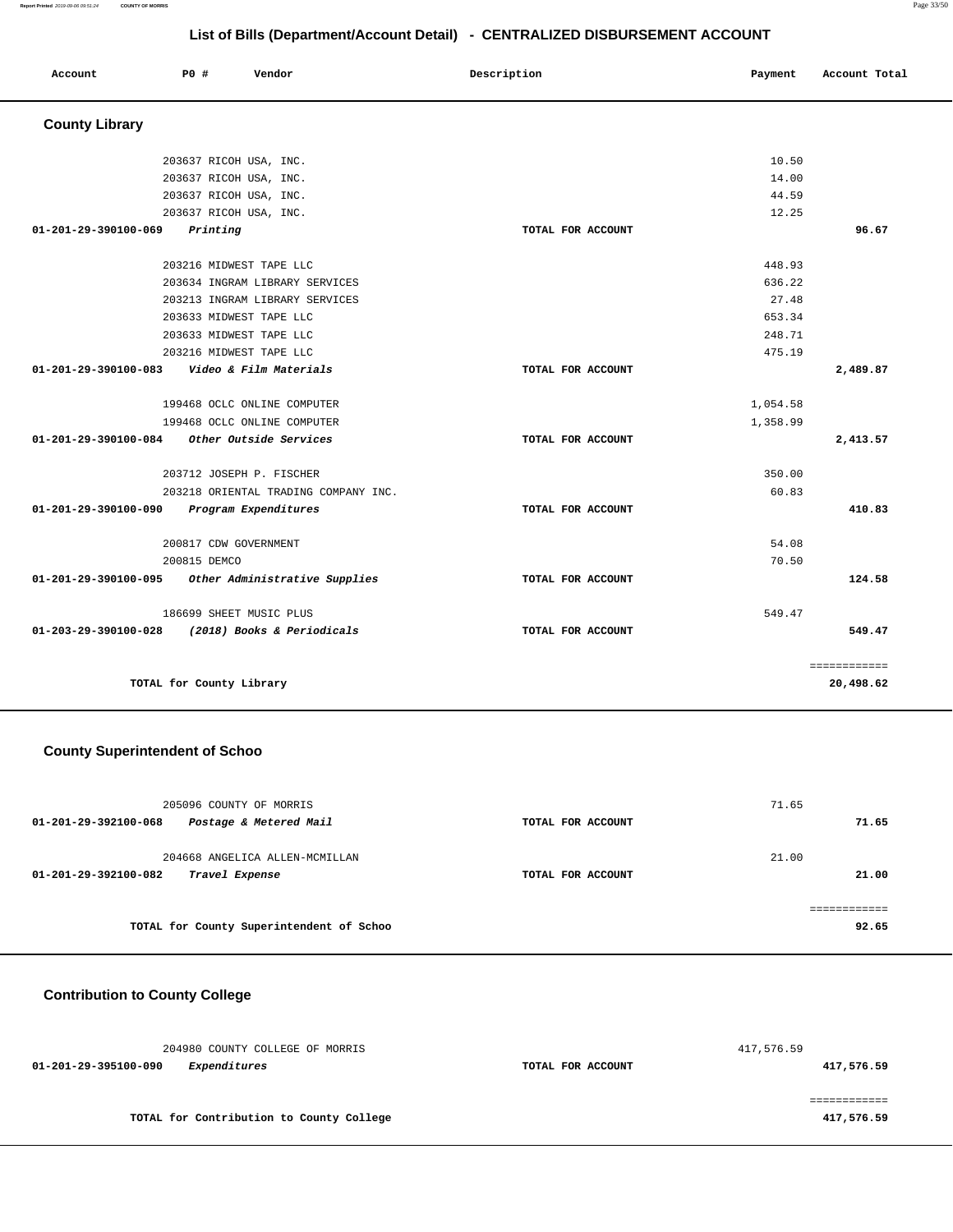| Account               | PO#                   | Vendor                               | Description       | Payment  | Account Total |
|-----------------------|-----------------------|--------------------------------------|-------------------|----------|---------------|
| <b>County Library</b> |                       |                                      |                   |          |               |
|                       |                       | 203637 RICOH USA, INC.               |                   | 10.50    |               |
|                       |                       | 203637 RICOH USA, INC.               |                   | 14.00    |               |
|                       |                       | 203637 RICOH USA, INC.               |                   | 44.59    |               |
|                       |                       | 203637 RICOH USA, INC.               |                   | 12.25    |               |
| 01-201-29-390100-069  | Printing              |                                      | TOTAL FOR ACCOUNT |          | 96.67         |
|                       |                       | 203216 MIDWEST TAPE LLC              |                   | 448.93   |               |
|                       |                       | 203634 INGRAM LIBRARY SERVICES       |                   | 636.22   |               |
|                       |                       | 203213 INGRAM LIBRARY SERVICES       |                   | 27.48    |               |
|                       |                       | 203633 MIDWEST TAPE LLC              |                   | 653.34   |               |
|                       |                       | 203633 MIDWEST TAPE LLC              |                   | 248.71   |               |
|                       |                       | 203216 MIDWEST TAPE LLC              |                   | 475.19   |               |
| 01-201-29-390100-083  |                       | Video & Film Materials               | TOTAL FOR ACCOUNT |          | 2,489.87      |
|                       |                       | 199468 OCLC ONLINE COMPUTER          |                   | 1,054.58 |               |
|                       |                       | 199468 OCLC ONLINE COMPUTER          |                   | 1,358.99 |               |
| 01-201-29-390100-084  |                       | Other Outside Services               | TOTAL FOR ACCOUNT |          | 2,413.57      |
|                       |                       | 203712 JOSEPH P. FISCHER             |                   | 350.00   |               |
|                       |                       | 203218 ORIENTAL TRADING COMPANY INC. |                   | 60.83    |               |
| 01-201-29-390100-090  |                       | Program Expenditures                 | TOTAL FOR ACCOUNT |          | 410.83        |
|                       | 200817 CDW GOVERNMENT |                                      |                   | 54.08    |               |
|                       | 200815 DEMCO          |                                      |                   | 70.50    |               |
| 01-201-29-390100-095  |                       | Other Administrative Supplies        | TOTAL FOR ACCOUNT |          | 124.58        |
|                       |                       | 186699 SHEET MUSIC PLUS              |                   | 549.47   |               |
| 01-203-29-390100-028  |                       | (2018) Books & Periodicals           | TOTAL FOR ACCOUNT |          | 549.47        |

# **County Superintendent of Schoo**

| 205096 COUNTY OF MORRIS<br>Postage & Metered Mail<br>01-201-29-392100-068 | TOTAL FOR ACCOUNT | 71.65<br>71.65 |
|---------------------------------------------------------------------------|-------------------|----------------|
| 204668 ANGELICA ALLEN-MCMILLAN<br>01-201-29-392100-082<br>Travel Expense  | TOTAL FOR ACCOUNT | 21.00<br>21.00 |
| TOTAL for County Superintendent of Schoo                                  |                   | 92.65          |

# **Contribution to County College**

| 204980 COUNTY COLLEGE OF MORRIS             |                   | 417,576.59 |
|---------------------------------------------|-------------------|------------|
| <i>Expenditures</i><br>01-201-29-395100-090 | TOTAL FOR ACCOUNT | 417,576.59 |
|                                             |                   |            |
|                                             |                   |            |
| TOTAL for Contribution to County College    |                   | 417,576.59 |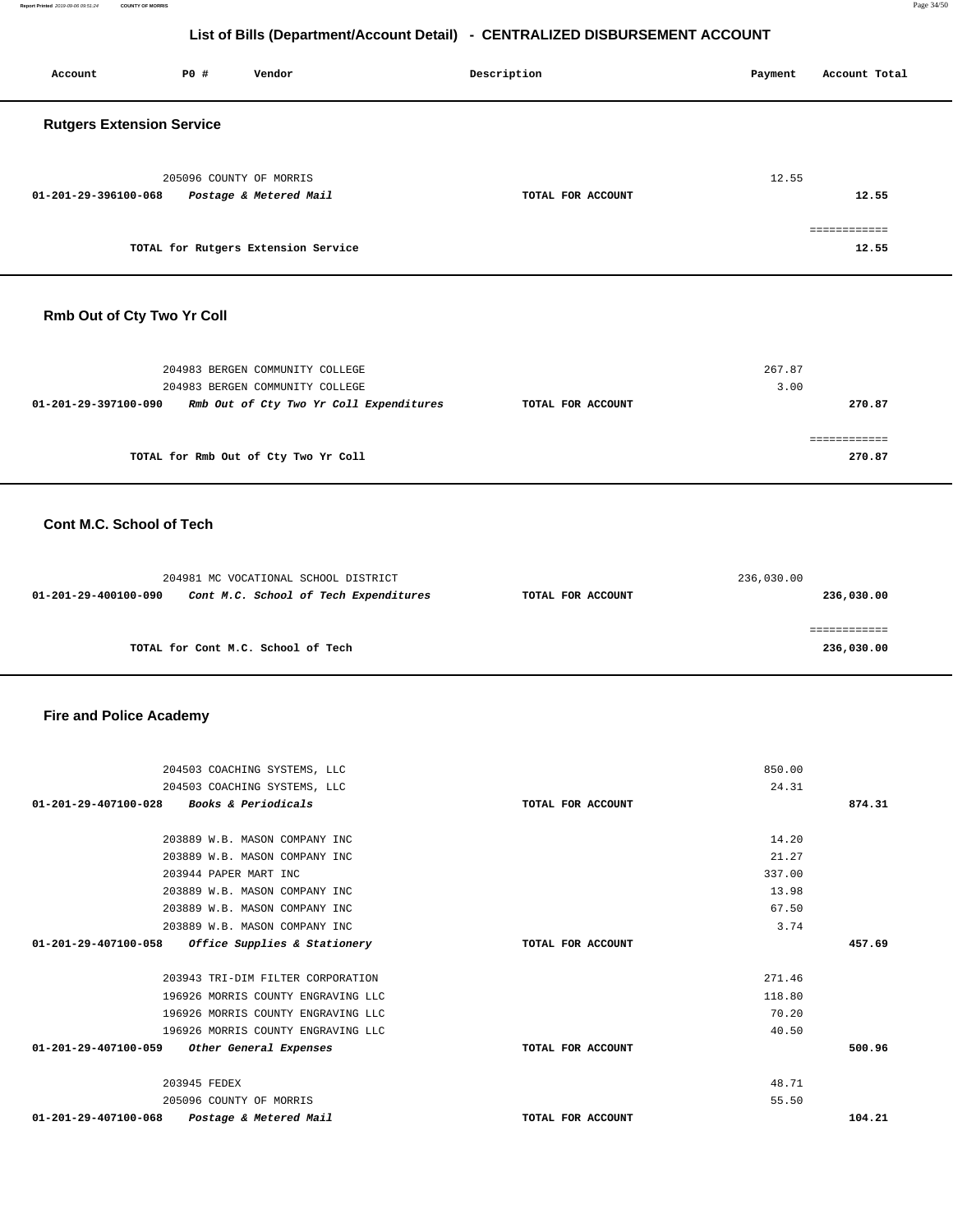**Report Printed** 2019-09-06 09:51:24 **COUNTY OF MORRIS** Page 34/50

# **List of Bills (Department/Account Detail) - CENTRALIZED DISBURSEMENT ACCOUNT**

| Account                          | <b>PO #</b> | Vendor                                            | Description       | Account Total<br>Payment          |
|----------------------------------|-------------|---------------------------------------------------|-------------------|-----------------------------------|
| <b>Rutgers Extension Service</b> |             |                                                   |                   |                                   |
| 01-201-29-396100-068             |             | 205096 COUNTY OF MORRIS<br>Postage & Metered Mail | TOTAL FOR ACCOUNT | 12.55<br>12.55                    |
|                                  |             | TOTAL for Rutgers Extension Service               |                   | ------------<br>--------<br>12.55 |

#### **Rmb Out of Cty Two Yr Coll**

|                                      | 204983 BERGEN COMMUNITY COLLEGE<br>204983 BERGEN COMMUNITY COLLEGE |                   | 267.87<br>3.00 |        |
|--------------------------------------|--------------------------------------------------------------------|-------------------|----------------|--------|
| 01-201-29-397100-090                 | Rmb Out of Cty Two Yr Coll Expenditures                            | TOTAL FOR ACCOUNT |                | 270.87 |
| TOTAL for Rmb Out of Cty Two Yr Coll |                                                                    |                   |                | 270.87 |

#### **Cont M.C. School of Tech**

| 204981 MC VOCATIONAL SCHOOL DISTRICT                          | 236,030.00        |            |
|---------------------------------------------------------------|-------------------|------------|
| Cont M.C. School of Tech Expenditures<br>01-201-29-400100-090 | TOTAL FOR ACCOUNT | 236,030.00 |
|                                                               |                   |            |
|                                                               |                   |            |
| TOTAL for Cont M.C. School of Tech                            |                   | 236,030.00 |

#### **Fire and Police Academy**

| 204503 COACHING SYSTEMS, LLC                             |                   | 850.00 |        |
|----------------------------------------------------------|-------------------|--------|--------|
| 204503 COACHING SYSTEMS, LLC                             |                   | 24.31  |        |
| <i>Books &amp; Periodicals</i><br>01-201-29-407100-028   | TOTAL FOR ACCOUNT |        | 874.31 |
|                                                          |                   |        |        |
| 203889 W.B. MASON COMPANY INC                            |                   | 14.20  |        |
| 203889 W.B. MASON COMPANY INC                            |                   | 21.27  |        |
| 203944 PAPER MART INC                                    |                   | 337.00 |        |
| 203889 W.B. MASON COMPANY INC                            |                   | 13.98  |        |
| 203889 W.B. MASON COMPANY INC                            |                   | 67.50  |        |
| 203889 W.B. MASON COMPANY INC                            |                   | 3.74   |        |
| Office Supplies & Stationery<br>01-201-29-407100-058     | TOTAL FOR ACCOUNT |        | 457.69 |
|                                                          |                   |        |        |
| 203943 TRI-DIM FILTER CORPORATION                        |                   | 271.46 |        |
| 196926 MORRIS COUNTY ENGRAVING LLC                       |                   | 118.80 |        |
| 196926 MORRIS COUNTY ENGRAVING LLC                       |                   | 70.20  |        |
| 196926 MORRIS COUNTY ENGRAVING LLC                       |                   | 40.50  |        |
| 01-201-29-407100-059<br>Other General Expenses           | TOTAL FOR ACCOUNT |        | 500.96 |
| 203945 FEDEX                                             |                   | 48.71  |        |
| 205096 COUNTY OF MORRIS                                  |                   | 55.50  |        |
| $01 - 201 - 29 - 407100 - 068$<br>Postage & Metered Mail | TOTAL FOR ACCOUNT |        | 104.21 |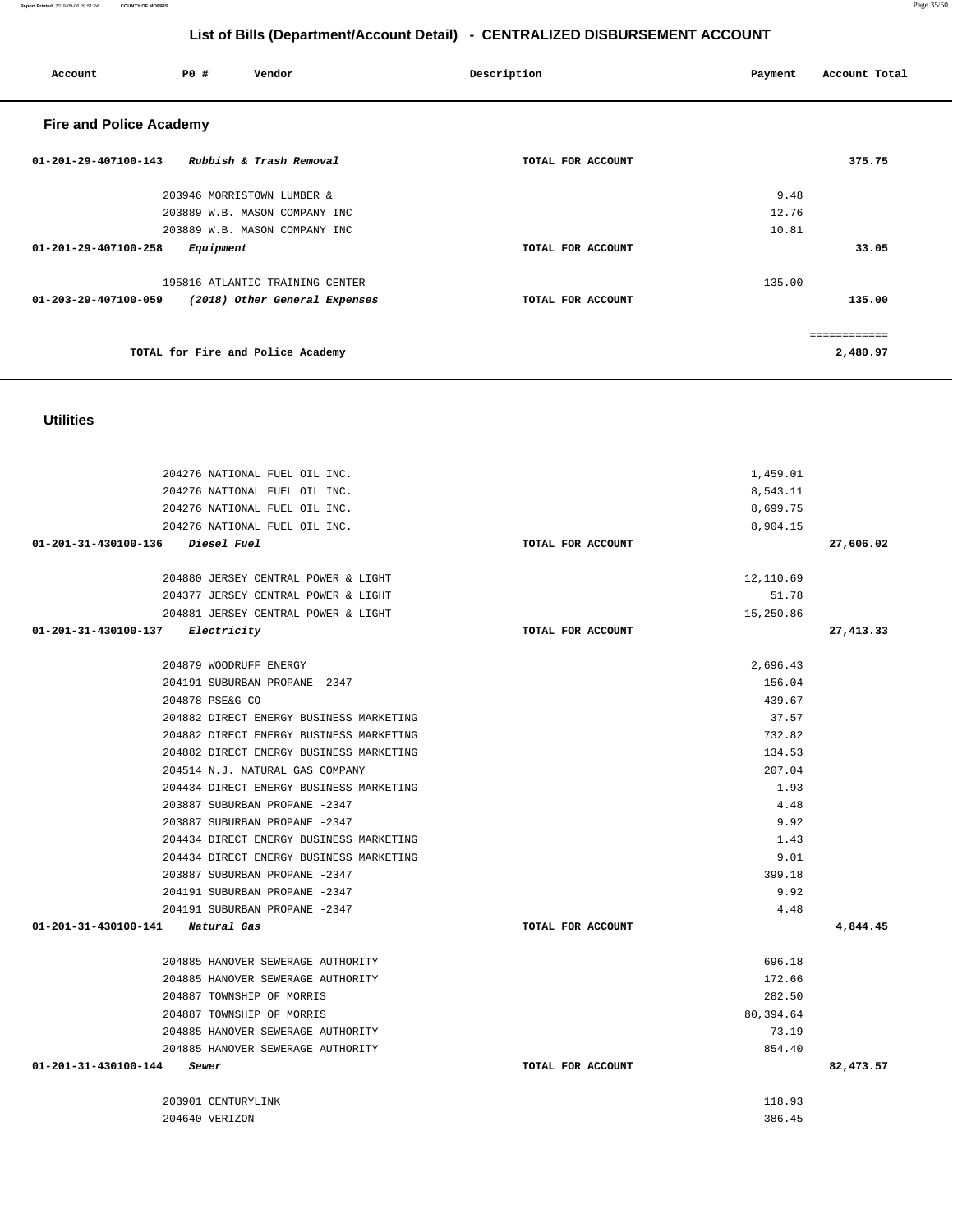|                                            | 204276 NATIONAL FUEL OIL INC.           |                   | 8,699.75   |            |
|--------------------------------------------|-----------------------------------------|-------------------|------------|------------|
|                                            | 204276 NATIONAL FUEL OIL INC.           |                   | 8,904.15   |            |
| 01-201-31-430100-136 Diesel Fuel           |                                         | TOTAL FOR ACCOUNT |            | 27,606.02  |
|                                            | 204880 JERSEY CENTRAL POWER & LIGHT     |                   | 12,110.69  |            |
|                                            | 204377 JERSEY CENTRAL POWER & LIGHT     |                   | 51.78      |            |
|                                            | 204881 JERSEY CENTRAL POWER & LIGHT     |                   | 15,250.86  |            |
| 01-201-31-430100-137 Electricity           |                                         | TOTAL FOR ACCOUNT |            | 27, 413.33 |
|                                            | 204879 WOODRUFF ENERGY                  |                   | 2,696.43   |            |
|                                            | 204191 SUBURBAN PROPANE -2347           |                   | 156.04     |            |
|                                            | 204878 PSE&G CO                         |                   | 439.67     |            |
|                                            | 204882 DIRECT ENERGY BUSINESS MARKETING |                   | 37.57      |            |
|                                            | 204882 DIRECT ENERGY BUSINESS MARKETING |                   | 732.82     |            |
|                                            | 204882 DIRECT ENERGY BUSINESS MARKETING |                   | 134.53     |            |
|                                            | 204514 N.J. NATURAL GAS COMPANY         |                   | 207.04     |            |
|                                            | 204434 DIRECT ENERGY BUSINESS MARKETING |                   | 1.93       |            |
|                                            | 203887 SUBURBAN PROPANE -2347           |                   | 4.48       |            |
|                                            | 203887 SUBURBAN PROPANE -2347           |                   | 9.92       |            |
|                                            | 204434 DIRECT ENERGY BUSINESS MARKETING |                   | 1.43       |            |
|                                            | 204434 DIRECT ENERGY BUSINESS MARKETING |                   | 9.01       |            |
|                                            | 203887 SUBURBAN PROPANE -2347           |                   | 399.18     |            |
|                                            | 204191 SUBURBAN PROPANE -2347           |                   | 9.92       |            |
|                                            | 204191 SUBURBAN PROPANE -2347           |                   | 4.48       |            |
| $01 - 201 - 31 - 430100 - 141$ Natural Gas |                                         | TOTAL FOR ACCOUNT |            | 4,844.45   |
|                                            | 204885 HANOVER SEWERAGE AUTHORITY       |                   | 696.18     |            |
|                                            | 204885 HANOVER SEWERAGE AUTHORITY       |                   | 172.66     |            |
|                                            | 204887 TOWNSHIP OF MORRIS               |                   | 282.50     |            |
|                                            | 204887 TOWNSHIP OF MORRIS               |                   | 80, 394.64 |            |
|                                            | 204885 HANOVER SEWERAGE AUTHORITY       |                   | 73.19      |            |
|                                            | 204885 HANOVER SEWERAGE AUTHORITY       |                   | 854.40     |            |
| 01-201-31-430100-144 Sewer                 |                                         | TOTAL FOR ACCOUNT |            | 82,473.57  |
|                                            | 203901 CENTURYLINK                      |                   | 118.93     |            |
|                                            | 204640 VERIZON                          |                   | 386.45     |            |

**Utilities** 

 204276 NATIONAL FUEL OIL INC. 204276 NATIONAL FUEL OIL INC.

| <b>Fire and Police Academy</b> |                                   |                   |          |  |  |  |
|--------------------------------|-----------------------------------|-------------------|----------|--|--|--|
| 01-201-29-407100-143           | Rubbish & Trash Removal           | TOTAL FOR ACCOUNT | 375.75   |  |  |  |
|                                | 203946 MORRISTOWN LUMBER &        |                   | 9.48     |  |  |  |
|                                | 203889 W.B. MASON COMPANY INC     |                   | 12.76    |  |  |  |
|                                | 203889 W.B. MASON COMPANY INC     |                   | 10.81    |  |  |  |
| 01-201-29-407100-258           | Equipment                         | TOTAL FOR ACCOUNT | 33.05    |  |  |  |
|                                | 195816 ATLANTIC TRAINING CENTER   |                   | 135.00   |  |  |  |
| 01-203-29-407100-059           | (2018) Other General Expenses     | TOTAL FOR ACCOUNT | 135.00   |  |  |  |
|                                |                                   |                   |          |  |  |  |
|                                | TOTAL for Fire and Police Academy |                   | 2,480.97 |  |  |  |

 **Account P0 # Vendor Description Payment Account Total** 

1,459.01 8,543.11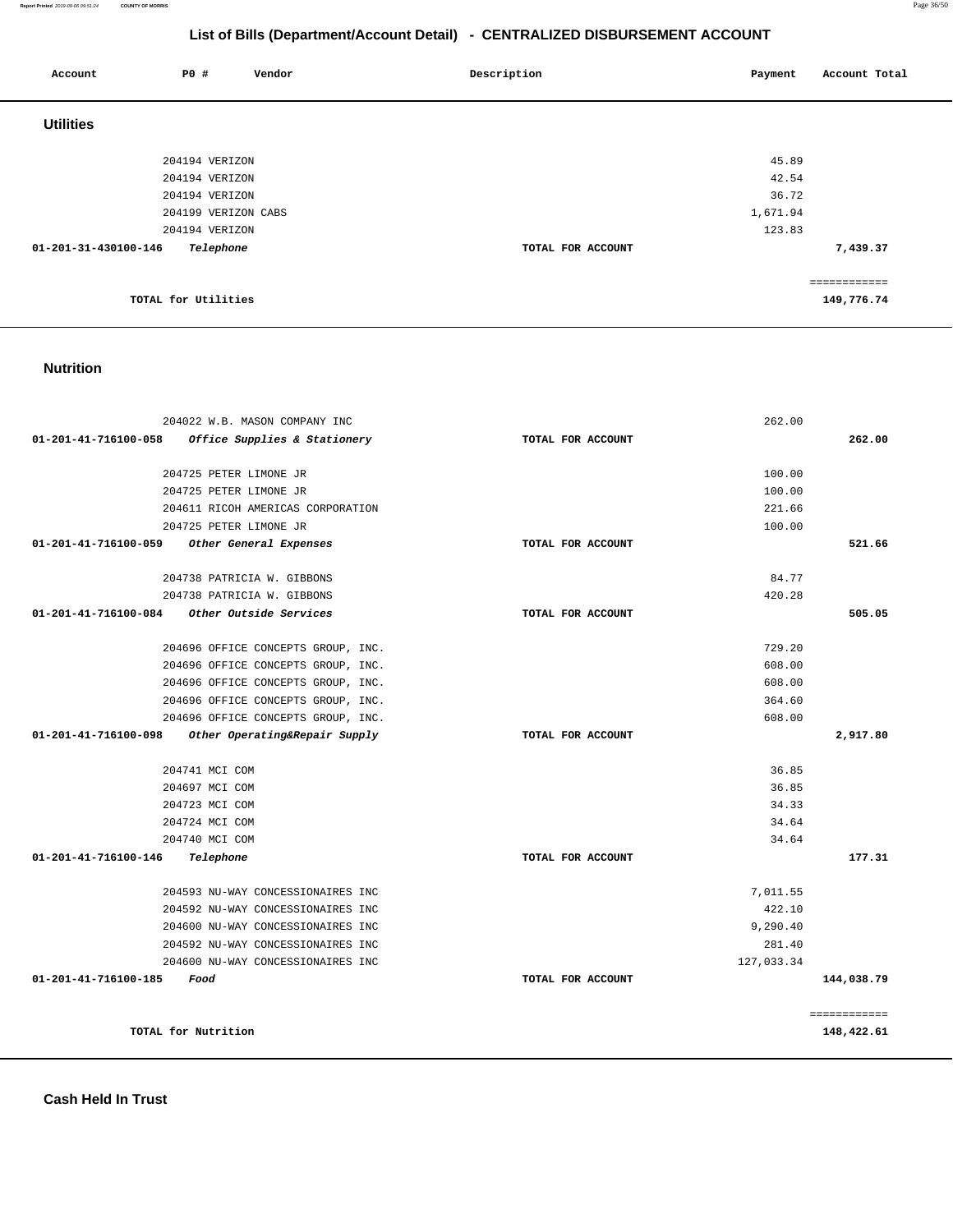| 01-201-31-430100-146<br>Telephone                            | TOTAL FOR ACCOUNT |                  | 7,439.37                   |
|--------------------------------------------------------------|-------------------|------------------|----------------------------|
| TOTAL for Utilities                                          |                   |                  | ============<br>149,776.74 |
| <b>Nutrition</b>                                             |                   |                  |                            |
| 204022 W.B. MASON COMPANY INC                                |                   | 262.00           |                            |
| 01-201-41-716100-058<br>Office Supplies & Stationery         | TOTAL FOR ACCOUNT |                  | 262.00                     |
|                                                              |                   |                  |                            |
| 204725 PETER LIMONE JR                                       |                   | 100.00           |                            |
| 204725 PETER LIMONE JR<br>204611 RICOH AMERICAS CORPORATION  |                   | 100.00<br>221.66 |                            |
| 204725 PETER LIMONE JR                                       |                   | 100.00           |                            |
| 01-201-41-716100-059<br>Other General Expenses               | TOTAL FOR ACCOUNT |                  | 521.66                     |
| 204738 PATRICIA W. GIBBONS                                   |                   | 84.77            |                            |
| 204738 PATRICIA W. GIBBONS                                   |                   | 420.28           |                            |
| 01-201-41-716100-084<br><i><b>Other Outside Services</b></i> | TOTAL FOR ACCOUNT |                  | 505.05                     |
| 204696 OFFICE CONCEPTS GROUP, INC.                           |                   | 729.20           |                            |
| 204696 OFFICE CONCEPTS GROUP, INC.                           |                   | 608.00           |                            |
| 204696 OFFICE CONCEPTS GROUP, INC.                           |                   | 608.00           |                            |
| 204696 OFFICE CONCEPTS GROUP, INC.                           |                   | 364.60           |                            |
| 204696 OFFICE CONCEPTS GROUP, INC.                           |                   | 608.00           |                            |
| 01-201-41-716100-098<br>Other Operating&Repair Supply        | TOTAL FOR ACCOUNT |                  | 2,917.80                   |
| 204741 MCI COM                                               |                   | 36.85            |                            |
| 204697 MCI COM                                               |                   | 36.85            |                            |
| 204723 MCI COM                                               |                   | 34.33            |                            |
| 204724 MCI COM                                               |                   | 34.64            |                            |
| 204740 MCI COM                                               |                   | 34.64            |                            |
| 01-201-41-716100-146<br>Telephone                            | TOTAL FOR ACCOUNT |                  | 177.31                     |
| 204593 NU-WAY CONCESSIONAIRES INC                            |                   | 7,011.55         |                            |
| 204592 NU-WAY CONCESSIONAIRES INC                            |                   | 422.10           |                            |
| 204600 NU-WAY CONCESSIONAIRES INC                            |                   | 9,290.40         |                            |
| 204592 NU-WAY CONCESSIONAIRES INC                            |                   | 281.40           |                            |
| 204600 NU-WAY CONCESSIONAIRES INC                            |                   | 127,033.34       |                            |
| 01-201-41-716100-185<br>Food                                 | TOTAL FOR ACCOUNT |                  | 144,038.79                 |
|                                                              |                   |                  | ============               |
| TOTAL for Nutrition                                          |                   |                  | 148,422.61                 |

| <b>Utilities</b>                  |                   |                |
|-----------------------------------|-------------------|----------------|
|                                   |                   |                |
| 204194 VERIZON<br>204194 VERIZON  |                   | 45.89<br>42.54 |
| 204194 VERIZON                    |                   | 36.72          |
| 204199 VERIZON CABS               |                   | 1,671.94       |
| 204194 VERIZON                    |                   | 123.83         |
| Telephone<br>01-201-31-430100-146 | TOTAL FOR ACCOUNT | 7,439.37       |
|                                   |                   | .              |
| TOTAL for Utilities               |                   | 149,776.74     |

**Report Printed** 2019-09-06 09:51:24 **COUNTY OF MORRIS** Page 36/50

# **List of Bills (Department/Account Detail) - CENTRALIZED DISBURSEMENT ACCOUNT**

 **Account P0 # Vendor Description Payment Account Total**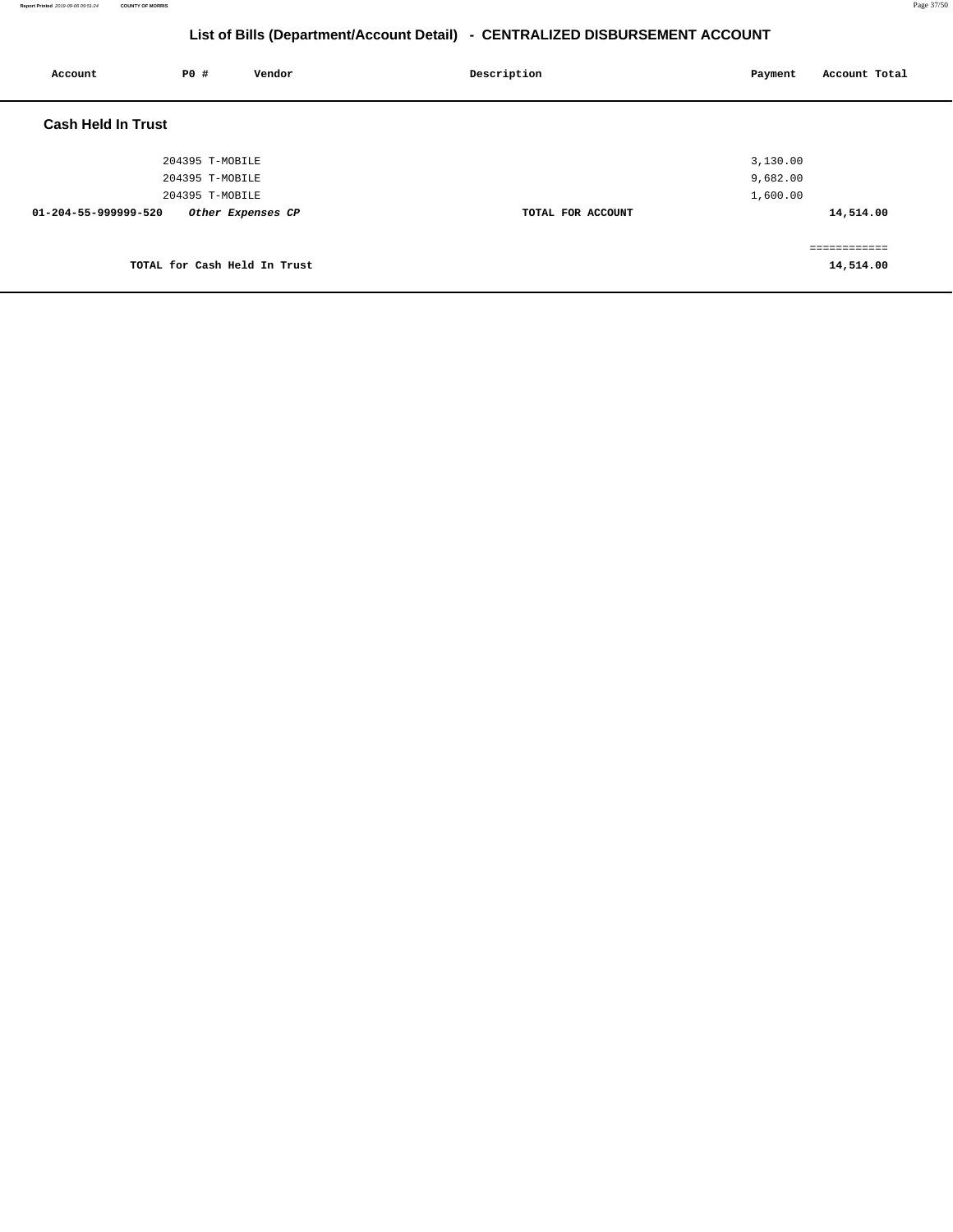| Account                   | P0 #            | Vendor                       | Description       | Account Total<br>Payment |
|---------------------------|-----------------|------------------------------|-------------------|--------------------------|
| <b>Cash Held In Trust</b> |                 |                              |                   |                          |
|                           | 204395 T-MOBILE |                              |                   | 3,130.00                 |
|                           | 204395 T-MOBILE |                              |                   | 9,682.00                 |
|                           | 204395 T-MOBILE |                              |                   | 1,600.00                 |
| 01-204-55-999999-520      |                 | Other Expenses CP            | TOTAL FOR ACCOUNT | 14,514.00                |
|                           |                 |                              |                   | ============             |
|                           |                 | TOTAL for Cash Held In Trust |                   | 14,514.00                |
|                           |                 |                              |                   |                          |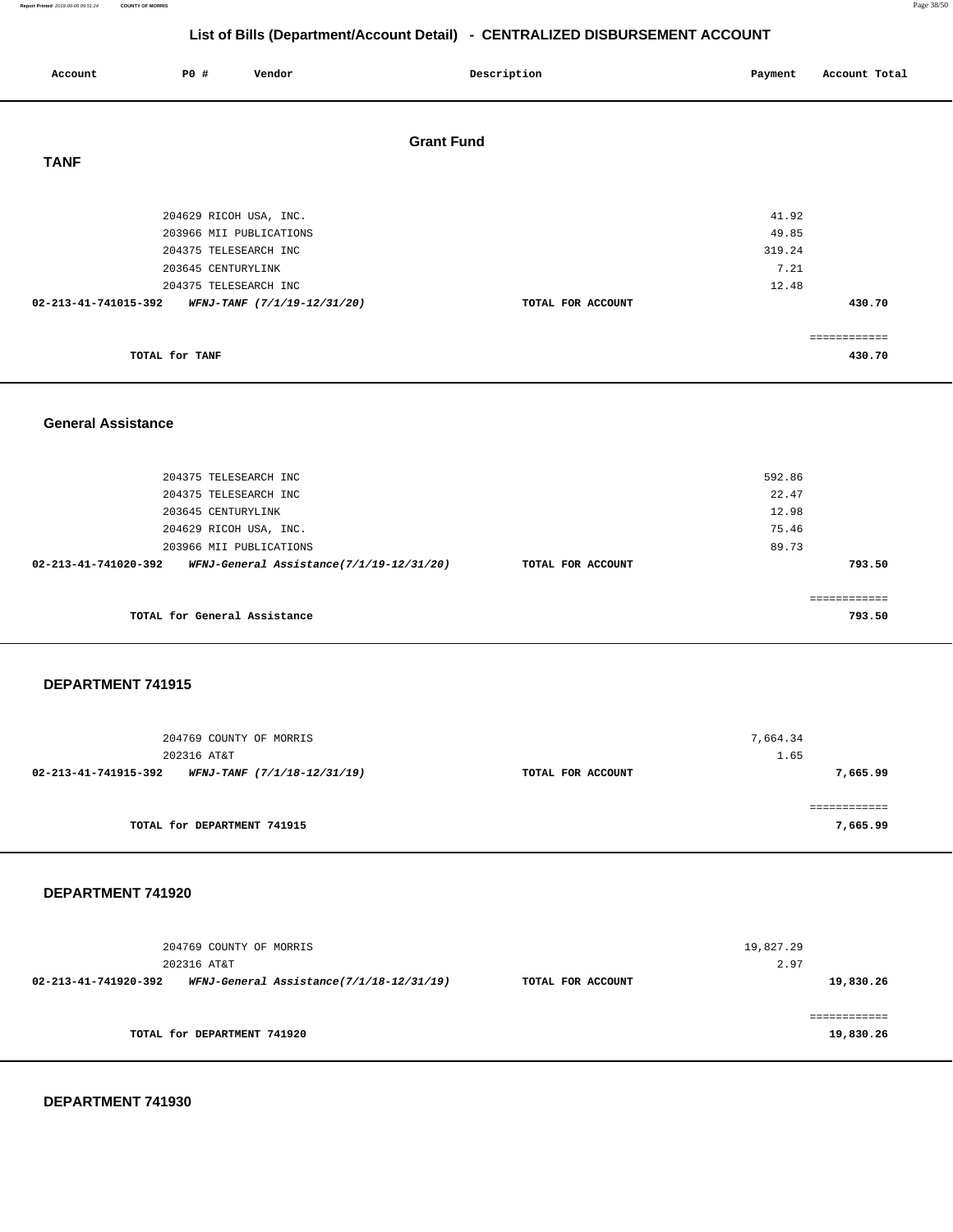#### **Report Printed** 2019-09-06 09:51:24 **COUNTY OF MORRIS** Page 38/50

# **List of Bills (Department/Account Detail) - CENTRALIZED DISBURSEMENT ACCOUNT**

| Account                   | <b>PO #</b>        | Vendor                                               | Description       | Payment        | Account Total          |
|---------------------------|--------------------|------------------------------------------------------|-------------------|----------------|------------------------|
| <b>TANF</b>               |                    |                                                      | <b>Grant Fund</b> |                |                        |
|                           |                    | 204629 RICOH USA, INC.<br>203966 MII PUBLICATIONS    |                   | 41.92<br>49.85 |                        |
|                           | 203645 CENTURYLINK | 204375 TELESEARCH INC                                |                   | 319.24<br>7.21 |                        |
| 02-213-41-741015-392      |                    | 204375 TELESEARCH INC<br>WFNJ-TANF (7/1/19-12/31/20) | TOTAL FOR ACCOUNT | 12.48          | 430.70                 |
|                           | TOTAL for TANF     |                                                      |                   |                | ============<br>430.70 |
|                           |                    |                                                      |                   |                |                        |
| <b>General Assistance</b> |                    |                                                      |                   |                |                        |

|  | --------------------- |  |
|--|-----------------------|--|
|  |                       |  |
|  |                       |  |
|  |                       |  |
|  |                       |  |

| 204375 TELESEARCH INC<br>204375 TELESEARCH INC                   |                   | 592.86<br>22.47 |
|------------------------------------------------------------------|-------------------|-----------------|
| 203645 CENTURYLINK                                               |                   | 12.98           |
| 204629 RICOH USA, INC.                                           |                   | 75.46           |
| 203966 MII PUBLICATIONS                                          |                   | 89.73           |
| WFNJ-General Assistance(7/1/19-12/31/20)<br>02-213-41-741020-392 | TOTAL FOR ACCOUNT | 793.50          |
| TOTAL for General Assistance                                     |                   | 793.50          |

#### **DEPARTMENT 741915**

| 204769 COUNTY OF MORRIS<br>202316 AT&T              |                   | 7,664.34<br>1.65         |
|-----------------------------------------------------|-------------------|--------------------------|
| 02-213-41-741915-392<br>WFNJ-TANF (7/1/18-12/31/19) | TOTAL FOR ACCOUNT | 7,665.99                 |
| TOTAL for DEPARTMENT 741915                         |                   | ------------<br>7,665.99 |

#### **DEPARTMENT 741920**

|                      | 204769 COUNTY OF MORRIS<br>202316 AT&T   |                   | 19,827.29<br>2.97 |
|----------------------|------------------------------------------|-------------------|-------------------|
| 02-213-41-741920-392 | WFNJ-General Assistance(7/1/18-12/31/19) | TOTAL FOR ACCOUNT | 19,830.26         |
|                      | TOTAL for DEPARTMENT 741920              |                   | 19,830.26         |

**DEPARTMENT 741930**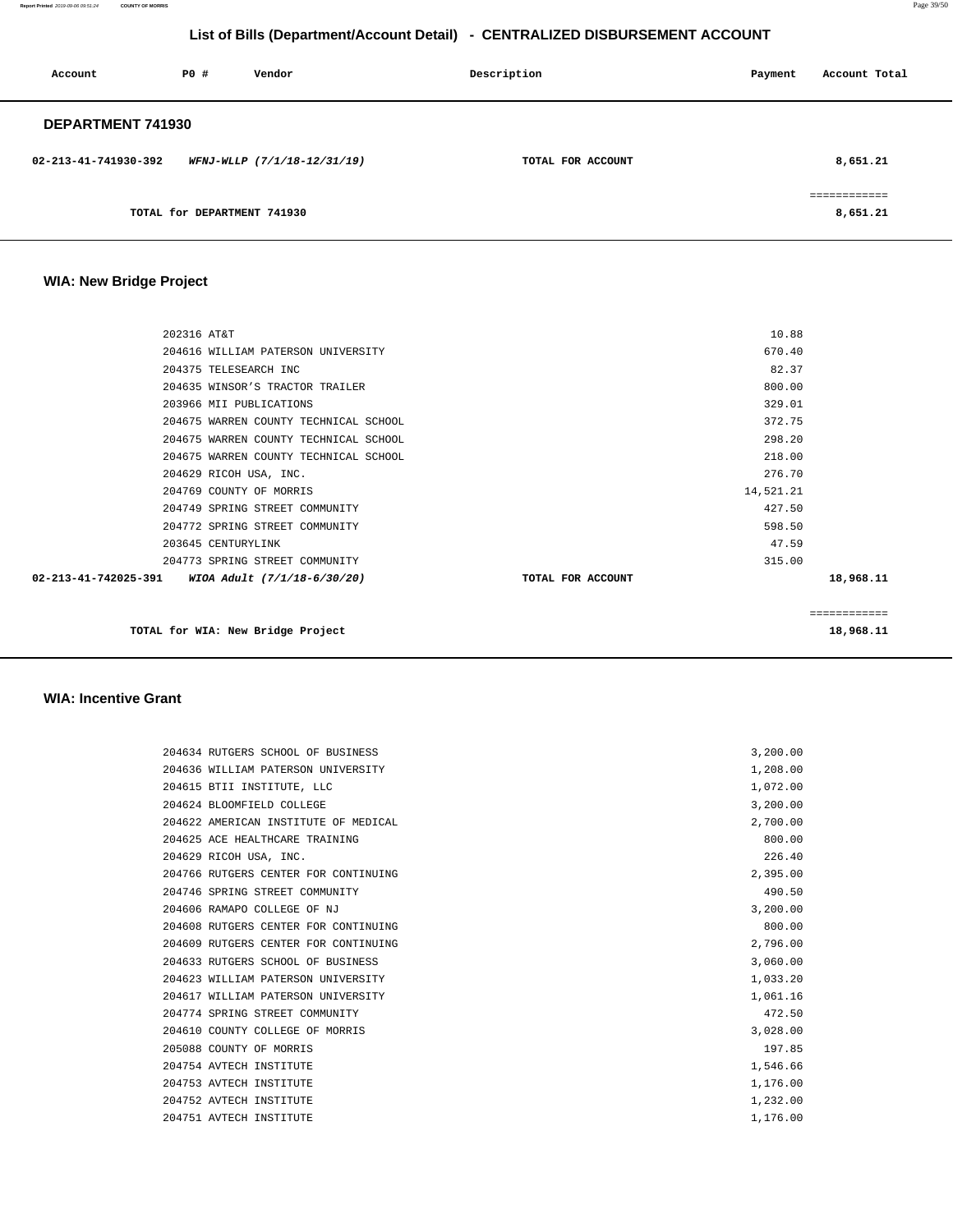**Report Printed** 2019-09-06 09:51:24 **COUNTY OF MORRIS** Page 39/50

# **List of Bills (Department/Account Detail) - CENTRALIZED DISBURSEMENT ACCOUNT**

| Account              | PO#                         | Vendor                      | Description       | Payment | Account Total            |
|----------------------|-----------------------------|-----------------------------|-------------------|---------|--------------------------|
| DEPARTMENT 741930    |                             |                             |                   |         |                          |
| 02-213-41-741930-392 |                             | WFNJ-WLLP (7/1/18-12/31/19) | TOTAL FOR ACCOUNT |         | 8,651.21                 |
|                      | TOTAL for DEPARTMENT 741930 |                             |                   |         | ------------<br>8,651.21 |

# **WIA: New Bridge Project**

| 202316 AT&T                                         | 10.88             |              |
|-----------------------------------------------------|-------------------|--------------|
| 204616 WILLIAM PATERSON UNIVERSITY                  | 670.40            |              |
| 204375 TELESEARCH INC                               | 82.37             |              |
| 204635 WINSOR'S TRACTOR TRAILER                     | 800.00            |              |
| 203966 MII PUBLICATIONS                             | 329.01            |              |
| 204675 WARREN COUNTY TECHNICAL SCHOOL               | 372.75            |              |
| 204675 WARREN COUNTY TECHNICAL SCHOOL               | 298.20            |              |
| 204675 WARREN COUNTY TECHNICAL SCHOOL               | 218.00            |              |
| 204629 RICOH USA, INC.                              | 276.70            |              |
| 204769 COUNTY OF MORRIS                             | 14,521.21         |              |
| 204749 SPRING STREET COMMUNITY                      | 427.50            |              |
| 204772 SPRING STREET COMMUNITY                      | 598.50            |              |
| 203645 CENTURYLINK                                  | 47.59             |              |
| 204773 SPRING STREET COMMUNITY                      | 315.00            |              |
| 02-213-41-742025-391<br>WIOA Adult (7/1/18-6/30/20) | TOTAL FOR ACCOUNT | 18,968.11    |
|                                                     |                   |              |
|                                                     |                   | ============ |

**TOTAL for WIA: New Bridge Project** 18,968.11 **18,968.11** 

#### **WIA: Incentive Grant**

|  | 204634 RUTGERS SCHOOL OF BUSINESS    | 3,200.00 |
|--|--------------------------------------|----------|
|  | 204636 WILLIAM PATERSON UNIVERSITY   | 1,208.00 |
|  | 204615 BTII INSTITUTE, LLC           | 1,072.00 |
|  | 204624 BLOOMFIELD COLLEGE            | 3,200.00 |
|  | 204622 AMERICAN INSTITUTE OF MEDICAL | 2,700.00 |
|  | 204625 ACE HEALTHCARE TRAINING       | 800.00   |
|  | 204629 RICOH USA, INC.               | 226.40   |
|  | 204766 RUTGERS CENTER FOR CONTINUING | 2,395.00 |
|  | 204746 SPRING STREET COMMUNITY       | 490.50   |
|  | 204606 RAMAPO COLLEGE OF NJ          | 3,200.00 |
|  | 204608 RUTGERS CENTER FOR CONTINUING | 800.00   |
|  | 204609 RUTGERS CENTER FOR CONTINUING | 2,796.00 |
|  | 204633 RUTGERS SCHOOL OF BUSINESS    | 3,060.00 |
|  | 204623 WILLIAM PATERSON UNIVERSITY   | 1,033.20 |
|  | 204617 WILLIAM PATERSON UNIVERSITY   | 1,061.16 |
|  | 204774 SPRING STREET COMMUNITY       | 472.50   |
|  | 204610 COUNTY COLLEGE OF MORRIS      | 3,028.00 |
|  | 205088 COUNTY OF MORRIS              | 197.85   |
|  | 204754 AVTECH INSTITUTE              | 1,546.66 |
|  | 204753 AVTECH INSTITUTE              | 1,176.00 |
|  | 204752 AVTECH INSTITUTE              | 1,232.00 |
|  | 204751 AVTECH INSTITUTE              | 1,176.00 |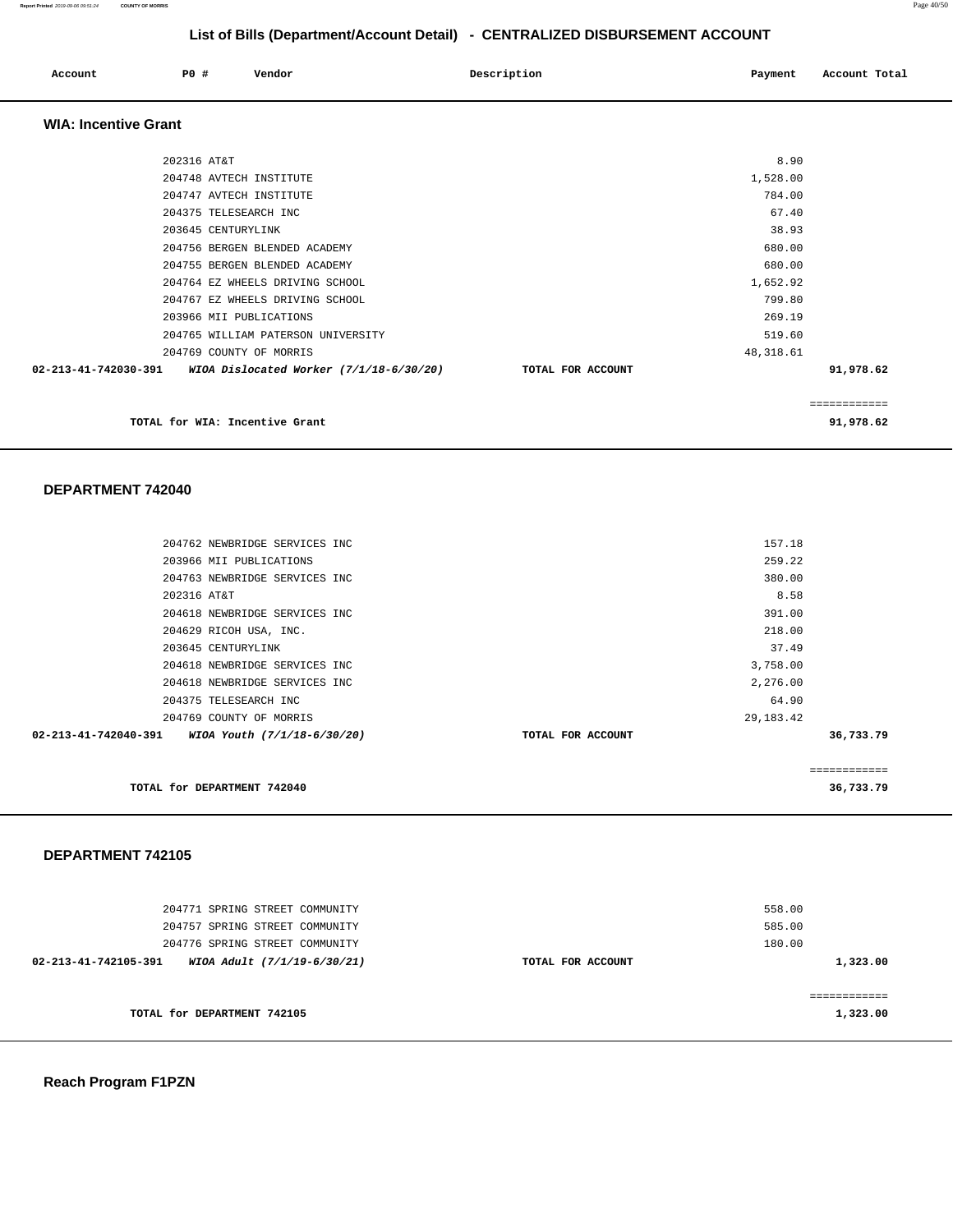| Account                     | P0 # | Vendor | Description | Account Total<br>Payment |
|-----------------------------|------|--------|-------------|--------------------------|
| <b>WIA: Incentive Grant</b> |      |        |             |                          |

| 202316 AT&T          |                                         |                   | 8.90      |              |
|----------------------|-----------------------------------------|-------------------|-----------|--------------|
|                      | 204748 AVTECH INSTITUTE                 |                   | 1,528.00  |              |
|                      | 204747 AVTECH INSTITUTE                 |                   | 784.00    |              |
|                      | 204375 TELESEARCH INC                   |                   | 67.40     |              |
|                      | 203645 CENTURYLINK                      |                   | 38.93     |              |
|                      | 204756 BERGEN BLENDED ACADEMY           |                   | 680.00    |              |
|                      | 204755 BERGEN BLENDED ACADEMY           |                   | 680.00    |              |
|                      | 204764 EZ WHEELS DRIVING SCHOOL         |                   | 1,652.92  |              |
|                      | 204767 EZ WHEELS DRIVING SCHOOL         |                   | 799.80    |              |
|                      | 203966 MII PUBLICATIONS                 |                   | 269.19    |              |
|                      | 204765 WILLIAM PATERSON UNIVERSITY      |                   | 519.60    |              |
|                      | 204769 COUNTY OF MORRIS                 |                   | 48,318.61 |              |
| 02-213-41-742030-391 | WIOA Dislocated Worker (7/1/18-6/30/20) | TOTAL FOR ACCOUNT |           | 91,978.62    |
|                      |                                         |                   |           |              |
|                      |                                         |                   |           | ============ |
|                      | TOTAL for WIA: Incentive Grant          |                   |           | 91,978.62    |
|                      |                                         |                   |           |              |

#### **DEPARTMENT 742040**

| TOTAL for DEPARTMENT 742040                         |                   |             | 36,733.79    |
|-----------------------------------------------------|-------------------|-------------|--------------|
|                                                     |                   |             | ============ |
| 02-213-41-742040-391<br>WIOA Youth (7/1/18-6/30/20) | TOTAL FOR ACCOUNT |             | 36,733.79    |
| 204769 COUNTY OF MORRIS                             |                   | 29, 183. 42 |              |
| 204375 TELESEARCH INC                               |                   | 64.90       |              |
| 204618 NEWBRIDGE SERVICES INC                       |                   | 2,276.00    |              |
| 204618 NEWBRIDGE SERVICES INC                       |                   | 3,758.00    |              |
| 203645 CENTURYLINK                                  |                   | 37.49       |              |
| 204629 RICOH USA, INC.                              |                   | 218.00      |              |
| 204618 NEWBRIDGE SERVICES INC                       |                   | 391.00      |              |
| 202316 AT&T                                         |                   | 8.58        |              |
| 204763 NEWBRIDGE SERVICES INC                       |                   | 380.00      |              |
| 203966 MII PUBLICATIONS                             |                   | 259.22      |              |
| 204762 NEWBRIDGE SERVICES INC                       |                   | 157.18      |              |
|                                                     |                   |             |              |

#### **DEPARTMENT 742105**

| 204757 SPRING STREET COMMUNITY<br>204776 SPRING STREET COMMUNITY<br>WIOA Adult (7/1/19-6/30/21)<br>02-213-41-742105-391 | TOTAL FOR ACCOUNT | 585.00<br>180.00<br>1,323.00 |
|-------------------------------------------------------------------------------------------------------------------------|-------------------|------------------------------|
| TOTAL for DEPARTMENT 742105                                                                                             |                   | 1,323.00                     |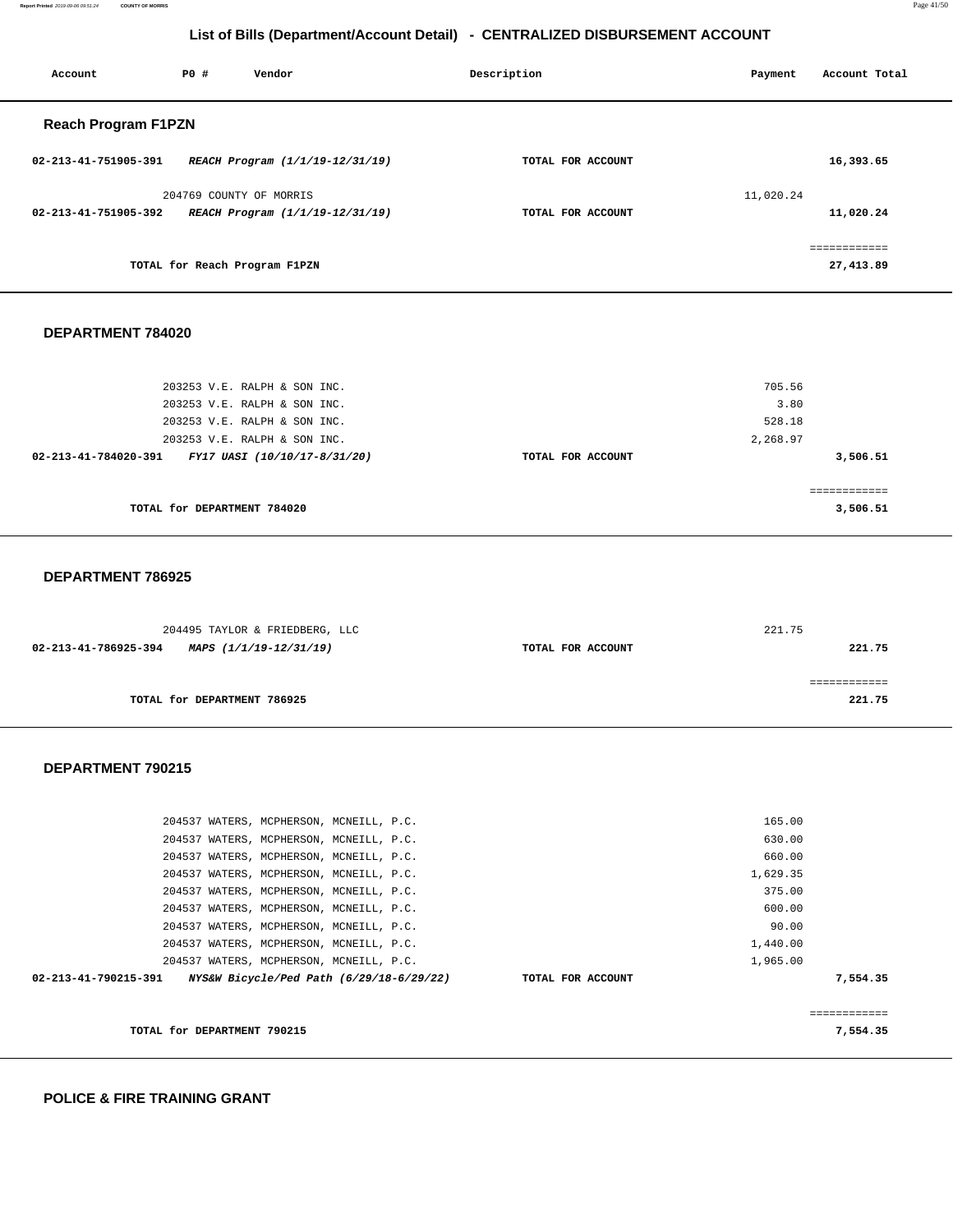**Report Printed** 2019-09-06 09:51:24 **COUNTY OF MORRIS** Page 41/50

# **List of Bills (Department/Account Detail) - CENTRALIZED DISBURSEMENT ACCOUNT**

| Account                    | PO# | Vendor                          | Description |                   | Payment   | Account Total |
|----------------------------|-----|---------------------------------|-------------|-------------------|-----------|---------------|
| <b>Reach Program F1PZN</b> |     |                                 |             |                   |           |               |
| 02-213-41-751905-391       |     | REACH Program (1/1/19-12/31/19) |             | TOTAL FOR ACCOUNT |           | 16,393.65     |
|                            |     | 204769 COUNTY OF MORRIS         |             |                   | 11,020.24 |               |
| 02-213-41-751905-392       |     | REACH Program (1/1/19-12/31/19) |             | TOTAL FOR ACCOUNT |           | 11,020.24     |
|                            |     |                                 |             |                   |           | essessessess  |
|                            |     | TOTAL for Reach Program F1PZN   |             |                   |           | 27,413.89     |
|                            |     |                                 |             |                   |           |               |

#### **DEPARTMENT 784020**

| 203253 V.E. RALPH & SON INC.<br>203253 V.E. RALPH & SON INC. | 705.56<br>3.80                |
|--------------------------------------------------------------|-------------------------------|
| 203253 V.E. RALPH & SON INC.                                 | 528.18                        |
| 203253 V.E. RALPH & SON INC.                                 | 2,268.97                      |
| 02-213-41-784020-391<br>FY17 UASI (10/10/17-8/31/20)         | 3,506.51<br>TOTAL FOR ACCOUNT |
|                                                              |                               |
| TOTAL for DEPARTMENT 784020                                  | 3,506.51                      |

#### **DEPARTMENT 786925**

| 204495 TAYLOR & FRIEDBERG, LLC                 |                   | 221.75 |
|------------------------------------------------|-------------------|--------|
| 02-213-41-786925-394<br>MAPS (1/1/19-12/31/19) | TOTAL FOR ACCOUNT | 221.75 |
|                                                |                   |        |
|                                                |                   |        |
| TOTAL for DEPARTMENT 786925                    |                   | 221.75 |

#### **DEPARTMENT 790215**

|                      | 204537 WATERS, MCPHERSON, MCNEILL, P.C. |                                          |  |                   | 165.00   |          |
|----------------------|-----------------------------------------|------------------------------------------|--|-------------------|----------|----------|
|                      | 204537 WATERS, MCPHERSON, MCNEILL, P.C. |                                          |  |                   | 630.00   |          |
|                      | 204537 WATERS, MCPHERSON, MCNEILL, P.C. |                                          |  |                   | 660.00   |          |
|                      | 204537 WATERS, MCPHERSON, MCNEILL, P.C. |                                          |  |                   | 1,629.35 |          |
|                      | 204537 WATERS, MCPHERSON, MCNEILL, P.C. |                                          |  |                   | 375.00   |          |
|                      | 204537 WATERS, MCPHERSON, MCNEILL, P.C. |                                          |  |                   | 600.00   |          |
|                      | 204537 WATERS, MCPHERSON, MCNEILL, P.C. |                                          |  |                   | 90.00    |          |
|                      | 204537 WATERS, MCPHERSON, MCNEILL, P.C. |                                          |  |                   | 1,440.00 |          |
|                      | 204537 WATERS, MCPHERSON, MCNEILL, P.C. |                                          |  |                   | 1,965.00 |          |
| 02-213-41-790215-391 |                                         | NYS&W Bicycle/Ped Path (6/29/18-6/29/22) |  | TOTAL FOR ACCOUNT |          | 7,554.35 |
|                      |                                         |                                          |  |                   |          |          |
|                      |                                         |                                          |  |                   |          |          |
|                      | TOTAL for DEPARTMENT 790215             |                                          |  |                   |          | 7,554.35 |
|                      |                                         |                                          |  |                   |          |          |

**POLICE & FIRE TRAINING GRANT**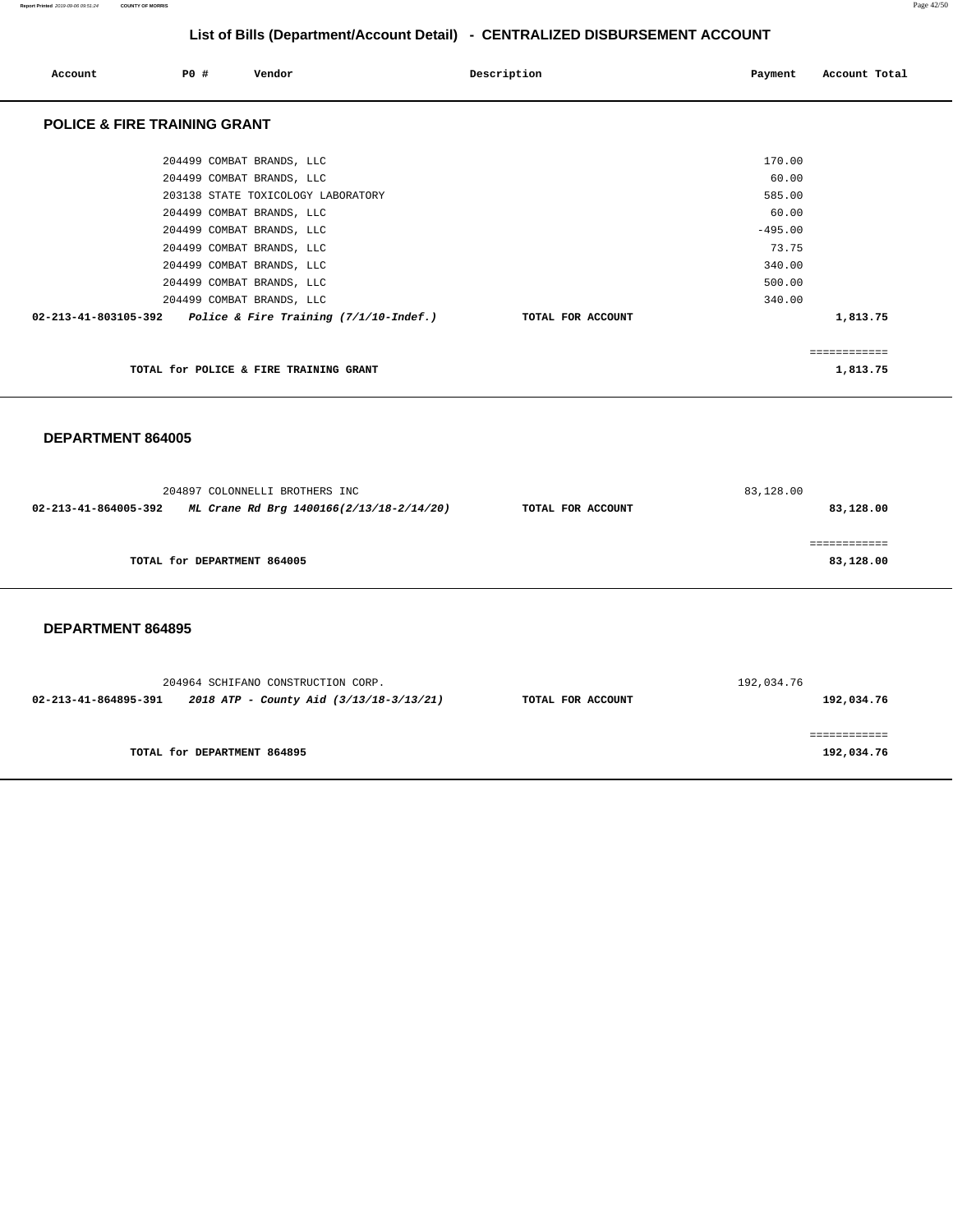| Account                                                               | PO# | Vendor                                 | Description       | Payment   | Account Total |
|-----------------------------------------------------------------------|-----|----------------------------------------|-------------------|-----------|---------------|
| <b>POLICE &amp; FIRE TRAINING GRANT</b>                               |     |                                        |                   |           |               |
|                                                                       |     | 204499 COMBAT BRANDS, LLC              |                   | 170.00    |               |
|                                                                       |     | 204499 COMBAT BRANDS, LLC              |                   | 60.00     |               |
|                                                                       |     | 203138 STATE TOXICOLOGY LABORATORY     |                   | 585.00    |               |
|                                                                       |     | 204499 COMBAT BRANDS, LLC              |                   | 60.00     |               |
|                                                                       |     | 204499 COMBAT BRANDS, LLC              |                   | $-495.00$ |               |
|                                                                       |     | 204499 COMBAT BRANDS, LLC              |                   | 73.75     |               |
|                                                                       |     | 204499 COMBAT BRANDS, LLC              |                   | 340.00    |               |
|                                                                       |     | 204499 COMBAT BRANDS, LLC              |                   | 500.00    |               |
|                                                                       |     | 204499 COMBAT BRANDS, LLC              |                   | 340.00    |               |
| $02 - 213 - 41 - 803105 - 392$ Police & Fire Training (7/1/10-Indef.) |     |                                        | TOTAL FOR ACCOUNT |           | 1,813.75      |
|                                                                       |     |                                        |                   |           | ============  |
|                                                                       |     | TOTAL for POLICE & FIRE TRAINING GRANT |                   |           | 1,813.75      |

**DEPARTMENT 864005** 

|                      | 204897 COLONNELLI BROTHERS INC           |                   | 83,128.00 |  |
|----------------------|------------------------------------------|-------------------|-----------|--|
| 02-213-41-864005-392 | ML Crane Rd Brg 1400166(2/13/18-2/14/20) | TOTAL FOR ACCOUNT | 83,128.00 |  |
|                      |                                          |                   |           |  |
|                      |                                          |                   |           |  |
|                      | TOTAL for DEPARTMENT 864005              |                   | 83,128.00 |  |
|                      |                                          |                   |           |  |

**DEPARTMENT 864895** 

| 204964 SCHIFANO CONSTRUCTION CORP. |                                         |                   | 192,034.76 |  |
|------------------------------------|-----------------------------------------|-------------------|------------|--|
| 02-213-41-864895-391               | 2018 ATP - County Aid (3/13/18-3/13/21) | TOTAL FOR ACCOUNT | 192,034.76 |  |
|                                    |                                         |                   |            |  |
|                                    |                                         |                   |            |  |
| TOTAL for DEPARTMENT 864895        |                                         |                   | 192,034.76 |  |
|                                    |                                         |                   |            |  |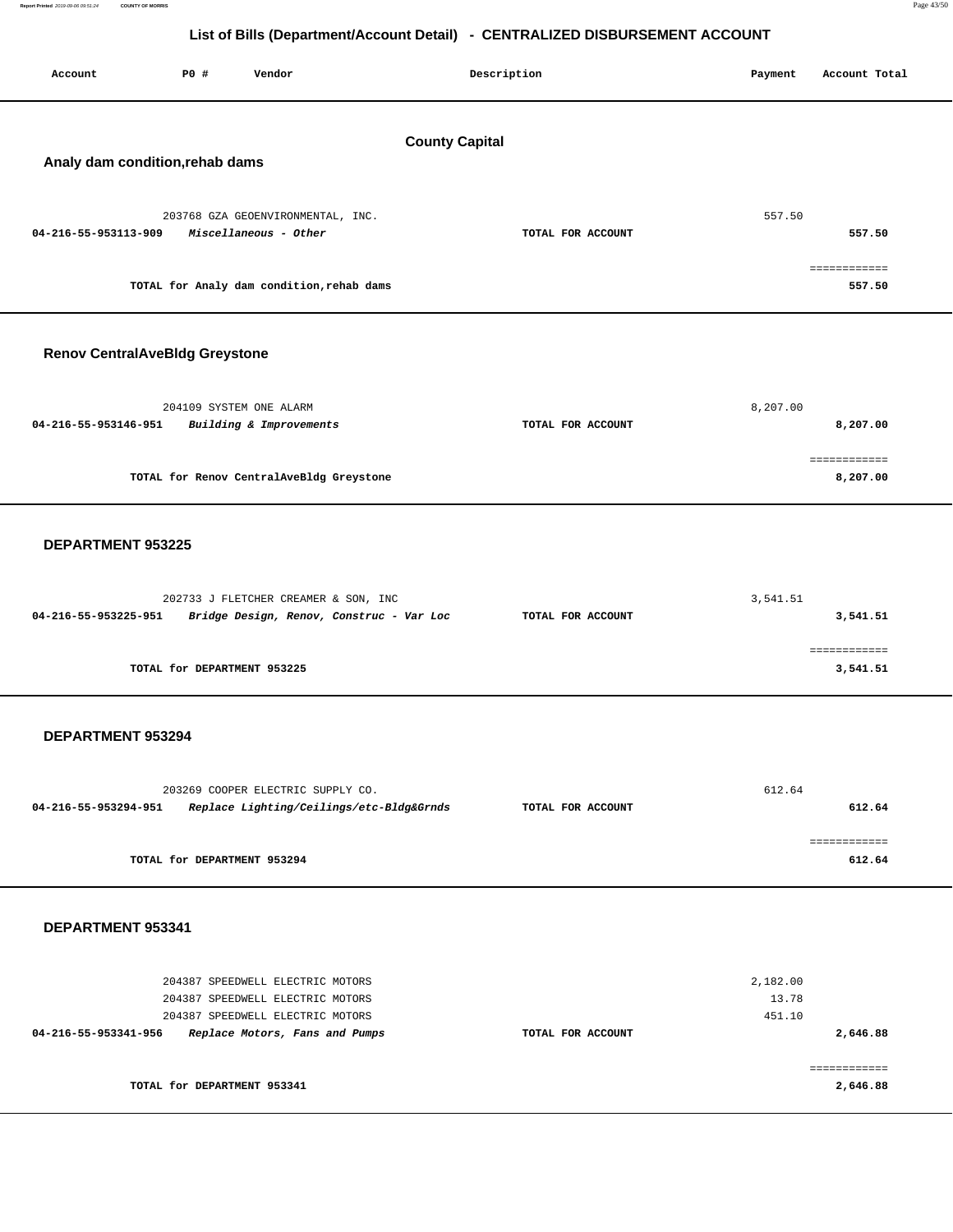| Report Printed 2019-09-06 09:51:24 COUNTY OF MORRIS | Page 43/50 |
|-----------------------------------------------------|------------|
|                                                     |            |

| Account                               | P0 # | Vendor                                                                        |                       | Description       | Payment         | Account Total            |
|---------------------------------------|------|-------------------------------------------------------------------------------|-----------------------|-------------------|-----------------|--------------------------|
|                                       |      |                                                                               |                       |                   |                 |                          |
|                                       |      |                                                                               | <b>County Capital</b> |                   |                 |                          |
| Analy dam condition, rehab dams       |      |                                                                               |                       |                   |                 |                          |
|                                       |      | 203768 GZA GEOENVIRONMENTAL, INC.                                             |                       |                   | 557.50          |                          |
| 04-216-55-953113-909                  |      | Miscellaneous - Other                                                         |                       | TOTAL FOR ACCOUNT |                 | 557.50                   |
|                                       |      | TOTAL for Analy dam condition, rehab dams                                     |                       |                   |                 | ============<br>557.50   |
| <b>Renov CentralAveBldg Greystone</b> |      |                                                                               |                       |                   |                 |                          |
|                                       |      |                                                                               |                       |                   |                 |                          |
| 04-216-55-953146-951                  |      | 204109 SYSTEM ONE ALARM<br>Building & Improvements                            |                       | TOTAL FOR ACCOUNT | 8,207.00        | 8,207.00                 |
|                                       |      |                                                                               |                       |                   |                 | ============             |
|                                       |      | TOTAL for Renov CentralAveBldg Greystone                                      |                       |                   |                 | 8,207.00                 |
|                                       |      |                                                                               |                       |                   |                 |                          |
| DEPARTMENT 953225                     |      |                                                                               |                       |                   |                 |                          |
|                                       |      | 202733 J FLETCHER CREAMER & SON, INC                                          |                       |                   | 3,541.51        |                          |
| 04-216-55-953225-951                  |      | Bridge Design, Renov, Construc - Var Loc                                      |                       | TOTAL FOR ACCOUNT |                 | 3,541.51                 |
|                                       |      | TOTAL for DEPARTMENT 953225                                                   |                       |                   |                 | ============<br>3,541.51 |
|                                       |      |                                                                               |                       |                   |                 |                          |
| DEPARTMENT 953294                     |      |                                                                               |                       |                   |                 |                          |
|                                       |      |                                                                               |                       |                   |                 |                          |
| 04-216-55-953294-951                  |      | 203269 COOPER ELECTRIC SUPPLY CO.<br>Replace Lighting/Ceilings/etc-Bldg&Grnds |                       | TOTAL FOR ACCOUNT | 612.64          | 612.64                   |
|                                       |      |                                                                               |                       |                   |                 | ============             |
|                                       |      | TOTAL for DEPARTMENT 953294                                                   |                       |                   |                 | 612.64                   |
|                                       |      |                                                                               |                       |                   |                 |                          |
| DEPARTMENT 953341                     |      |                                                                               |                       |                   |                 |                          |
|                                       |      | 204387 SPEEDWELL ELECTRIC MOTORS                                              |                       |                   | 2,182.00        |                          |
|                                       |      | 204387 SPEEDWELL ELECTRIC MOTORS<br>204387 SPEEDWELL ELECTRIC MOTORS          |                       |                   | 13.78<br>451.10 |                          |
| 04-216-55-953341-956                  |      | Replace Motors, Fans and Pumps                                                |                       | TOTAL FOR ACCOUNT |                 | 2,646.88                 |
|                                       |      | TOTAL for DEPARTMENT 953341                                                   |                       |                   |                 | ============<br>2,646.88 |
|                                       |      |                                                                               |                       |                   |                 |                          |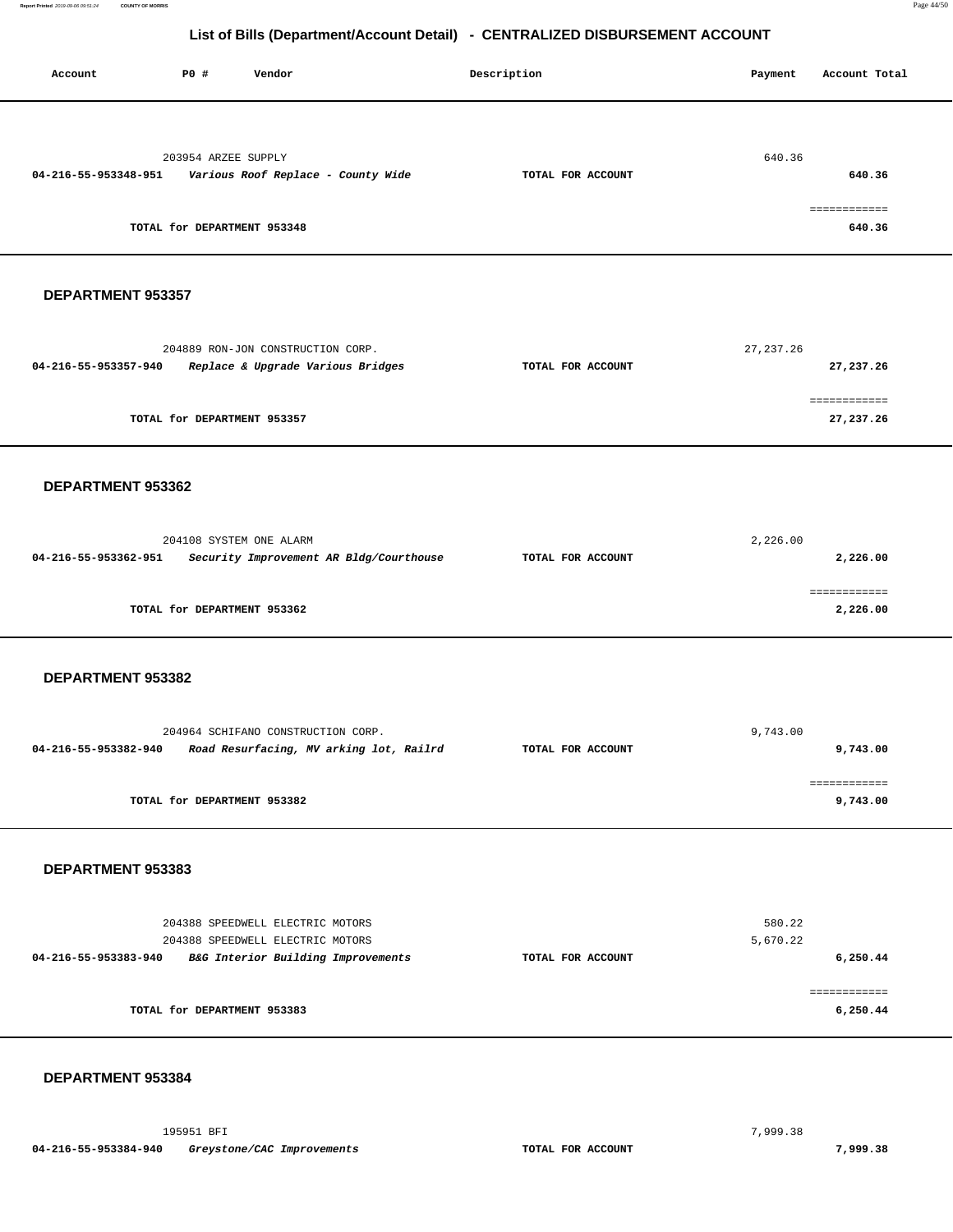| Account              | P0 # | Vendor                                                                                                     |                                         | Description       | Payment            | Account Total             |
|----------------------|------|------------------------------------------------------------------------------------------------------------|-----------------------------------------|-------------------|--------------------|---------------------------|
| 04-216-55-953348-951 |      | 203954 ARZEE SUPPLY<br>Various Roof Replace - County Wide<br>TOTAL for DEPARTMENT 953348                   |                                         | TOTAL FOR ACCOUNT | 640.36             | 640.36<br>640.36          |
| DEPARTMENT 953357    |      |                                                                                                            |                                         |                   |                    |                           |
| 04-216-55-953357-940 |      | 204889 RON-JON CONSTRUCTION CORP.<br>Replace & Upgrade Various Bridges                                     |                                         | TOTAL FOR ACCOUNT | 27, 237.26         | 27,237.26                 |
|                      |      | TOTAL for DEPARTMENT 953357                                                                                |                                         |                   |                    | ============<br>27,237.26 |
| DEPARTMENT 953362    |      |                                                                                                            |                                         |                   |                    |                           |
| 04-216-55-953362-951 |      | 204108 SYSTEM ONE ALARM                                                                                    | Security Improvement AR Bldg/Courthouse | TOTAL FOR ACCOUNT | 2,226.00           | 2,226.00                  |
|                      |      | TOTAL for DEPARTMENT 953362                                                                                |                                         |                   |                    | ============<br>2,226.00  |
| DEPARTMENT 953382    |      |                                                                                                            |                                         |                   |                    |                           |
| 04-216-55-953382-940 |      | 204964 SCHIFANO CONSTRUCTION CORP.                                                                         | Road Resurfacing, MV arking lot, Railrd | TOTAL FOR ACCOUNT | 9,743.00           | 9,743.00                  |
|                      |      | TOTAL for DEPARTMENT 953382                                                                                |                                         |                   |                    | ============<br>9,743.00  |
| DEPARTMENT 953383    |      |                                                                                                            |                                         |                   |                    |                           |
| 04-216-55-953383-940 |      | 204388 SPEEDWELL ELECTRIC MOTORS<br>204388 SPEEDWELL ELECTRIC MOTORS<br>B&G Interior Building Improvements |                                         | TOTAL FOR ACCOUNT | 580.22<br>5,670.22 | 6,250.44                  |
|                      |      | TOTAL for DEPARTMENT 953383                                                                                |                                         |                   |                    | 6,250.44                  |
|                      |      |                                                                                                            |                                         |                   |                    |                           |

### **DEPARTMENT 953384**

Report Printed 2019-09-06 09:51:24

195951 BFI 7,999.38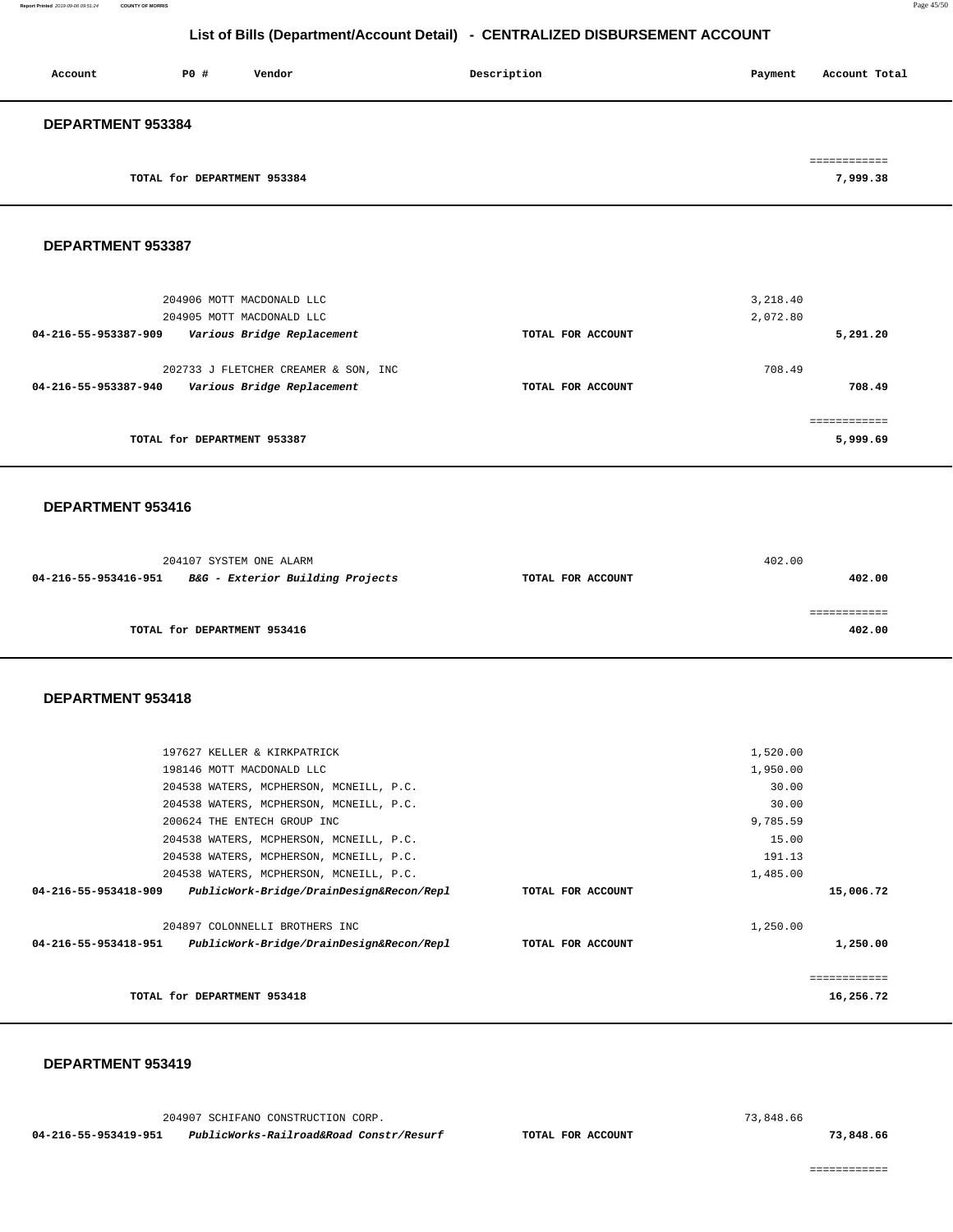| Account                  | PO#                         | Vendor | Description | Payment | Account Total |
|--------------------------|-----------------------------|--------|-------------|---------|---------------|
| <b>DEPARTMENT 953384</b> |                             |        |             |         |               |
|                          |                             |        |             |         |               |
|                          | TOTAL for DEPARTMENT 953384 |        |             |         | 7,999.38      |

#### **DEPARTMENT 953387**

| 204906 MOTT MACDONALD LLC<br>204905 MOTT MACDONALD LLC                                     |                   | 3,218.40<br>2,072.80 |
|--------------------------------------------------------------------------------------------|-------------------|----------------------|
| Various Bridge Replacement<br>04-216-55-953387-909                                         | TOTAL FOR ACCOUNT | 5,291.20             |
| 202733 J FLETCHER CREAMER & SON, INC<br>Various Bridge Replacement<br>04-216-55-953387-940 | TOTAL FOR ACCOUNT | 708.49<br>708.49     |
| TOTAL for DEPARTMENT 953387                                                                |                   | 5,999.69             |

#### **DEPARTMENT 953416**

| 204107 SYSTEM ONE ALARM                                  |                   | 402.00 |
|----------------------------------------------------------|-------------------|--------|
| B&G - Exterior Building Projects<br>04-216-55-953416-951 | TOTAL FOR ACCOUNT | 402.00 |
|                                                          |                   |        |
|                                                          |                   |        |
| TOTAL for DEPARTMENT 953416                              |                   | 402.00 |

#### **DEPARTMENT 953418**

|                      | 197627 KELLER & KIRKPATRICK              |                   | 1,520.00  |  |
|----------------------|------------------------------------------|-------------------|-----------|--|
|                      | 198146 MOTT MACDONALD LLC                |                   | 1,950.00  |  |
|                      | 204538 WATERS, MCPHERSON, MCNEILL, P.C.  |                   | 30.00     |  |
|                      | 204538 WATERS, MCPHERSON, MCNEILL, P.C.  |                   | 30.00     |  |
|                      | 200624 THE ENTECH GROUP INC              |                   | 9,785.59  |  |
|                      | 204538 WATERS, MCPHERSON, MCNEILL, P.C.  |                   | 15.00     |  |
|                      | 204538 WATERS, MCPHERSON, MCNEILL, P.C.  |                   | 191.13    |  |
|                      | 204538 WATERS, MCPHERSON, MCNEILL, P.C.  |                   | 1,485.00  |  |
| 04-216-55-953418-909 | PublicWork-Bridge/DrainDesign&Recon/Repl | TOTAL FOR ACCOUNT | 15,006.72 |  |
|                      | 204897 COLONNELLI BROTHERS INC           |                   | 1,250.00  |  |
| 04-216-55-953418-951 | PublicWork-Bridge/DrainDesign&Recon/Repl | TOTAL FOR ACCOUNT | 1,250.00  |  |
|                      |                                          |                   | eeeeeeee  |  |
|                      | TOTAL for DEPARTMENT 953418              |                   | 16,256.72 |  |
|                      |                                          |                   |           |  |

#### **DEPARTMENT 953419**

 204907 SCHIFANO CONSTRUCTION CORP. 73,848.66  **04-216-55-953419-951 PublicWorks-Railroad&Road Constr/Resurf TOTAL FOR ACCOUNT 73,848.66**

============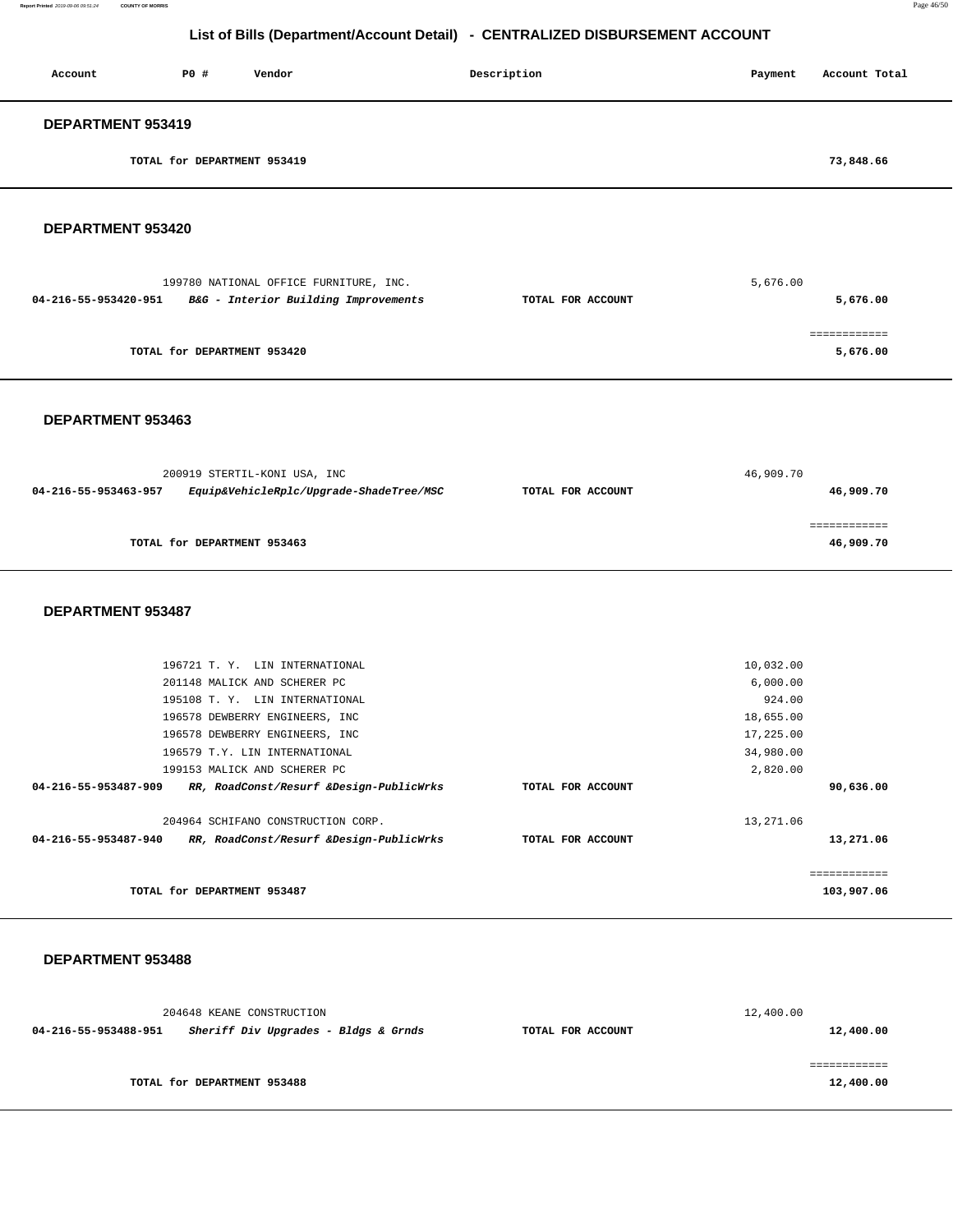| Account           | P0 #                        | Vendor | Description | Payment | Account Total |
|-------------------|-----------------------------|--------|-------------|---------|---------------|
| DEPARTMENT 953419 |                             |        |             |         |               |
|                   | TOTAL for DEPARTMENT 953419 |        |             |         | 73,848.66     |

#### **DEPARTMENT 953420**

| 199780 NATIONAL OFFICE FURNITURE, INC.                       |                   | 5,676.00 |
|--------------------------------------------------------------|-------------------|----------|
| B&G - Interior Building Improvements<br>04-216-55-953420-951 | TOTAL FOR ACCOUNT | 5,676.00 |
|                                                              |                   |          |
|                                                              |                   |          |
| TOTAL for DEPARTMENT 953420                                  |                   | 5,676.00 |

#### **DEPARTMENT 953463**

|                      | 200919 STERTIL-KONI USA, INC            | 46,909.70         |           |  |
|----------------------|-----------------------------------------|-------------------|-----------|--|
| 04-216-55-953463-957 | Equip&VehicleRplc/Upgrade-ShadeTree/MSC | TOTAL FOR ACCOUNT | 46,909.70 |  |
|                      |                                         |                   |           |  |
|                      |                                         |                   |           |  |
|                      | TOTAL for DEPARTMENT 953463             |                   | 46,909.70 |  |
|                      |                                         |                   |           |  |

#### **DEPARTMENT 953487**

| TOTAL for DEPARTMENT 953487                                     |                   | 103,907.06 |
|-----------------------------------------------------------------|-------------------|------------|
|                                                                 |                   |            |
| 04-216-55-953487-940<br>RR, RoadConst/Resurf &Design-PublicWrks | TOTAL FOR ACCOUNT | 13,271.06  |
| 204964 SCHIFANO CONSTRUCTION CORP.                              |                   | 13,271.06  |
| RR, RoadConst/Resurf &Design-PublicWrks<br>04-216-55-953487-909 | TOTAL FOR ACCOUNT | 90,636.00  |
| 199153 MALICK AND SCHERER PC                                    |                   | 2,820.00   |
| 196579 T.Y. LIN INTERNATIONAL                                   |                   | 34,980.00  |
| 196578 DEWBERRY ENGINEERS, INC                                  |                   | 17,225.00  |
| 196578 DEWBERRY ENGINEERS, INC                                  |                   | 18,655.00  |
| 195108 T. Y. LIN INTERNATIONAL                                  |                   | 924.00     |
| 201148 MALICK AND SCHERER PC                                    |                   | 6,000.00   |
| 196721 T. Y. LIN INTERNATIONAL                                  |                   | 10,032.00  |

#### **DEPARTMENT 953488**

|                      | 204648 KEANE CONSTRUCTION            |                   | 12,400.00 |
|----------------------|--------------------------------------|-------------------|-----------|
| 04-216-55-953488-951 | Sheriff Div Upgrades - Bldgs & Grnds | TOTAL FOR ACCOUNT | 12,400.00 |
|                      |                                      |                   |           |
|                      |                                      |                   |           |
|                      | TOTAL for DEPARTMENT 953488          |                   | 12,400.00 |
|                      |                                      |                   |           |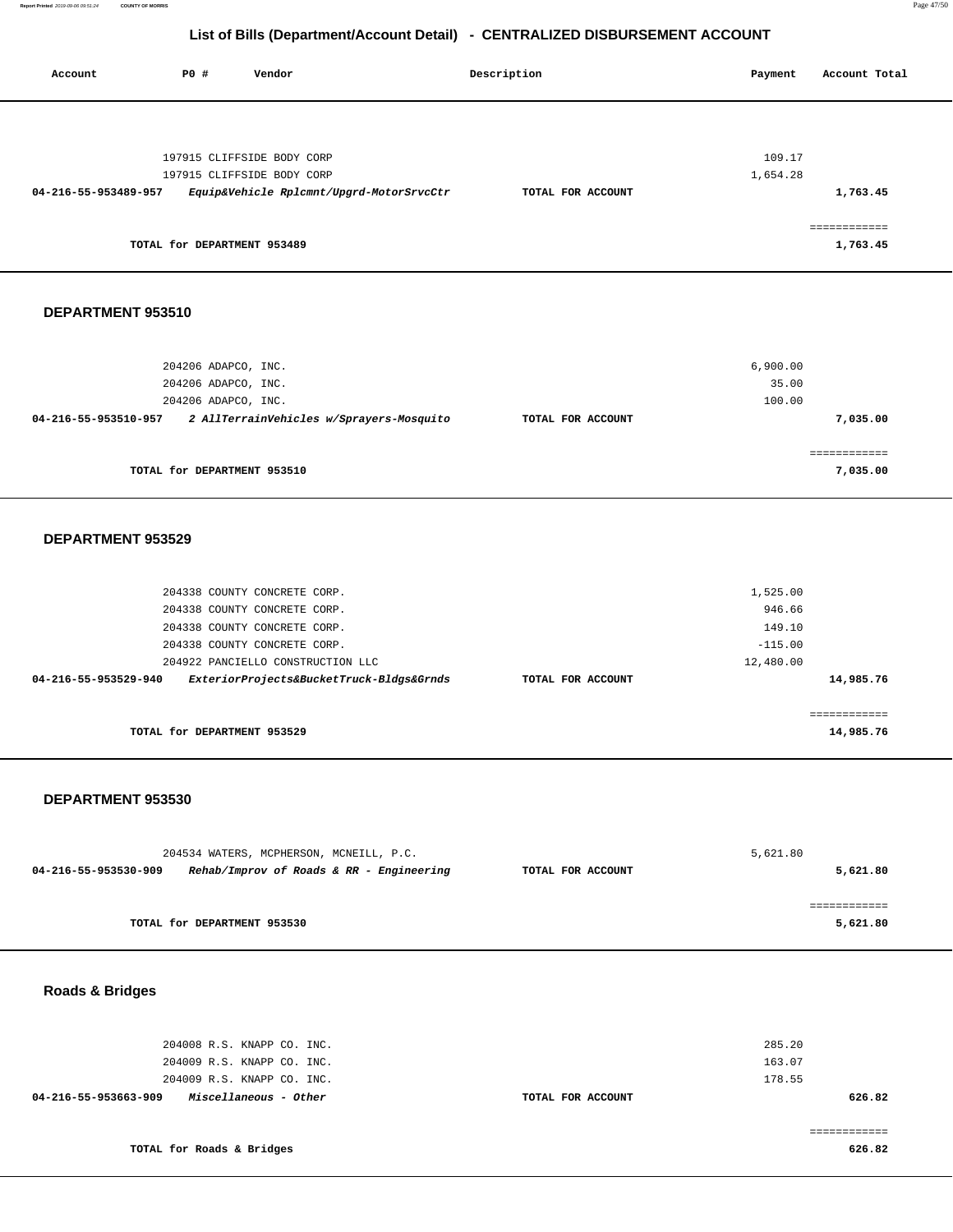| Account              | PO# | Vendor                      |                                          | Description |                   | Payment  | Account Total |
|----------------------|-----|-----------------------------|------------------------------------------|-------------|-------------------|----------|---------------|
|                      |     |                             |                                          |             |                   |          |               |
|                      |     | 197915 CLIFFSIDE BODY CORP  |                                          |             |                   | 109.17   |               |
|                      |     | 197915 CLIFFSIDE BODY CORP  |                                          |             |                   | 1,654.28 |               |
| 04-216-55-953489-957 |     |                             | Equip&Vehicle Rplcmnt/Upgrd-MotorSrvcCtr |             | TOTAL FOR ACCOUNT |          | 1,763.45      |
|                      |     |                             |                                          |             |                   |          | ============  |
|                      |     | TOTAL for DEPARTMENT 953489 |                                          |             |                   |          | 1,763.45      |
|                      |     |                             |                                          |             |                   |          |               |
| DEPARTMENT 953510    |     |                             |                                          |             |                   |          |               |

|                      | TOTAL for DEPARTMENT 953510              |                   |          | 7,035.00    |
|----------------------|------------------------------------------|-------------------|----------|-------------|
|                      |                                          |                   |          | =========== |
| 04-216-55-953510-957 | 2 AllTerrainVehicles w/Sprayers-Mosquito | TOTAL FOR ACCOUNT |          | 7,035.00    |
|                      | 204206 ADAPCO, INC.                      |                   | 100.00   |             |
|                      | 204206 ADAPCO, INC.                      |                   | 35.00    |             |
|                      | 204206 ADAPCO, INC.                      |                   | 6,900.00 |             |

#### **DEPARTMENT 953529**

| 204338 COUNTY CONCRETE CORP.<br>204338 COUNTY CONCRETE CORP.      |                   | 1,525.00<br>946.66     |
|-------------------------------------------------------------------|-------------------|------------------------|
| 204338 COUNTY CONCRETE CORP.                                      |                   | 149.10                 |
| 204338 COUNTY CONCRETE CORP.<br>204922 PANCIELLO CONSTRUCTION LLC |                   | $-115.00$<br>12,480.00 |
| ExteriorProjects&BucketTruck-Bldgs&Grnds<br>04-216-55-953529-940  | TOTAL FOR ACCOUNT | 14,985.76              |
|                                                                   |                   | ===========            |
| TOTAL for DEPARTMENT 953529                                       |                   | 14,985.76              |

#### **DEPARTMENT 953530**

|                      | 204534 WATERS, MCPHERSON, MCNEILL, P.C.  |                   | 5,621.80 |
|----------------------|------------------------------------------|-------------------|----------|
| 04-216-55-953530-909 | Rehab/Improv of Roads & RR - Engineering | TOTAL FOR ACCOUNT | 5,621.80 |
|                      |                                          |                   |          |
|                      |                                          |                   |          |
|                      | TOTAL for DEPARTMENT 953530              |                   | 5,621.80 |

**Roads & Bridges** 

| 285.20 |                   | 204008 R.S. KNAPP CO. INC.                           |
|--------|-------------------|------------------------------------------------------|
| 163.07 |                   | 204009 R.S. KNAPP CO. INC.                           |
| 178.55 |                   | 204009 R.S. KNAPP CO. INC.                           |
| 626.82 | TOTAL FOR ACCOUNT | <i>Miscellaneous - Other</i><br>04-216-55-953663-909 |
|        |                   |                                                      |
|        |                   |                                                      |
| 626.82 |                   | TOTAL for Roads & Bridges                            |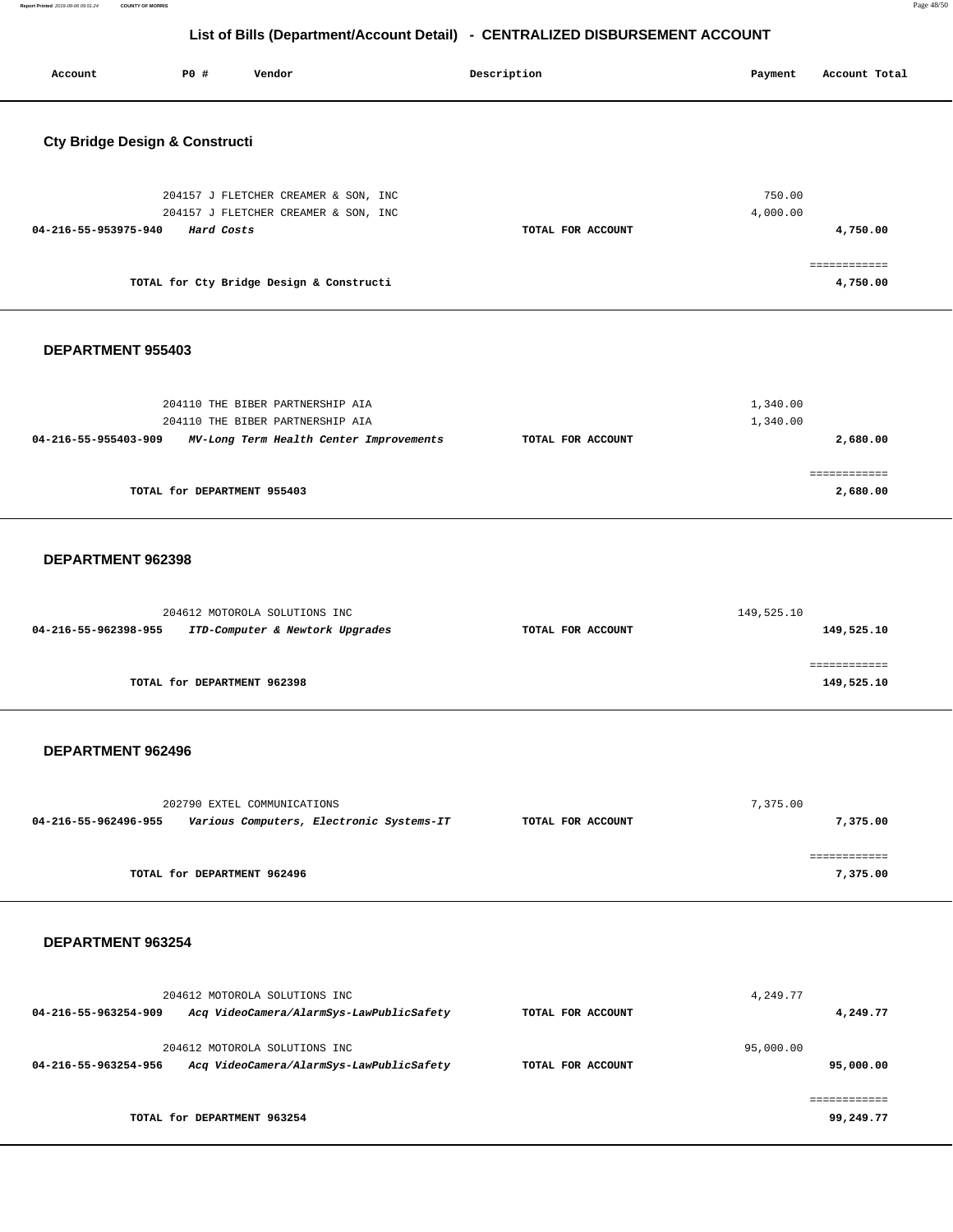| Account                                   | P0 #                        | Vendor                                                                                                          | Description       | Payment              | Account Total                        |
|-------------------------------------------|-----------------------------|-----------------------------------------------------------------------------------------------------------------|-------------------|----------------------|--------------------------------------|
| <b>Cty Bridge Design &amp; Constructi</b> |                             |                                                                                                                 |                   |                      |                                      |
| 04-216-55-953975-940                      | Hard Costs                  | 204157 J FLETCHER CREAMER & SON, INC<br>204157 J FLETCHER CREAMER & SON, INC                                    | TOTAL FOR ACCOUNT | 750.00<br>4,000.00   | 4,750.00                             |
|                                           |                             | TOTAL for Cty Bridge Design & Constructi                                                                        |                   |                      | ============<br>4,750.00             |
| DEPARTMENT 955403                         |                             |                                                                                                                 |                   |                      |                                      |
| 04-216-55-955403-909                      | TOTAL for DEPARTMENT 955403 | 204110 THE BIBER PARTNERSHIP AIA<br>204110 THE BIBER PARTNERSHIP AIA<br>MV-Long Term Health Center Improvements | TOTAL FOR ACCOUNT | 1,340.00<br>1,340.00 | 2,680.00<br>============<br>2,680.00 |
|                                           |                             |                                                                                                                 |                   |                      |                                      |
| DEPARTMENT 962398                         |                             | 204612 MOTOROLA SOLUTIONS INC                                                                                   |                   | 149,525.10           |                                      |
| 04-216-55-962398-955                      |                             | ITD-Computer & Newtork Upgrades                                                                                 | TOTAL FOR ACCOUNT |                      | 149,525.10<br>============           |
|                                           | TOTAL for DEPARTMENT 962398 |                                                                                                                 |                   |                      | 149,525.10                           |
| DEPARTMENT 962496                         |                             |                                                                                                                 |                   |                      |                                      |
| 04-216-55-962496-955                      |                             | 202790 EXTEL COMMUNICATIONS<br>Various Computers, Electronic Systems-IT                                         | TOTAL FOR ACCOUNT | 7,375.00             | 7,375.00                             |
|                                           | TOTAL for DEPARTMENT 962496 |                                                                                                                 |                   |                      | ============<br>7,375.00             |
| DEPARTMENT 963254                         |                             |                                                                                                                 |                   |                      |                                      |
| 04-216-55-963254-909                      |                             | 204612 MOTOROLA SOLUTIONS INC<br>Acq VideoCamera/AlarmSys-LawPublicSafety                                       | TOTAL FOR ACCOUNT | 4,249.77             | 4,249.77                             |
| 04-216-55-963254-956                      |                             | 204612 MOTOROLA SOLUTIONS INC<br>Acq VideoCamera/AlarmSys-LawPublicSafety                                       | TOTAL FOR ACCOUNT | 95,000.00            | 95,000.00                            |
|                                           | TOTAL for DEPARTMENT 963254 |                                                                                                                 |                   |                      | ============<br>99,249.77            |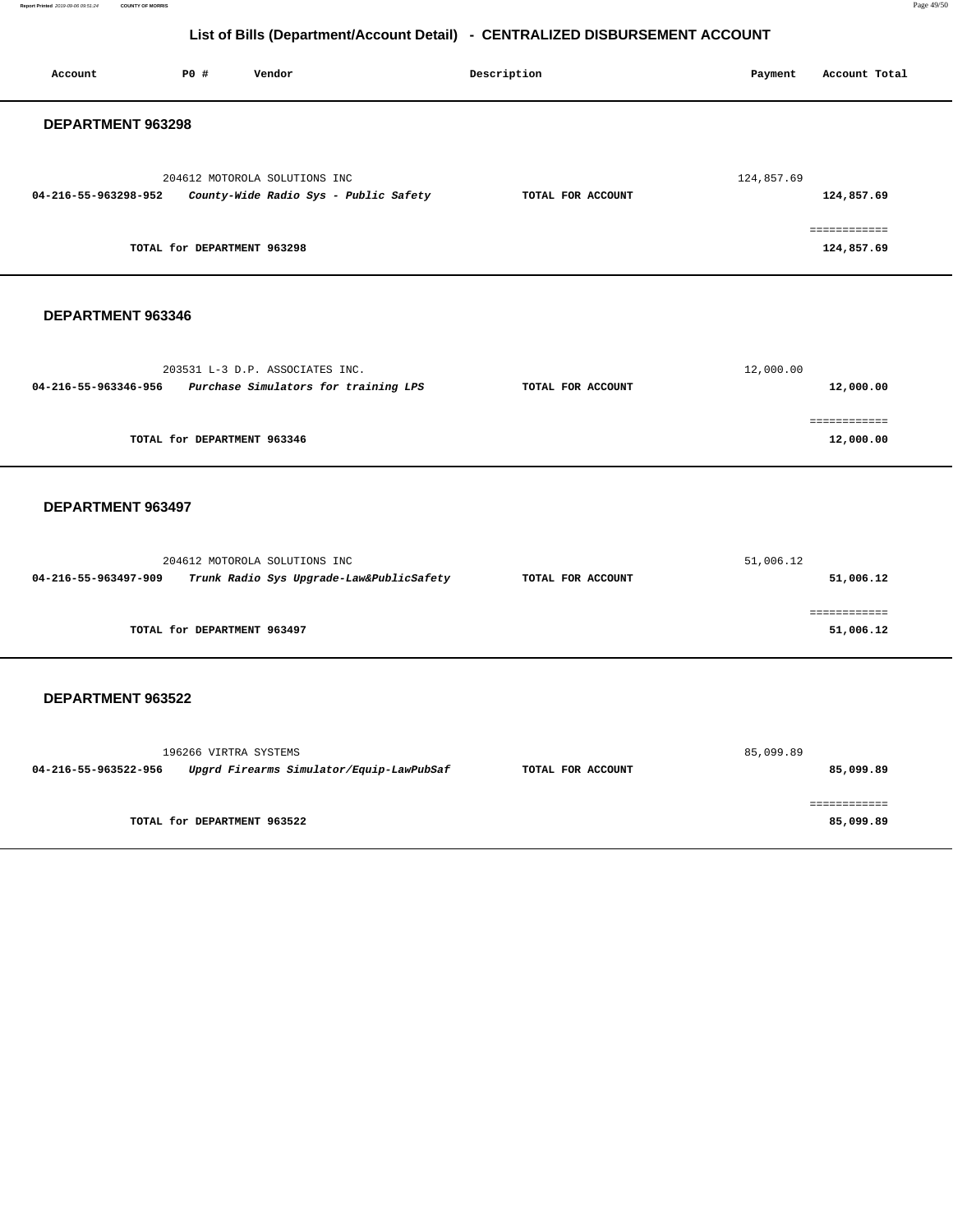**Report Printed** 2019-09-06 09:51:24 **COUNTY OF MORRIS** Page 49/50

# **List of Bills (Department/Account Detail) - CENTRALIZED DISBURSEMENT ACCOUNT**

| P0 #<br>Account<br>Vendor                                                                         | Description       | Payment    | Account Total              |
|---------------------------------------------------------------------------------------------------|-------------------|------------|----------------------------|
| DEPARTMENT 963298                                                                                 |                   |            |                            |
| 204612 MOTOROLA SOLUTIONS INC<br>04-216-55-963298-952<br>County-Wide Radio Sys - Public Safety    | TOTAL FOR ACCOUNT | 124,857.69 | 124,857.69                 |
| TOTAL for DEPARTMENT 963298                                                                       |                   |            | ------------<br>124,857.69 |
| DEPARTMENT 963346                                                                                 |                   |            |                            |
| 203531 L-3 D.P. ASSOCIATES INC.<br>04-216-55-963346-956<br>Purchase Simulators for training LPS   | TOTAL FOR ACCOUNT | 12,000.00  | 12,000.00                  |
| TOTAL for DEPARTMENT 963346                                                                       |                   |            | ============<br>12,000.00  |
| DEPARTMENT 963497                                                                                 |                   |            |                            |
| 204612 MOTOROLA SOLUTIONS INC<br>04-216-55-963497-909<br>Trunk Radio Sys Upgrade-Law&PublicSafety | TOTAL FOR ACCOUNT | 51,006.12  | 51,006.12                  |
| TOTAL for DEPARTMENT 963497                                                                       |                   |            | ============<br>51,006.12  |
| DEPARTMENT 963522                                                                                 |                   |            |                            |
| 196266 VIRTRA SYSTEMS<br>04-216-55-963522-956<br>Upgrd Firearms Simulator/Equip-LawPubSaf         | TOTAL FOR ACCOUNT | 85,099.89  | 85,099.89                  |
| TOTAL for DEPARTMENT 963522                                                                       |                   |            | ============<br>85,099.89  |